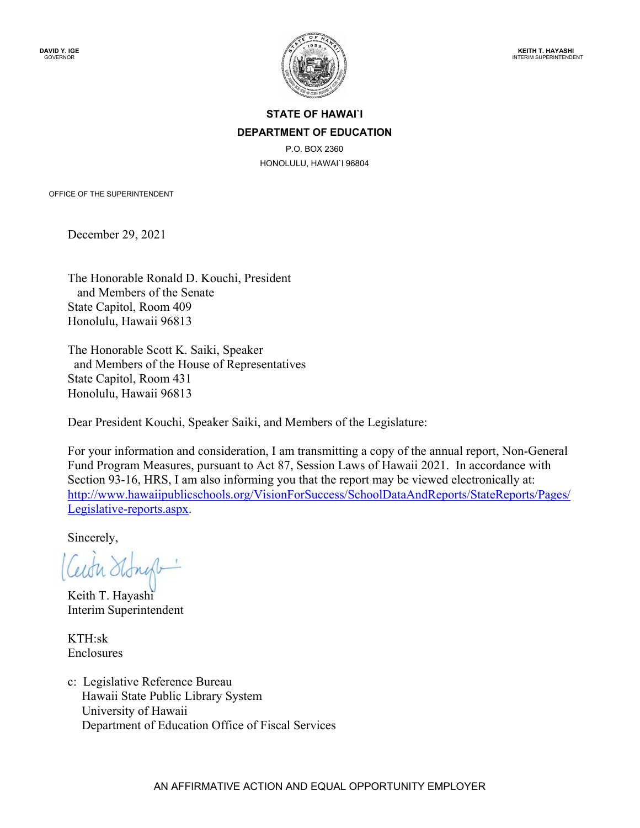

## **STATE OF HAWAI`I DEPARTMENT OF EDUCATION**

P.O. BOX 2360 HONOLULU, HAWAI`I 96804

OFFICE OF THE SUPERINTENDENT

December 29, 2021

The Honorable Ronald D. Kouchi, President and Members of the Senate State Capitol, Room 409 Honolulu, Hawaii 96813

The Honorable Scott K. Saiki, Speaker and Members of the House of Representatives State Capitol, Room 431 Honolulu, Hawaii 96813

Dear President Kouchi, Speaker Saiki, and Members of the Legislature:

For your information and consideration, I am transmitting a copy of the annual report, Non-General Fund Program Measures, pursuant to Act 87, Session Laws of Hawaii 2021. In accordance with Section 93-16, HRS, I am also informing you that the report may be viewed electronically at: [http://www.hawaiipublicschools.org/VisionForSuccess/SchoolDataAndReports/StateReports/Pages/](http://www.hawaiipublicschools.org/VisionForSuccess/SchoolDataAndReports/StateReports/Pages/Legislative-reports.aspx) [Legislative-reports.aspx.](http://www.hawaiipublicschools.org/VisionForSuccess/SchoolDataAndReports/StateReports/Pages/Legislative-reports.aspx)

Sincerely,

Ceith Stone

Keith T. Hayashi Interim Superintendent

KTH:sk Enclosures

c: Legislative Reference Bureau Hawaii State Public Library System University of Hawaii Department of Education Office of Fiscal Services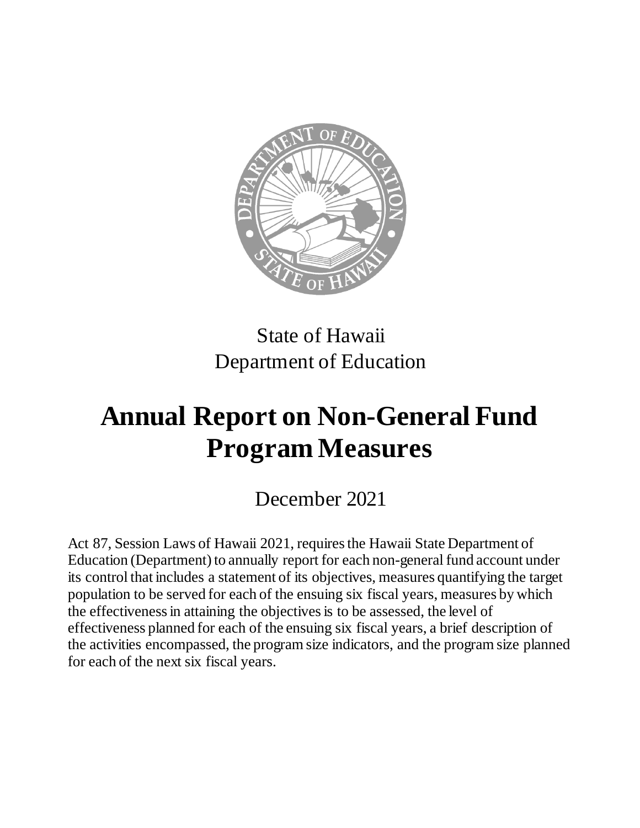

## State of Hawaii Department of Education

# **Annual Report on Non-General Fund Program Measures**

## December 2021

Act 87, Session Laws of Hawaii 2021, requires the Hawaii State Department of Education (Department) to annually report for each non-general fund account under its control that includes a statement of its objectives, measures quantifying the target population to be served for each of the ensuing six fiscal years, measures by which the effectiveness in attaining the objectives is to be assessed, the level of effectiveness planned for each of the ensuing six fiscal years, a brief description of the activities encompassed, the program size indicators, and the program size planned for each of the next six fiscal years.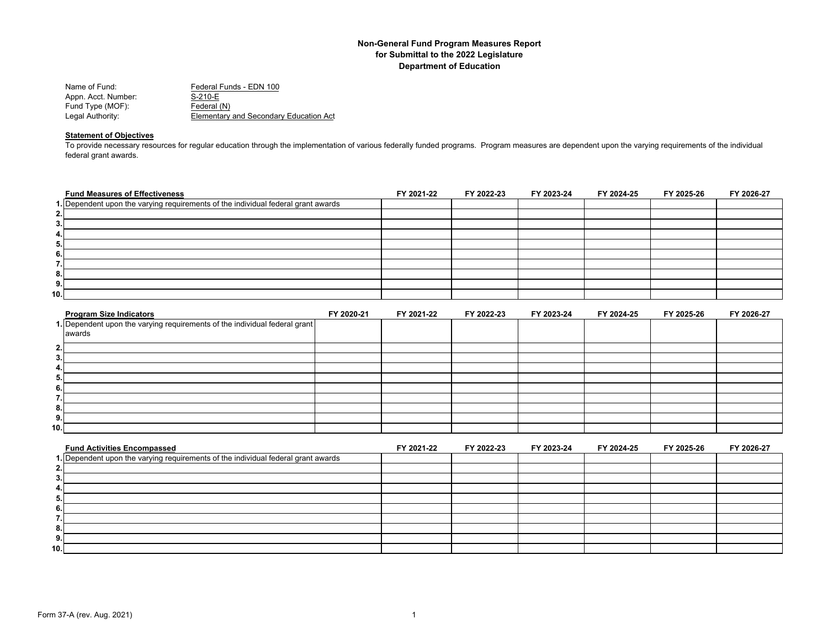| Name of Fund:       | Federal Funds - EDN 100                |
|---------------------|----------------------------------------|
| Appn. Acct. Number: | S-210-E                                |
| Fund Type (MOF):    | Federal (N)                            |
| Legal Authority:    | Elementary and Secondary Education Act |

## **Statement of Objectives**

To provide necessary resources for regular education through the implementation of various federally funded programs. Program measures are dependent upon the varying requirements of the individual<br>To provide necessary reso federal grant awards.

| <b>Fund Measures of Effectiveness</b>                                             | FY 2021-22 | FY 2022-23 | FY 2023-24 | FY 2024-25 | FY 2025-26 | FY 2026-27 |
|-----------------------------------------------------------------------------------|------------|------------|------------|------------|------------|------------|
| 1. Dependent upon the varying requirements of the individual federal grant awards |            |            |            |            |            |            |
| 2. I                                                                              |            |            |            |            |            |            |
| 3.1                                                                               |            |            |            |            |            |            |
| 4. I                                                                              |            |            |            |            |            |            |
| 5.                                                                                |            |            |            |            |            |            |
| 6.                                                                                |            |            |            |            |            |            |
| 7.I                                                                               |            |            |            |            |            |            |
| 8.I                                                                               |            |            |            |            |            |            |
| 9.1                                                                               |            |            |            |            |            |            |
| 10. l                                                                             |            |            |            |            |            |            |

| <b>Program Size Indicators</b>                                             | FY 2020-21 | FY 2021-22 | FY 2022-23 | FY 2023-24 | FY 2024-25 | FY 2025-26 | FY 2026-27 |
|----------------------------------------------------------------------------|------------|------------|------------|------------|------------|------------|------------|
| 1. Dependent upon the varying requirements of the individual federal grant |            |            |            |            |            |            |            |
| awards                                                                     |            |            |            |            |            |            |            |
| 2.                                                                         |            |            |            |            |            |            |            |
| 3.                                                                         |            |            |            |            |            |            |            |
| 4.                                                                         |            |            |            |            |            |            |            |
| 5.                                                                         |            |            |            |            |            |            |            |
| 6.                                                                         |            |            |            |            |            |            |            |
| -                                                                          |            |            |            |            |            |            |            |
| 8.                                                                         |            |            |            |            |            |            |            |
| 9.                                                                         |            |            |            |            |            |            |            |
| 10.1                                                                       |            |            |            |            |            |            |            |

| <b>Fund Activities Encompassed</b>                                                | FY 2021-22 | FY 2022-23 | FY 2023-24 | FY 2024-25 | FY 2025-26 | FY 2026-27 |
|-----------------------------------------------------------------------------------|------------|------------|------------|------------|------------|------------|
| 1. Dependent upon the varying requirements of the individual federal grant awards |            |            |            |            |            |            |
|                                                                                   |            |            |            |            |            |            |
|                                                                                   |            |            |            |            |            |            |
|                                                                                   |            |            |            |            |            |            |
|                                                                                   |            |            |            |            |            |            |
|                                                                                   |            |            |            |            |            |            |
|                                                                                   |            |            |            |            |            |            |
|                                                                                   |            |            |            |            |            |            |
| J.                                                                                |            |            |            |            |            |            |
| 10.1                                                                              |            |            |            |            |            |            |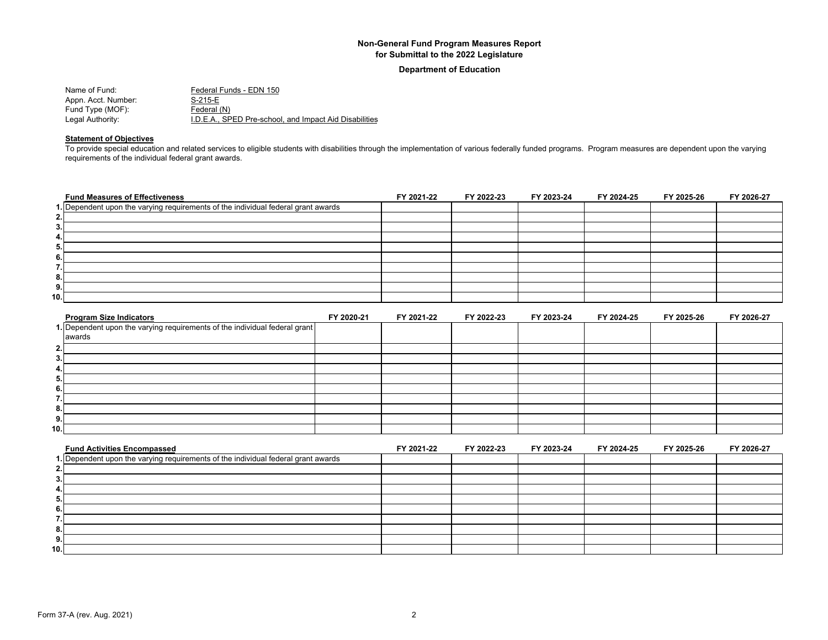**Department of Education**

| Name of Fund:       | Federal Funds - EDN 150                                |
|---------------------|--------------------------------------------------------|
| Appn. Acct. Number: | S-215-E                                                |
| Fund Type (MOF):    | Federal (N)                                            |
| Legal Authority:    | I.D.E.A., SPED Pre-school, and Impact Aid Disabilities |

## **Statement of Objectives**

To provide special education and related services to eligible students with disabilities through the implementation of various federally funded programs. Program measures are dependent upon the varying requirements of the individual federal grant awards.

| <b>Fund Measures of Effectiveness</b>                                             | FY 2021-22 | FY 2022-23 | FY 2023-24 | FY 2024-25 | FY 2025-26 | FY 2026-27 |
|-----------------------------------------------------------------------------------|------------|------------|------------|------------|------------|------------|
| 1. Dependent upon the varying requirements of the individual federal grant awards |            |            |            |            |            |            |
| 2.                                                                                |            |            |            |            |            |            |
| 3.                                                                                |            |            |            |            |            |            |
| 4.                                                                                |            |            |            |            |            |            |
| 5.                                                                                |            |            |            |            |            |            |
| 6.                                                                                |            |            |            |            |            |            |
| . .                                                                               |            |            |            |            |            |            |
| 8.                                                                                |            |            |            |            |            |            |
| 9.                                                                                |            |            |            |            |            |            |
| 10.                                                                               |            |            |            |            |            |            |

| <b>Program Size Indicators</b>                                             | FY 2020-21 | FY 2021-22 | FY 2022-23 | FY 2023-24 | FY 2024-25 | FY 2025-26 | FY 2026-27 |
|----------------------------------------------------------------------------|------------|------------|------------|------------|------------|------------|------------|
| 1. Dependent upon the varying requirements of the individual federal grant |            |            |            |            |            |            |            |
| awards                                                                     |            |            |            |            |            |            |            |
| $\mathbf{2}$                                                               |            |            |            |            |            |            |            |
| 3.                                                                         |            |            |            |            |            |            |            |
| 4.                                                                         |            |            |            |            |            |            |            |
| 5.,                                                                        |            |            |            |            |            |            |            |
| 6.                                                                         |            |            |            |            |            |            |            |
| -                                                                          |            |            |            |            |            |            |            |
| 8.                                                                         |            |            |            |            |            |            |            |
| 9.                                                                         |            |            |            |            |            |            |            |
| 10.1                                                                       |            |            |            |            |            |            |            |

| <b>Fund Activities Encompassed</b>                                                | FY 2021-22 | FY 2022-23 | FY 2023-24 | FY 2024-25 | FY 2025-26 | FY 2026-27 |
|-----------------------------------------------------------------------------------|------------|------------|------------|------------|------------|------------|
| 1. Dependent upon the varying requirements of the individual federal grant awards |            |            |            |            |            |            |
|                                                                                   |            |            |            |            |            |            |
|                                                                                   |            |            |            |            |            |            |
|                                                                                   |            |            |            |            |            |            |
|                                                                                   |            |            |            |            |            |            |
|                                                                                   |            |            |            |            |            |            |
|                                                                                   |            |            |            |            |            |            |
|                                                                                   |            |            |            |            |            |            |
|                                                                                   |            |            |            |            |            |            |
| 10.1                                                                              |            |            |            |            |            |            |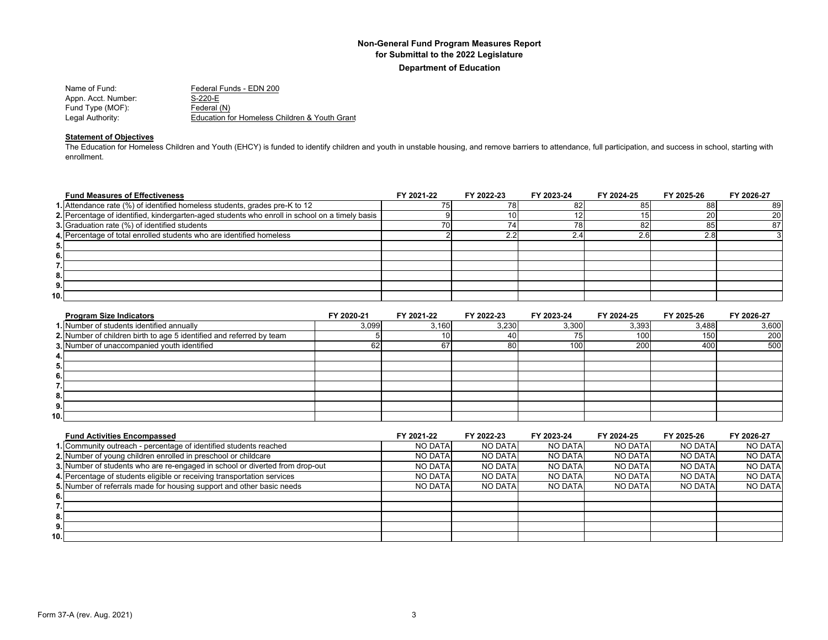| Name of Fund:       | Federal Funds - EDN 200                       |
|---------------------|-----------------------------------------------|
| Appn. Acct. Number: | $S-220-E$                                     |
| Fund Type (MOF):    | Federal (N)                                   |
| Legal Authority:    | Education for Homeless Children & Youth Grant |

## **Statement of Objectives**

The Education for Homeless Children and Youth (EHCY) is funded to identify children and youth in unstable housing, and remove barriers to attendance, full participation, and success in school, starting with enrollment.

|      | <b>Fund Measures of Effectiveness</b>                                                          | FY 2021-22 | FY 2022-23 | FY 2023-24 | FY 2024-25 | FY 2025-26 | FY 2026-27 |
|------|------------------------------------------------------------------------------------------------|------------|------------|------------|------------|------------|------------|
|      | 1. Attendance rate (%) of identified homeless students, grades pre-K to 12                     |            |            | 82         | 85         | 88         | 89         |
|      | 2. Percentage of identified, kindergarten-aged students who enroll in school on a timely basis |            |            |            |            | 20         | 20         |
|      | 3. Graduation rate (%) of identified students                                                  |            |            | 78         | 8:         |            |            |
|      | 4. Percentage of total enrolled students who are identified homeless                           |            |            |            | ົ          | 2.81       |            |
| 5.   |                                                                                                |            |            |            |            |            |            |
| 6.   |                                                                                                |            |            |            |            |            |            |
|      |                                                                                                |            |            |            |            |            |            |
| 8.   |                                                                                                |            |            |            |            |            |            |
| 9.   |                                                                                                |            |            |            |            |            |            |
| 10.I |                                                                                                |            |            |            |            |            |            |

| <b>Program Size Indicators</b>                                       | FY 2020-21 | FY 2021-22 | FY 2022-23 | FY 2023-24 | FY 2024-25 | FY 2025-26 | FY 2026-27 |
|----------------------------------------------------------------------|------------|------------|------------|------------|------------|------------|------------|
| 1. Number of students identified annually                            | 3,099      | 3,160      | 3,230      | 3,300      | 3,393      | 3,488      | 3,600      |
| 2. Number of children birth to age 5 identified and referred by team |            | 101        |            |            | 100        | 150        | 200        |
| 3. Number of unaccompanied youth identified                          | 62         | 67         | 80         | 100        | 200        | 400        | 500        |
| 4.                                                                   |            |            |            |            |            |            |            |
| 5.                                                                   |            |            |            |            |            |            |            |
| 6.                                                                   |            |            |            |            |            |            |            |
|                                                                      |            |            |            |            |            |            |            |
| 8.                                                                   |            |            |            |            |            |            |            |
| 9.                                                                   |            |            |            |            |            |            |            |
| 10.1                                                                 |            |            |            |            |            |            |            |

| <b>Fund Activities Encompassed</b>                                           | FY 2021-22     | FY 2022-23     | FY 2023-24     | FY 2024-25     | FY 2025-26     | FY 2026-27     |
|------------------------------------------------------------------------------|----------------|----------------|----------------|----------------|----------------|----------------|
| 1. Community outreach - percentage of identified students reached            | NO DATA        | <b>NO DATA</b> | <b>NO DATA</b> | <b>NO DATA</b> | <b>NO DATA</b> | <b>NO DATA</b> |
| 2. Number of young children enrolled in preschool or childcare               | <b>NO DATA</b> | <b>NO DATA</b> | <b>NO DATA</b> | <b>NO DATA</b> | <b>NO DATA</b> | <b>NO DATA</b> |
| 3. Number of students who are re-engaged in school or diverted from drop-out | NO DATA        | <b>NO DATA</b> | NO DATA        | NO DATA        | NO DATA        | NO DATA        |
| 4. Percentage of students eligible or receiving transportation services      | NO DATA        | <b>NO DATA</b> | NO DATA        | <b>NO DATA</b> | <b>NO DATA</b> | NO DATA        |
| 5. Number of referrals made for housing support and other basic needs        | <b>NO DATA</b> | <b>NO DATA</b> | <b>NO DATA</b> | <b>NO DATA</b> | NO DATA        | <b>NO DATA</b> |
| 6.                                                                           |                |                |                |                |                |                |
|                                                                              |                |                |                |                |                |                |
| 8.                                                                           |                |                |                |                |                |                |
| 9.                                                                           |                |                |                |                |                |                |
| 10.1                                                                         |                |                |                |                |                |                |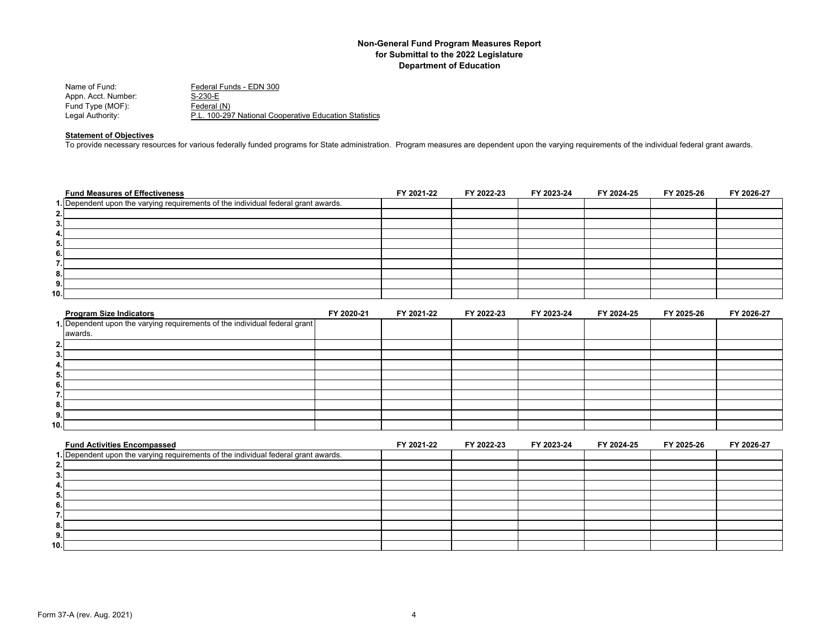| Name of Fund:       | Federal Funds - EDN 300                                |
|---------------------|--------------------------------------------------------|
| Appn. Acct. Number: | S-230-E                                                |
| Fund Type (MOF):    | Federal (N)                                            |
| Legal Authority:    | P.L. 100-297 National Cooperative Education Statistics |

#### **Statement of Objectives**

To provide necessary resources for various federally funded programs for State administration. Program measures are dependent upon the varying requirements of the individual federal grant awards.

| <b>Fund Measures of Effectiveness</b>                                              | FY 2021-22 | FY 2022-23 | FY 2023-24 | FY 2024-25 | FY 2025-26 | FY 2026-27 |
|------------------------------------------------------------------------------------|------------|------------|------------|------------|------------|------------|
| 1. Dependent upon the varying requirements of the individual federal grant awards. |            |            |            |            |            |            |
| 2.                                                                                 |            |            |            |            |            |            |
| 3.                                                                                 |            |            |            |            |            |            |
| 4.                                                                                 |            |            |            |            |            |            |
| 5.                                                                                 |            |            |            |            |            |            |
| 6.                                                                                 |            |            |            |            |            |            |
| 7.                                                                                 |            |            |            |            |            |            |
| 8.                                                                                 |            |            |            |            |            |            |
| 9.                                                                                 |            |            |            |            |            |            |
| 10.                                                                                |            |            |            |            |            |            |
| <b>Program Size Indicators</b><br>FY 2020-21                                       | FY 2021-22 | FY 2022-23 | FY 2023-24 | FY 2024-25 | FY 2025-26 | FY 2026-27 |

|               | <u>Flugialii Size liiulualuis</u>                                          | <b>FI ZUZU-ZI</b> | FI 404 F44 | LI TATTE-TA | <b>FI 4043-44</b> | <b>FI 4044-49</b> | <b>FIZUZJ-ZU</b> | <b>FI ZUZU-ZI</b> |
|---------------|----------------------------------------------------------------------------|-------------------|------------|-------------|-------------------|-------------------|------------------|-------------------|
|               | 1. Dependent upon the varying requirements of the individual federal grant |                   |            |             |                   |                   |                  |                   |
|               | awards.                                                                    |                   |            |             |                   |                   |                  |                   |
| ຳ<br><b>.</b> |                                                                            |                   |            |             |                   |                   |                  |                   |
| З.            |                                                                            |                   |            |             |                   |                   |                  |                   |
| 4.            |                                                                            |                   |            |             |                   |                   |                  |                   |
| 5.            |                                                                            |                   |            |             |                   |                   |                  |                   |
| o             |                                                                            |                   |            |             |                   |                   |                  |                   |
|               |                                                                            |                   |            |             |                   |                   |                  |                   |
| 8.            |                                                                            |                   |            |             |                   |                   |                  |                   |
| 9.            |                                                                            |                   |            |             |                   |                   |                  |                   |
| 10.1          |                                                                            |                   |            |             |                   |                   |                  |                   |

| <b>Fund Activities Encompassed</b>                                                 | FY 2021-22 | FY 2022-23 | FY 2023-24 | FY 2024-25 | FY 2025-26 | FY 2026-27 |
|------------------------------------------------------------------------------------|------------|------------|------------|------------|------------|------------|
| 1. Dependent upon the varying requirements of the individual federal grant awards. |            |            |            |            |            |            |
|                                                                                    |            |            |            |            |            |            |
|                                                                                    |            |            |            |            |            |            |
|                                                                                    |            |            |            |            |            |            |
|                                                                                    |            |            |            |            |            |            |
|                                                                                    |            |            |            |            |            |            |
|                                                                                    |            |            |            |            |            |            |
|                                                                                    |            |            |            |            |            |            |
| J.                                                                                 |            |            |            |            |            |            |
| 10.1                                                                               |            |            |            |            |            |            |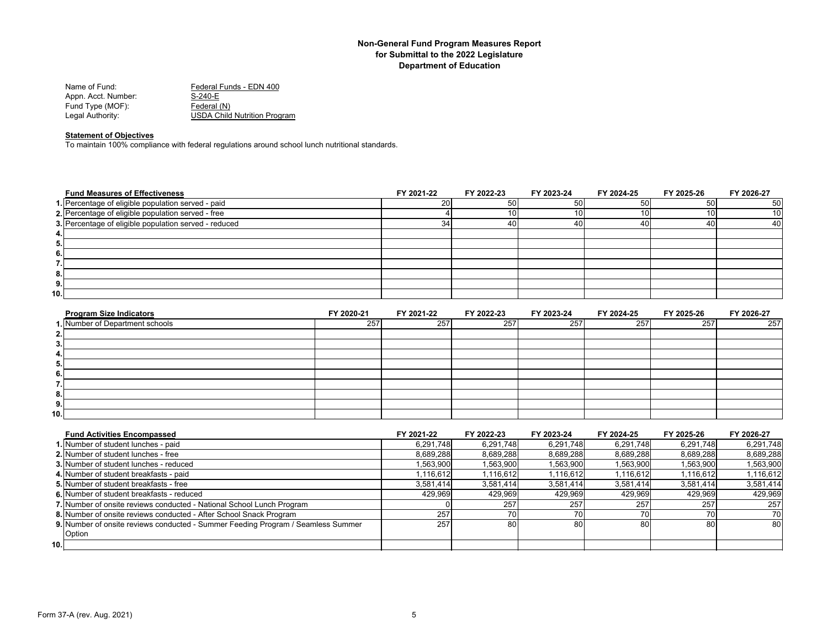| Federal Funds - EDN 400             |
|-------------------------------------|
| S-240-E                             |
| Federal (N)                         |
| <b>USDA Child Nutrition Program</b> |
|                                     |

#### **Statement of Objectives**

To maintain 100% compliance with federal regulations around school lunch nutritional standards.

| <b>Fund Measures of Effectiveness</b>                 | FY 2021-22 | FY 2022-23 | FY 2023-24 | FY 2024-25 | FY 2025-26 | FY 2026-27      |
|-------------------------------------------------------|------------|------------|------------|------------|------------|-----------------|
| 1. Percentage of eligible population served - paid    | 20         | 50         | 50         | 50         | 50         | 50 <sub>l</sub> |
| 2. Percentage of eligible population served - free    |            |            |            | 101        | 10I        | 10              |
| 3. Percentage of eligible population served - reduced | 34         | 40         |            | 40         | 40         | 40              |
| 4.                                                    |            |            |            |            |            |                 |
| 5.                                                    |            |            |            |            |            |                 |
| 6.                                                    |            |            |            |            |            |                 |
| . .                                                   |            |            |            |            |            |                 |
| 8.                                                    |            |            |            |            |            |                 |
| 9.                                                    |            |            |            |            |            |                 |
| 10.                                                   |            |            |            |            |            |                 |

| <b>Program Size Indicators</b>  | FY 2020-21 | FY 2021-22 | FY 2022-23 | FY 2023-24 | FY 2024-25 | FY 2025-26 | FY 2026-27 |
|---------------------------------|------------|------------|------------|------------|------------|------------|------------|
| 1. Number of Department schools | 257        | 257        | 257        | 257        | 257        | 257        | 257        |
| 2.                              |            |            |            |            |            |            |            |
| 3.                              |            |            |            |            |            |            |            |
| 4.                              |            |            |            |            |            |            |            |
| 5.                              |            |            |            |            |            |            |            |
| 6.                              |            |            |            |            |            |            |            |
|                                 |            |            |            |            |            |            |            |
| 8.                              |            |            |            |            |            |            |            |
| 9.                              |            |            |            |            |            |            |            |
| 10.1                            |            |            |            |            |            |            |            |

| <b>Fund Activities Encompassed</b>                                               | FY 2021-22 | FY 2022-23 | FY 2023-24 | FY 2024-25 | FY 2025-26 | FY 2026-27 |
|----------------------------------------------------------------------------------|------------|------------|------------|------------|------------|------------|
| 1. Number of student lunches - paid                                              | 6.291.748  | 6.291.748  | 6.291.748  | 6,291,748  | 6.291.748  | 6,291,748  |
| 2. Number of student lunches - free                                              | 8,689,288  | 8,689,288  | 8,689,288  | 8,689,288  | 8,689,288  | 8,689,288  |
| 3. Number of student lunches - reduced                                           | 1,563,900  | 1,563,900  | 1,563,900  | 1,563,900  | 1,563,900  | 1,563,900  |
| 4. Number of student breakfasts - paid                                           | 1,116,612  | 1,116,612  | 1,116,612  | 1,116,612  | 1,116,612  | 1,116,612  |
| 5. Number of student breakfasts - free                                           | 3,581,414  | 3,581,414  | 3,581,414  | 3,581,414  | 3,581,414  | 3,581,414  |
| 6. Number of student breakfasts - reduced                                        | 429.969    | 429,969    | 429.969    | 429.969    | 429.969    | 429,969    |
| 7. Number of onsite reviews conducted - National School Lunch Program            |            | 257        | 257        | 257        | 257        | 257        |
| 8. Number of onsite reviews conducted - After School Snack Program               | 257        |            |            | 70         | 70 I       | 70         |
| 9. Number of onsite reviews conducted - Summer Feeding Program / Seamless Summer | 257        | 801        | 80         | 80         | 80 I       | 80 l       |
| Option                                                                           |            |            |            |            |            |            |
| 10.1                                                                             |            |            |            |            |            |            |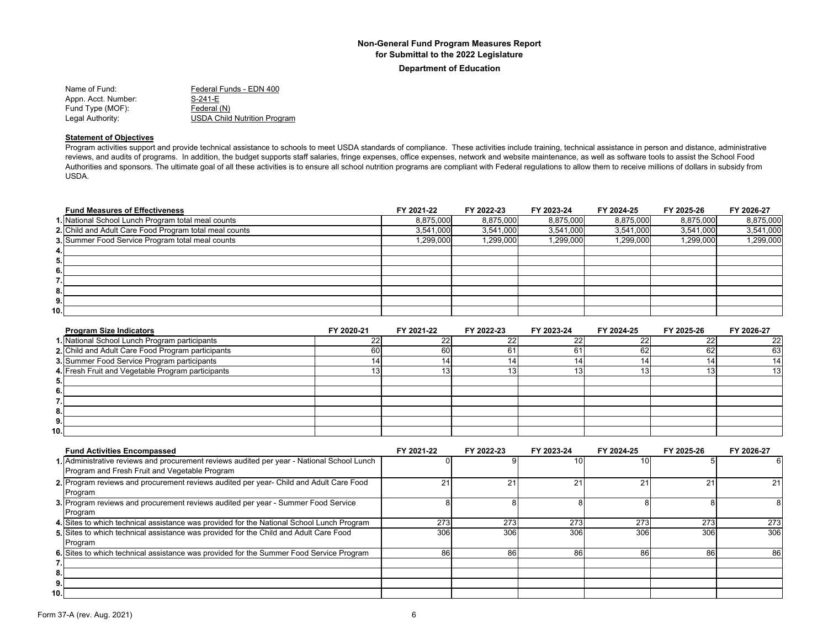**Department of Education**

Name of Fund: Federal Funds - EDN 400 Appn. Acct. Number: S-241-E Fund Type (MOF): Federal (N) Legal Authority: USDA Child Nutrition Program

#### **Statement of Objectives**

Program activities support and provide technical assistance to schools to meet USDA standards of compliance. These activities include training, technical assistance in person and distance, administrative reviews, and audits of programs. In addition, the budget supports staff salaries, fringe expenses, office expenses, network and website maintenance, as well as software tools to assist the School Food Authorities and sponsors. The ultimate goal of all these activities is to ensure all school nutrition programs are compliant with Federal regulations to allow them to receive millions of dollars in subsidy from USDA.

| <b>Fund Measures of Effectiveness</b>                  | FY 2021-22 | FY 2022-23 | FY 2023-24 | FY 2024-25 | FY 2025-26 | FY 2026-27 |
|--------------------------------------------------------|------------|------------|------------|------------|------------|------------|
| 1. National School Lunch Program total meal counts     | 8,875,000  | 8,875,000  | 8,875,000  | 8,875,000  | 8,875,000  | 8,875,000  |
| 2. Child and Adult Care Food Program total meal counts | 3,541,000  | 3,541,000  | 3,541,000  | 3,541,000  | 3,541,000  | 3,541,000  |
| 3. Summer Food Service Program total meal counts       | 1,299,000  | 1,299,000  | 1,299,000  | 1,299,000  | 1,299,000  | 1,299,000  |
| 4. I                                                   |            |            |            |            |            |            |
| 5.                                                     |            |            |            |            |            |            |
| 6.                                                     |            |            |            |            |            |            |
| 7.                                                     |            |            |            |            |            |            |
| 8.                                                     |            |            |            |            |            |            |
| 9.                                                     |            |            |            |            |            |            |
| 10.                                                    |            |            |            |            |            |            |

| <b>Program Size Indicators</b>                    | FY 2020-21 | FY 2021-22 | FY 2022-23 | FY 2023-24 | FY 2024-25 | FY 2025-26 | FY 2026-27      |
|---------------------------------------------------|------------|------------|------------|------------|------------|------------|-----------------|
| 1. National School Lunch Program participants     |            |            |            |            |            |            | 22 <sub>l</sub> |
| 2. Child and Adult Care Food Program participants | 60         | 60         |            |            | 62         | 62         | 63              |
| 3. Summer Food Service Program participants       |            |            |            |            |            |            | 14 <sup>1</sup> |
| 4. Fresh Fruit and Vegetable Program participants |            |            |            |            |            |            | 13 <sup>l</sup> |
| Ð.                                                |            |            |            |            |            |            |                 |
| 6.                                                |            |            |            |            |            |            |                 |
|                                                   |            |            |            |            |            |            |                 |
| 8.1                                               |            |            |            |            |            |            |                 |
| 9.                                                |            |            |            |            |            |            |                 |
| 10.1                                              |            |            |            |            |            |            |                 |

| <b>Fund Activities Encompassed</b>                                                         | FY 2021-22 | FY 2022-23 | FY 2023-24 | FY 2024-25 | FY 2025-26 | FY 2026-27 |
|--------------------------------------------------------------------------------------------|------------|------------|------------|------------|------------|------------|
| 1. Administrative reviews and procurement reviews audited per year - National School Lunch |            |            |            | 101        |            |            |
| Program and Fresh Fruit and Vegetable Program                                              |            |            |            |            |            |            |
| 2. Program reviews and procurement reviews audited per year- Child and Adult Care Food     | 21         | 21         | 21         | 21         | 21         | 21         |
| Program                                                                                    |            |            |            |            |            |            |
| 3. Program reviews and procurement reviews audited per year - Summer Food Service          |            |            |            |            |            |            |
| Program                                                                                    |            |            |            |            |            |            |
| 4. Sites to which technical assistance was provided for the National School Lunch Program  | 273        | 273        | 273        | 273        | 273        | 273        |
| 5. Sites to which technical assistance was provided for the Child and Adult Care Food      | 306        | 306        | 306        | 306        | 306        | 306        |
| Program                                                                                    |            |            |            |            |            |            |
| 6. Sites to which technical assistance was provided for the Summer Food Service Program    | 86         | 86         | 86         | 86         | 86         | 86         |
|                                                                                            |            |            |            |            |            |            |
| 8.                                                                                         |            |            |            |            |            |            |
| 9.                                                                                         |            |            |            |            |            |            |
| 10.                                                                                        |            |            |            |            |            |            |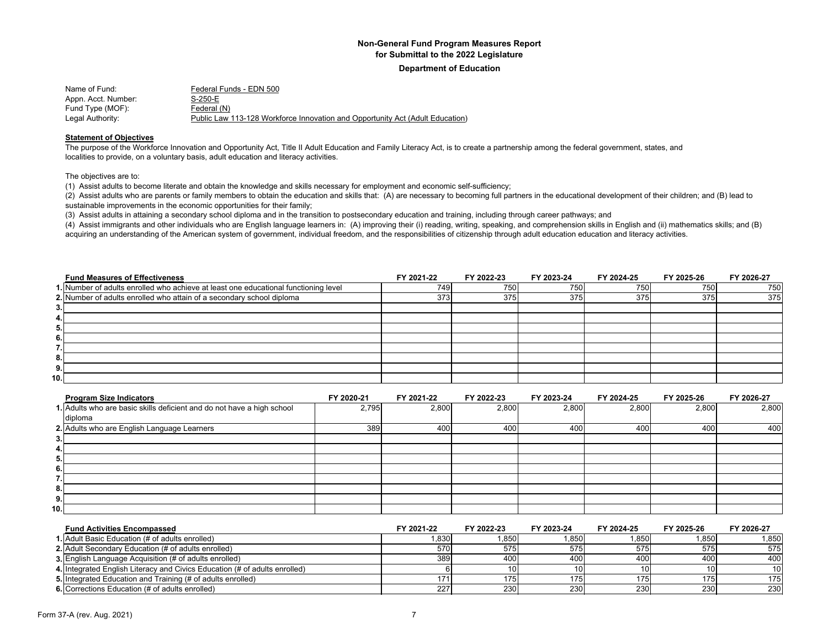#### **Department of Education**

| Name of Fund:       | Federal Funds - EDN 500                                                       |
|---------------------|-------------------------------------------------------------------------------|
| Appn. Acct. Number: | S-250-E                                                                       |
| Fund Type (MOF):    | Federal (N)                                                                   |
| Legal Authority:    | Public Law 113-128 Workforce Innovation and Opportunity Act (Adult Education) |

#### **Statement of Objectives**

The purpose of the Workforce Innovation and Opportunity Act, Title II Adult Education and Family Literacy Act, is to create a partnership among the federal government, states, and localities to provide, on a voluntary basis, adult education and literacy activities.

The objectives are to:

(1) Assist adults to become literate and obtain the knowledge and skills necessary for employment and economic self-sufficiency;

(2) Assist adults who are parents or family members to obtain the education and skills that: (A) are necessary to becoming full partners in the educational development of their children; and (B) lead to sustainable improvements in the economic opportunities for their family;

(3) Assist adults in attaining a secondary school diploma and in the transition to postsecondary education and training, including through career pathways; and

(4) Assist immigrants and other individuals who are English language learners in: (A) improving their (i) reading, writing, speaking, and comprehension skills in English and (ii) mathematics skills; and (B) acquiring an understanding of the American system of government, individual freedom, and the responsibilities of citizenship through adult education education and literacy activities.

|                   | <b>Fund Measures of Effectiveness</b>                                               | FY 2021-22 | FY 2022-23 | FY 2023-24 | FY 2024-25 | FY 2025-26 | FY 2026-27 |
|-------------------|-------------------------------------------------------------------------------------|------------|------------|------------|------------|------------|------------|
|                   | 1. Number of adults enrolled who achieve at least one educational functioning level | 749        | 750        | 750        | 750        | 750        | 750        |
|                   | 2. Number of adults enrolled who attain of a secondary school diploma               | 373        | 375        | 375        | 375        | 375        | 375        |
| 3.1               |                                                                                     |            |            |            |            |            |            |
| 4. I              |                                                                                     |            |            |            |            |            |            |
| 5.                |                                                                                     |            |            |            |            |            |            |
| 6.1               |                                                                                     |            |            |            |            |            |            |
| ,<br>$\mathbf{L}$ |                                                                                     |            |            |            |            |            |            |
| 8.                |                                                                                     |            |            |            |            |            |            |
| 9.1               |                                                                                     |            |            |            |            |            |            |
| 10.l              |                                                                                     |            |            |            |            |            |            |

| <b>Program Size Indicators</b>                                         | FY 2020-21 | FY 2021-22 | FY 2022-23 | FY 2023-24 | FY 2024-25 | FY 2025-26 | FY 2026-27 |
|------------------------------------------------------------------------|------------|------------|------------|------------|------------|------------|------------|
| 1. Adults who are basic skills deficient and do not have a high school | 2,795      | 2,800      | 2,800      | 2,800      | 2,800      | 2,800      | 2,800      |
| diploma                                                                |            |            |            |            |            |            |            |
| 2. Adults who are English Language Learners                            | 389        | 400        | 400        | 400        | 400        | 400        | 400        |
| 3.                                                                     |            |            |            |            |            |            |            |
| 4.                                                                     |            |            |            |            |            |            |            |
| 5.                                                                     |            |            |            |            |            |            |            |
| 6.                                                                     |            |            |            |            |            |            |            |
| $\overline{\phantom{a}}$<br>.                                          |            |            |            |            |            |            |            |
| 8.,                                                                    |            |            |            |            |            |            |            |
| 9.                                                                     |            |            |            |            |            |            |            |
| 10.1                                                                   |            |            |            |            |            |            |            |

| <b>Fund Activities Encompassed</b>                                         | FY 2021-22 | FY 2022-23 | FY 2023-24 | FY 2024-25       | FY 2025-26 | FY 2026-27      |
|----------------------------------------------------------------------------|------------|------------|------------|------------------|------------|-----------------|
| <b>1.</b> Adult Basic Education (# of adults enrolled)                     | .830       | 1.850      | .850       | .850             | 1.850      | 1,850           |
| 2. Adult Secondary Education (# of adults enrolled)                        | 570        | 575        | 575        | 575              | 575        | 575             |
| 3. English Language Acquisition (# of adults enrolled)                     | 389        | 400        | 400        | 400              | 400        | 400             |
| 4. Integrated English Literacy and Civics Education (# of adults enrolled) |            |            |            |                  |            | 10 <sup>1</sup> |
| 5. Integrated Education and Training (# of adults enrolled)                |            | 175        | 175        | 175 <sub>1</sub> | 1751       | 175             |
| 6. Corrections Education (# of adults enrolled)                            | 227        | 230        | 230        | 230              | 230        | 230             |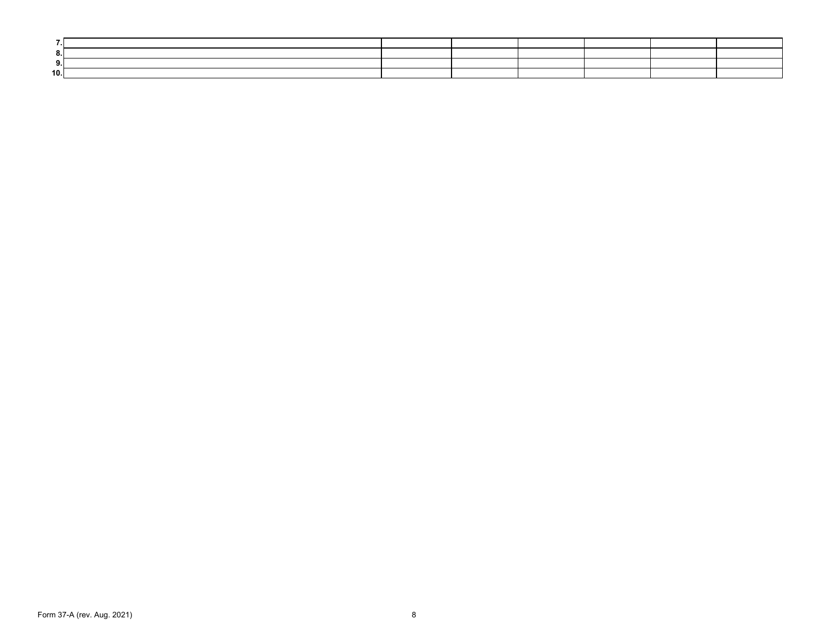| 10.1 |  |  |  |  |
|------|--|--|--|--|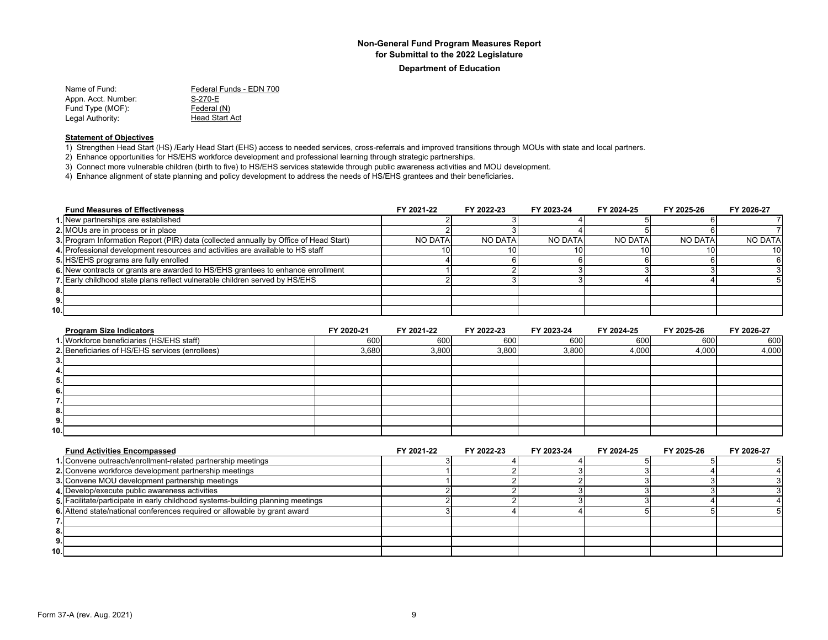#### **Department of Education**

Name of Fund: Federal Funds - EDN 700 Appn. Acct. Number: S-270-E Fund Type (MOF):<br>
Legal Authority: 
Head Start Act Legal Authority:

#### **Statement of Objectives**

1) Strengthen Head Start (HS) /Early Head Start (EHS) access to needed services, cross-referrals and improved transitions through MOUs with state and local partners.

2) Enhance opportunities for HS/EHS workforce development and professional learning through strategic partnerships.

3) Connect more vulnerable children (birth to five) to HS/EHS services statewide through public awareness activities and MOU development.

4) Enhance alignment of state planning and policy development to address the needs of HS/EHS grantees and their beneficiaries.

| <b>Fund Measures of Effectiveness</b>                                                 | FY 2021-22      | FY 2022-23 | FY 2023-24     | FY 2024-25 | FY 2025-26     | FY 2026-27     |
|---------------------------------------------------------------------------------------|-----------------|------------|----------------|------------|----------------|----------------|
| 1. New partnerships are established                                                   |                 |            |                |            |                |                |
| 2. MOUs are in process or in place                                                    |                 |            |                |            |                |                |
| 3. Program Information Report (PIR) data (collected annually by Office of Head Start) | NO DATA         | NO DATA    | <b>NO DATA</b> | NO DATA    | <b>NO DATA</b> | <b>NO DATA</b> |
| 4. Professional development resources and activities are available to HS staff        | 10 <sup>1</sup> |            |                |            |                | 10             |
| 5. HS/EHS programs are fully enrolled                                                 |                 |            |                |            |                |                |
| 6. New contracts or grants are awarded to HS/EHS grantees to enhance enrollment       |                 |            |                |            |                |                |
| 7. Early childhood state plans reflect vulnerable children served by HS/EHS           |                 |            |                |            |                |                |
| 8.                                                                                    |                 |            |                |            |                |                |
| 9.                                                                                    |                 |            |                |            |                |                |
| 10.1                                                                                  |                 |            |                |            |                |                |

| <b>Program Size Indicators</b>                  | FY 2020-21 | FY 2021-22 | FY 2022-23 | FY 2023-24 | FY 2024-25 | FY 2025-26 | FY 2026-27 |
|-------------------------------------------------|------------|------------|------------|------------|------------|------------|------------|
| 1. Workforce beneficiaries (HS/EHS staff)       | 600        | 600        | 600        | 600        | 600        | 600        | 600        |
| 2. Beneficiaries of HS/EHS services (enrollees) | 3,680      | 3,800      | 3,800      | 3,800      | 4,000      | 4,000      | 4,000      |
| - 3.                                            |            |            |            |            |            |            |            |
| 4.                                              |            |            |            |            |            |            |            |
| 5.                                              |            |            |            |            |            |            |            |
| 6.                                              |            |            |            |            |            |            |            |
|                                                 |            |            |            |            |            |            |            |
| 8.                                              |            |            |            |            |            |            |            |
| 9.                                              |            |            |            |            |            |            |            |
| 10.1                                            |            |            |            |            |            |            |            |

| <b>Fund Activities Encompassed</b>                                              | FY 2021-22 | FY 2022-23 | FY 2023-24 | FY 2024-25 | FY 2025-26 | FY 2026-27 |
|---------------------------------------------------------------------------------|------------|------------|------------|------------|------------|------------|
| 1. Convene outreach/enrollment-related partnership meetings                     |            |            |            |            |            |            |
| 2. Convene workforce development partnership meetings                           |            |            |            |            |            |            |
| 3. Convene MOU development partnership meetings                                 |            |            |            |            |            |            |
| 4. Develop/execute public awareness activities                                  |            |            |            |            |            |            |
| 5. Facilitate/participate in early childhood systems-building planning meetings |            |            |            |            |            |            |
| 6. Attend state/national conferences required or allowable by grant award       |            |            |            |            |            |            |
|                                                                                 |            |            |            |            |            |            |
|                                                                                 |            |            |            |            |            |            |
| 9.                                                                              |            |            |            |            |            |            |
| 10.1                                                                            |            |            |            |            |            |            |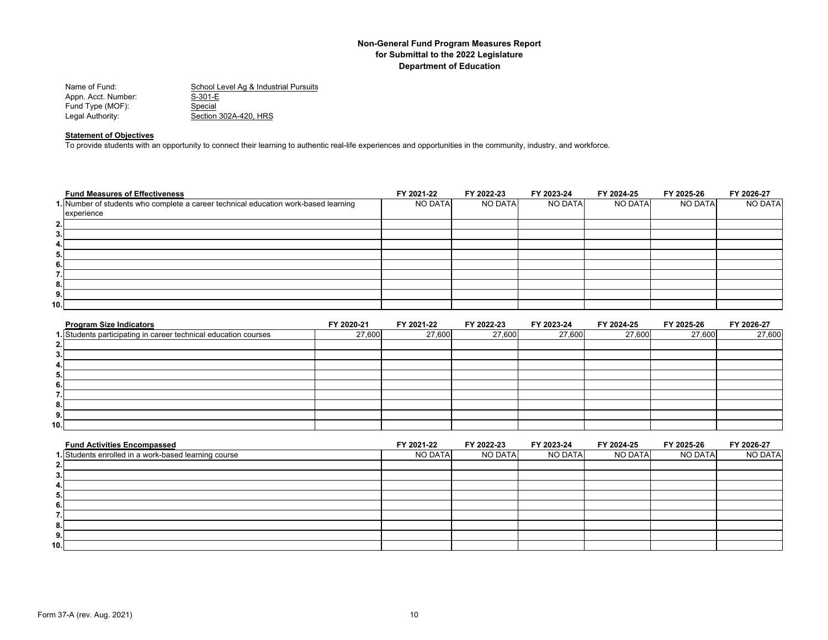| School Level Ag & Industrial Pursuits |
|---------------------------------------|
| $S-301-E$                             |
| Special                               |
| Section 302A-420, HRS                 |
|                                       |

#### **Statement of Objectives**

To provide students with an opportunity to connect their learning to authentic real-life experiences and opportunities in the community, industry, and workforce.

|     | <b>Fund Measures of Effectiveness</b>                                               | FY 2021-22 | FY 2022-23 | FY 2023-24 | FY 2024-25 | FY 2025-26 | FY 2026-27 |
|-----|-------------------------------------------------------------------------------------|------------|------------|------------|------------|------------|------------|
|     | 1. Number of students who complete a career technical education work-based learning | NO DATA    | NO DATA    | NO DATA    | NO DATA    | NO DATA    | NO DATA    |
|     | experience                                                                          |            |            |            |            |            |            |
| 2.  |                                                                                     |            |            |            |            |            |            |
| 3.  |                                                                                     |            |            |            |            |            |            |
| 4.  |                                                                                     |            |            |            |            |            |            |
| 5.  |                                                                                     |            |            |            |            |            |            |
| 6.  |                                                                                     |            |            |            |            |            |            |
| . . |                                                                                     |            |            |            |            |            |            |
| 8.  |                                                                                     |            |            |            |            |            |            |
| 9.  |                                                                                     |            |            |            |            |            |            |
| 10. |                                                                                     |            |            |            |            |            |            |

| <b>Program Size Indicators</b>                                  | FY 2020-21 | FY 2021-22 | FY 2022-23 | FY 2023-24 | FY 2024-25 | FY 2025-26 | FY 2026-27 |
|-----------------------------------------------------------------|------------|------------|------------|------------|------------|------------|------------|
| 1. Students participating in career technical education courses | 27,600     | 27,600     | 27,600     | 27,600     | 27,600     | 27,600     | 27,600     |
| 2.                                                              |            |            |            |            |            |            |            |
| 3.                                                              |            |            |            |            |            |            |            |
| 4.                                                              |            |            |            |            |            |            |            |
| Ð.                                                              |            |            |            |            |            |            |            |
| ь.                                                              |            |            |            |            |            |            |            |
|                                                                 |            |            |            |            |            |            |            |
| 8.                                                              |            |            |            |            |            |            |            |
| 9.                                                              |            |            |            |            |            |            |            |
| 10.1                                                            |            |            |            |            |            |            |            |

| <b>Fund Activities Encompassed</b>                   | FY 2021-22 | FY 2022-23 | FY 2023-24 | FY 2024-25 | FY 2025-26 | FY 2026-27 |
|------------------------------------------------------|------------|------------|------------|------------|------------|------------|
| 1. Students enrolled in a work-based learning course | NO DATA    | NO DATA    | NO DATA    | NO DATA    | NO DATA    | NO DATA    |
| 2.1                                                  |            |            |            |            |            |            |
| 3.                                                   |            |            |            |            |            |            |
| 4.                                                   |            |            |            |            |            |            |
| 5.                                                   |            |            |            |            |            |            |
| 6.                                                   |            |            |            |            |            |            |
|                                                      |            |            |            |            |            |            |
| 8.                                                   |            |            |            |            |            |            |
| 9.                                                   |            |            |            |            |            |            |
| 10.1                                                 |            |            |            |            |            |            |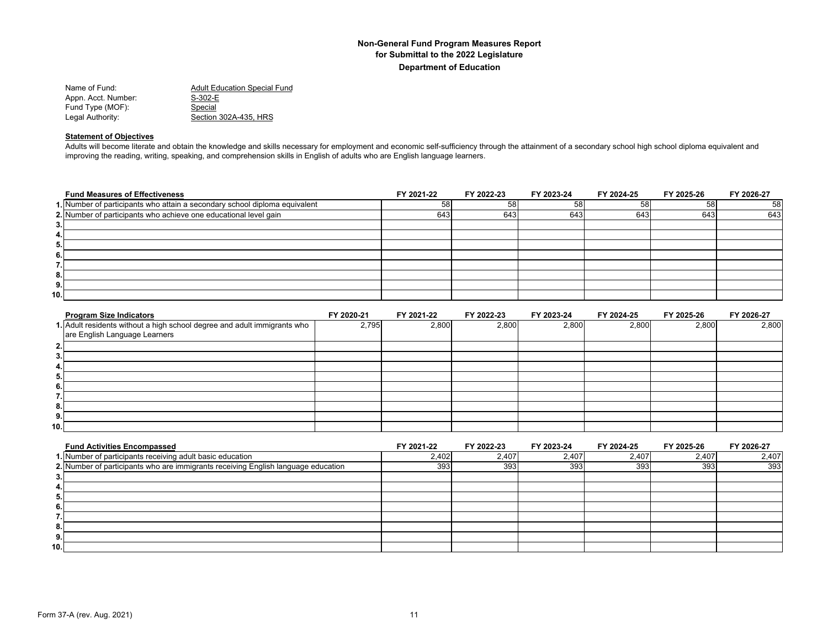| Name of Fund:       | <b>Adult Education Special Fund</b> |
|---------------------|-------------------------------------|
| Appn. Acct. Number: | $S-302-E$                           |
| Fund Type (MOF):    | Special                             |
| Legal Authority:    | Section 302A-435. HRS               |

#### **Statement of Objectives**

Adults will become literate and obtain the knowledge and skills necessary for employment and economic self-sufficiency through the attainment of a secondary school high school diploma equivalent and improving the reading, writing, speaking, and comprehension skills in English of adults who are English language learners.

|      | <b>Fund Measures of Effectiveness</b>                                      | FY 2021-22 | FY 2022-23 | FY 2023-24 | FY 2024-25 | FY 2025-26 | FY 2026-27 |
|------|----------------------------------------------------------------------------|------------|------------|------------|------------|------------|------------|
|      | 1. Number of participants who attain a secondary school diploma equivalent | 58         | 58         | 58         | 58         | 58         | 58         |
|      | 2. Number of participants who achieve one educational level gain           | 643        | 643        | 643        | 643        | 643        | 643        |
| 3.1  |                                                                            |            |            |            |            |            |            |
| 4.   |                                                                            |            |            |            |            |            |            |
| 5.   |                                                                            |            |            |            |            |            |            |
| 6.   |                                                                            |            |            |            |            |            |            |
| 7.I  |                                                                            |            |            |            |            |            |            |
| 8.   |                                                                            |            |            |            |            |            |            |
| 9.1  |                                                                            |            |            |            |            |            |            |
| 10.I |                                                                            |            |            |            |            |            |            |

| <b>Program Size Indicators</b>                                           | FY 2020-21 | FY 2021-22 | FY 2022-23 | FY 2023-24 | FY 2024-25 | FY 2025-26 | FY 2026-27 |
|--------------------------------------------------------------------------|------------|------------|------------|------------|------------|------------|------------|
| 1. Adult residents without a high school degree and adult immigrants who | 2,795      | 2,800      | 2,800      | 2,800      | 2,800      | 2,800      | 2,800      |
| are English Language Learners                                            |            |            |            |            |            |            |            |
| 2.                                                                       |            |            |            |            |            |            |            |
| 3.                                                                       |            |            |            |            |            |            |            |
| 4.1                                                                      |            |            |            |            |            |            |            |
| 5.                                                                       |            |            |            |            |            |            |            |
| 6.                                                                       |            |            |            |            |            |            |            |
| $\overline{\phantom{a}}$<br>.                                            |            |            |            |            |            |            |            |
| 8.                                                                       |            |            |            |            |            |            |            |
| 9.                                                                       |            |            |            |            |            |            |            |
| 10.1                                                                     |            |            |            |            |            |            |            |

| <b>Fund Activities Encompassed</b>                                                | FY 2021-22 | FY 2022-23 | FY 2023-24 | FY 2024-25 | FY 2025-26 | FY 2026-27 |
|-----------------------------------------------------------------------------------|------------|------------|------------|------------|------------|------------|
| 1. Number of participants receiving adult basic education                         | 2,402      | 2,407      | 2,407      | 2,407      | 2,407      | 2,407      |
| 2. Number of participants who are immigrants receiving English language education | 393        | 393        | 393        | 393        | 393        | 393        |
| 3                                                                                 |            |            |            |            |            |            |
| 4.                                                                                |            |            |            |            |            |            |
| Ð.                                                                                |            |            |            |            |            |            |
| 6                                                                                 |            |            |            |            |            |            |
|                                                                                   |            |            |            |            |            |            |
| 8.                                                                                |            |            |            |            |            |            |
| 9.                                                                                |            |            |            |            |            |            |
| 10.                                                                               |            |            |            |            |            |            |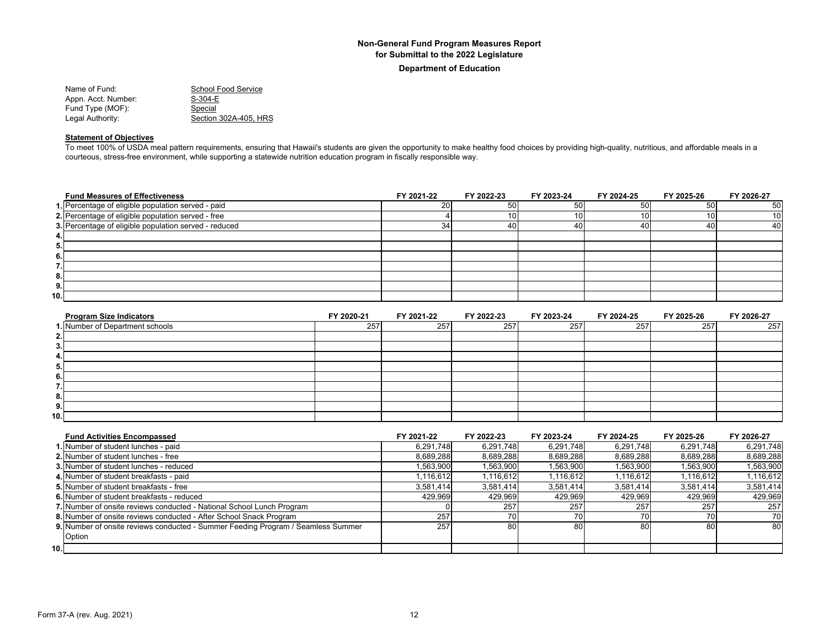**Department of Education**

| School Food Service   |
|-----------------------|
| $S-304-E$             |
| Special               |
| Section 302A-405, HRS |
|                       |

#### **Statement of Objectives**

To meet 100% of USDA meal pattern requirements, ensuring that Hawaii's students are given the opportunity to make healthy food choices by providing high-quality, nutritious, and affordable meals in a courteous, stress-free environment, while supporting a statewide nutrition education program in fiscally responsible way.

| <b>Fund Measures of Effectiveness</b>                 | FY 2021-22 | FY 2022-23 | FY 2023-24 | FY 2024-25 | FY 2025-26 | FY 2026-27      |
|-------------------------------------------------------|------------|------------|------------|------------|------------|-----------------|
| 1. Percentage of eligible population served - paid    | 20         | 50         | 50         | 501        | 50         | 50              |
| 2. Percentage of eligible population served - free    |            | 10ı        |            | 10 I       | 10I        | 10 <sup>1</sup> |
| 3. Percentage of eligible population served - reduced | 34         | 40         |            | 40         | 40         | 40              |
| 4.,                                                   |            |            |            |            |            |                 |
| 5.                                                    |            |            |            |            |            |                 |
| 6.                                                    |            |            |            |            |            |                 |
| . .                                                   |            |            |            |            |            |                 |
| 8.                                                    |            |            |            |            |            |                 |
| 9.                                                    |            |            |            |            |            |                 |
| 10.                                                   |            |            |            |            |            |                 |

| <b>Program Size Indicators</b>  | FY 2020-21 | FY 2021-22 | FY 2022-23 | FY 2023-24 | FY 2024-25 | FY 2025-26 | FY 2026-27 |
|---------------------------------|------------|------------|------------|------------|------------|------------|------------|
| 1. Number of Department schools | 257        | 257        | 257        | 257        | 257        | 257        | 257        |
| 2.                              |            |            |            |            |            |            |            |
| 3.                              |            |            |            |            |            |            |            |
| 4.                              |            |            |            |            |            |            |            |
| 5.                              |            |            |            |            |            |            |            |
| 6.                              |            |            |            |            |            |            |            |
| $\overline{\phantom{a}}$<br>. . |            |            |            |            |            |            |            |
| 8.                              |            |            |            |            |            |            |            |
| 9.                              |            |            |            |            |            |            |            |
| 10.                             |            |            |            |            |            |            |            |

| <b>Fund Activities Encompassed</b>                                               | FY 2021-22 | FY 2022-23 | FY 2023-24 | FY 2024-25 | FY 2025-26 | FY 2026-27 |
|----------------------------------------------------------------------------------|------------|------------|------------|------------|------------|------------|
| 1. Number of student lunches - paid                                              | 6,291,748  | 6,291,748  | 6,291,748  | 6,291,748  | 6,291,748  | 6,291,748  |
| 2. Number of student lunches - free                                              | 8,689,288  | 8,689,288  | 8,689,288  | 8,689,288  | 8,689,288  | 8,689,288  |
| 3. Number of student lunches - reduced                                           | 1,563,900  | 1,563,900  | 1,563,900  | 1,563,900  | 1,563,900  | 1,563,900  |
| 4. Number of student breakfasts - paid                                           | 1.116.612  | 1.116.612  | 1.116.612  | 1.116.612  | 1,116,612  | 1,116,612  |
| 5. Number of student breakfasts - free                                           | 3.581.414  | 3,581,414  | 3,581,414  | 3,581,414  | 3.581.414  | 3,581,414  |
| 6. Number of student breakfasts - reduced                                        | 429,969    | 429,969    | 429,969    | 429,969    | 429,969    | 429,969    |
| 7. Number of onsite reviews conducted - National School Lunch Program            |            | 257        | 257        | 257        | 257        | 257        |
| 8. Number of onsite reviews conducted - After School Snack Program               | 257        |            |            | 70         |            | 70         |
| 9. Number of onsite reviews conducted - Summer Feeding Program / Seamless Summer | 257        | 80         | 80         | 80         | 80         | 80         |
| Option                                                                           |            |            |            |            |            |            |
| 10.1                                                                             |            |            |            |            |            |            |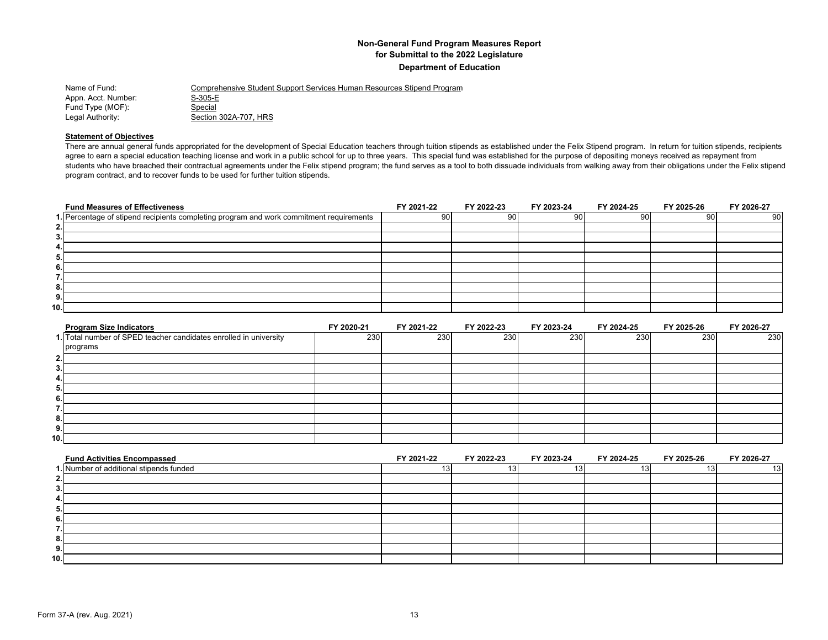| Name of Fund:       | Comprehensive Student Support Services Human Resources Stipend Program |
|---------------------|------------------------------------------------------------------------|
| Appn. Acct. Number: | S-305-E                                                                |
| Fund Type (MOF):    | Special                                                                |
| Legal Authority:    | Section 302A-707. HRS                                                  |

#### **Statement of Objectives**

There are annual general funds appropriated for the development of Special Education teachers through tuition stipends as established under the Felix Stipend program. In return for tuition stipends, recipients agree to earn a special education teaching license and work in a public school for up to three years. This special fund was established for the purpose of depositing moneys received as repayment from students who have breached their contractual agreements under the Felix stipend program; the fund serves as a tool to both dissuade individuals from walking away from their obligations under the Felix stipend program contract, and to recover funds to be used for further tuition stipends.

|                   | <b>Fund Measures of Effectiveness</b>                                                   | FY 2021-22 | FY 2022-23 | FY 2023-24 | FY 2024-25 | FY 2025-26 | FY 2026-27 |
|-------------------|-----------------------------------------------------------------------------------------|------------|------------|------------|------------|------------|------------|
|                   | 1. Percentage of stipend recipients completing program and work commitment requirements | 90         | 90         | 90         | 90 l       | 90 l       | 90         |
| 2.1               |                                                                                         |            |            |            |            |            |            |
| 3.1               |                                                                                         |            |            |            |            |            |            |
| 4.1               |                                                                                         |            |            |            |            |            |            |
| 5.1               |                                                                                         |            |            |            |            |            |            |
| 6.1               |                                                                                         |            |            |            |            |            |            |
| ⇁<br>$\mathbf{L}$ |                                                                                         |            |            |            |            |            |            |
| 8.                |                                                                                         |            |            |            |            |            |            |
| 9.1               |                                                                                         |            |            |            |            |            |            |
| 10.I              |                                                                                         |            |            |            |            |            |            |

| <b>Program Size Indicators</b>                                    | FY 2020-21 | FY 2021-22 | FY 2022-23 | FY 2023-24 | FY 2024-25 | FY 2025-26 | FY 2026-27 |
|-------------------------------------------------------------------|------------|------------|------------|------------|------------|------------|------------|
| 1. Total number of SPED teacher candidates enrolled in university | 230        | 230        | 230        | 230        | 230        | 230        | 230        |
| programs                                                          |            |            |            |            |            |            |            |
| 2.                                                                |            |            |            |            |            |            |            |
| 3                                                                 |            |            |            |            |            |            |            |
|                                                                   |            |            |            |            |            |            |            |
| 5.                                                                |            |            |            |            |            |            |            |
| 6.                                                                |            |            |            |            |            |            |            |
|                                                                   |            |            |            |            |            |            |            |
| -8.                                                               |            |            |            |            |            |            |            |
| 9.                                                                |            |            |            |            |            |            |            |
| 10.                                                               |            |            |            |            |            |            |            |

| <b>Fund Activities Encompassed</b>      | FY 2021-22 | FY 2022-23 | FY 2023-24 | FY 2024-25 | FY 2025-26 | FY 2026-27 |
|-----------------------------------------|------------|------------|------------|------------|------------|------------|
| 1. Number of additional stipends funded |            |            |            |            |            | 13         |
|                                         |            |            |            |            |            |            |
|                                         |            |            |            |            |            |            |
|                                         |            |            |            |            |            |            |
|                                         |            |            |            |            |            |            |
|                                         |            |            |            |            |            |            |
|                                         |            |            |            |            |            |            |
| o.                                      |            |            |            |            |            |            |
| э.                                      |            |            |            |            |            |            |
| 10.1                                    |            |            |            |            |            |            |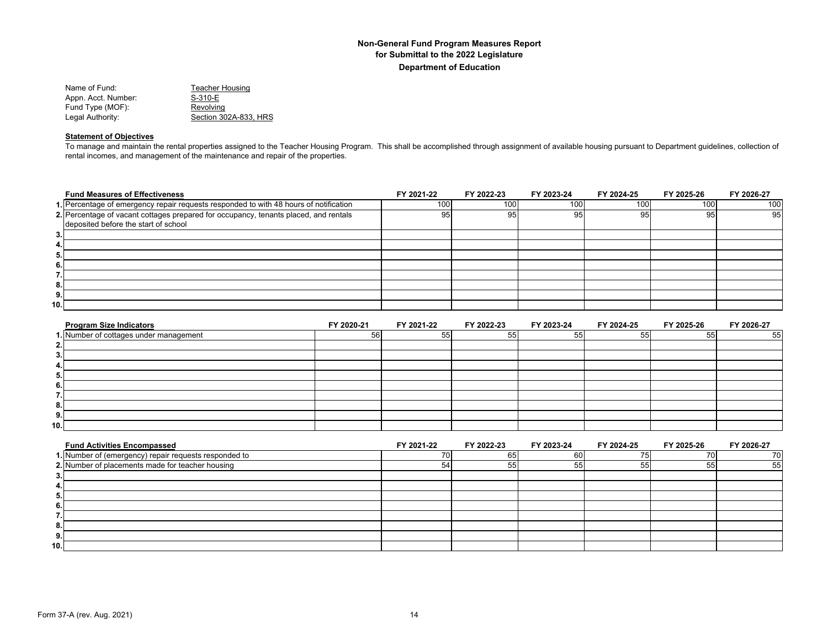| Name of Fund:       | Teacher Housing       |
|---------------------|-----------------------|
| Appn. Acct. Number: | S-310-E               |
| Fund Type (MOF):    | Revolving             |
| Legal Authority:    | Section 302A-833. HRS |

#### **Statement of Objectives**

To manage and maintain the rental properties assigned to the Teacher Housing Program. This shall be accomplished through assignment of available housing pursuant to Department guidelines, collection of rental incomes, and management of the maintenance and repair of the properties.

|     | <b>Fund Measures of Effectiveness</b>                                                 | FY 2021-22 | FY 2022-23 | FY 2023-24 | FY 2024-25 | FY 2025-26       | FY 2026-27 |
|-----|---------------------------------------------------------------------------------------|------------|------------|------------|------------|------------------|------------|
|     | 1. Percentage of emergency repair requests responded to with 48 hours of notification | 100        | 100        | 100        | 100        | 100 <sub>1</sub> | 100        |
|     | 2. Percentage of vacant cottages prepared for occupancy, tenants placed, and rentals  | 95         | 95         | 95         | 95         | 95               | 95         |
|     | deposited before the start of school                                                  |            |            |            |            |                  |            |
| 3.  |                                                                                       |            |            |            |            |                  |            |
| 4.  |                                                                                       |            |            |            |            |                  |            |
| 5.  |                                                                                       |            |            |            |            |                  |            |
| 6.  |                                                                                       |            |            |            |            |                  |            |
| . . |                                                                                       |            |            |            |            |                  |            |
| 8.  |                                                                                       |            |            |            |            |                  |            |
| 9.  |                                                                                       |            |            |            |            |                  |            |
| 10. |                                                                                       |            |            |            |            |                  |            |

| <b>Program Size Indicators</b>         | FY 2020-21 | FY 2021-22 | FY 2022-23 | FY 2023-24 | FY 2024-25 | FY 2025-26 | FY 2026-27 |
|----------------------------------------|------------|------------|------------|------------|------------|------------|------------|
| 1. Number of cottages under management | 56         | 55         | 55         | 55         | 55         | 55         | 55         |
| ຳ<br><b>L.</b>                         |            |            |            |            |            |            |            |
| Ĵ.                                     |            |            |            |            |            |            |            |
| 4.                                     |            |            |            |            |            |            |            |
| ರ.                                     |            |            |            |            |            |            |            |
| 6.                                     |            |            |            |            |            |            |            |
|                                        |            |            |            |            |            |            |            |
| 8.                                     |            |            |            |            |            |            |            |
| 9.                                     |            |            |            |            |            |            |            |
| 10.1                                   |            |            |            |            |            |            |            |

| <b>Fund Activities Encompassed</b>                    | FY 2021-22 | FY 2022-23 | FY 2023-24 | FY 2024-25 | FY 2025-26 | FY 2026-27 |
|-------------------------------------------------------|------------|------------|------------|------------|------------|------------|
| 1. Number of (emergency) repair requests responded to |            | 65         | юu         |            |            | 70         |
| 2. Number of placements made for teacher housing      | 54         | 55         | 55         | 55         |            | 55         |
|                                                       |            |            |            |            |            |            |
|                                                       |            |            |            |            |            |            |
|                                                       |            |            |            |            |            |            |
|                                                       |            |            |            |            |            |            |
|                                                       |            |            |            |            |            |            |
|                                                       |            |            |            |            |            |            |
|                                                       |            |            |            |            |            |            |
| 10.1                                                  |            |            |            |            |            |            |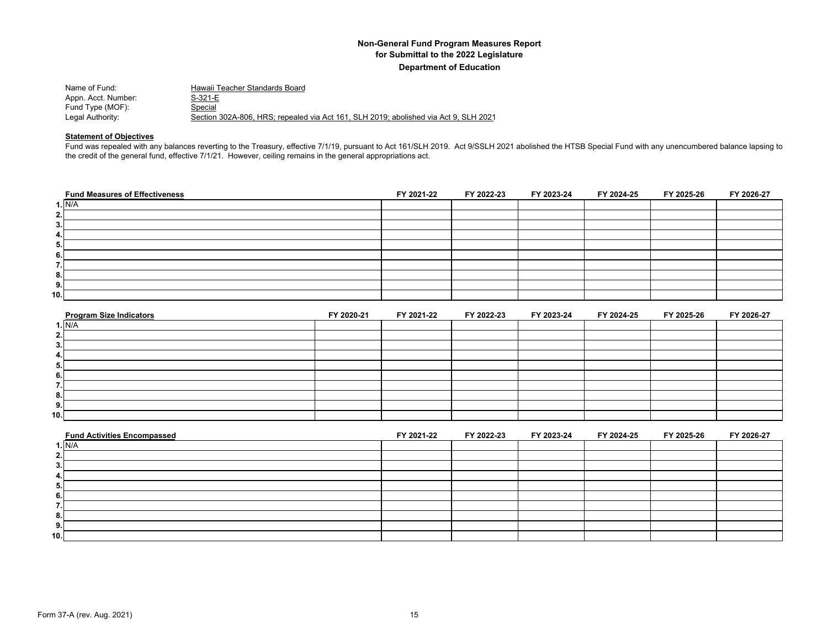| Name of Fund:       | Hawaii Teacher Standards Board                                                       |
|---------------------|--------------------------------------------------------------------------------------|
| Appn. Acct. Number: | S-321-E                                                                              |
| Fund Type (MOF):    | Special                                                                              |
| Legal Authority:    | Section 302A-806. HRS: repealed via Act 161. SLH 2019: abolished via Act 9. SLH 2021 |

#### **Statement of Objectives**

Fund was repealed with any balances reverting to the Treasury, effective 7/1/19, pursuant to Act 161/SLH 2019. Act 9/SSLH 2021 abolished the HTSB Special Fund with any unencumbered balance lapsing to the credit of the general fund, effective 7/1/21. However, ceiling remains in the general appropriations act.

| <b>Fund Measures of Effectiveness</b> | FY 2021-22 | FY 2022-23 | FY 2023-24 | FY 2024-25 | FY 2025-26 | FY 2026-27 |
|---------------------------------------|------------|------------|------------|------------|------------|------------|
| 1. N/A                                |            |            |            |            |            |            |
| 2.1                                   |            |            |            |            |            |            |
| 3.                                    |            |            |            |            |            |            |
| 4.                                    |            |            |            |            |            |            |
| 5.                                    |            |            |            |            |            |            |
| 6.                                    |            |            |            |            |            |            |
| . .                                   |            |            |            |            |            |            |
| 8.                                    |            |            |            |            |            |            |
| 9.                                    |            |            |            |            |            |            |
| 10.                                   |            |            |            |            |            |            |

| <b>Program Size Indicators</b> | FY 2020-21 | FY 2021-22 | FY 2022-23 | FY 2023-24 | FY 2024-25 | FY 2025-26 | FY 2026-27 |
|--------------------------------|------------|------------|------------|------------|------------|------------|------------|
| 1. N/A                         |            |            |            |            |            |            |            |
| 2.                             |            |            |            |            |            |            |            |
| 3.                             |            |            |            |            |            |            |            |
| 4.                             |            |            |            |            |            |            |            |
| . ა.                           |            |            |            |            |            |            |            |
| 6.                             |            |            |            |            |            |            |            |
| . .                            |            |            |            |            |            |            |            |
| 8.                             |            |            |            |            |            |            |            |
| 9.                             |            |            |            |            |            |            |            |
| 10.1                           |            |            |            |            |            |            |            |

| <b>Fund Activities Encompassed</b> | FY 2021-22 | FY 2022-23 | FY 2023-24 | FY 2024-25 | FY 2025-26 | FY 2026-27 |
|------------------------------------|------------|------------|------------|------------|------------|------------|
| 1. N/A                             |            |            |            |            |            |            |
| 2.                                 |            |            |            |            |            |            |
| 3.                                 |            |            |            |            |            |            |
| -4.                                |            |            |            |            |            |            |
| 5.                                 |            |            |            |            |            |            |
| 6.                                 |            |            |            |            |            |            |
|                                    |            |            |            |            |            |            |
| 8.                                 |            |            |            |            |            |            |
| 9.                                 |            |            |            |            |            |            |
| 10.                                |            |            |            |            |            |            |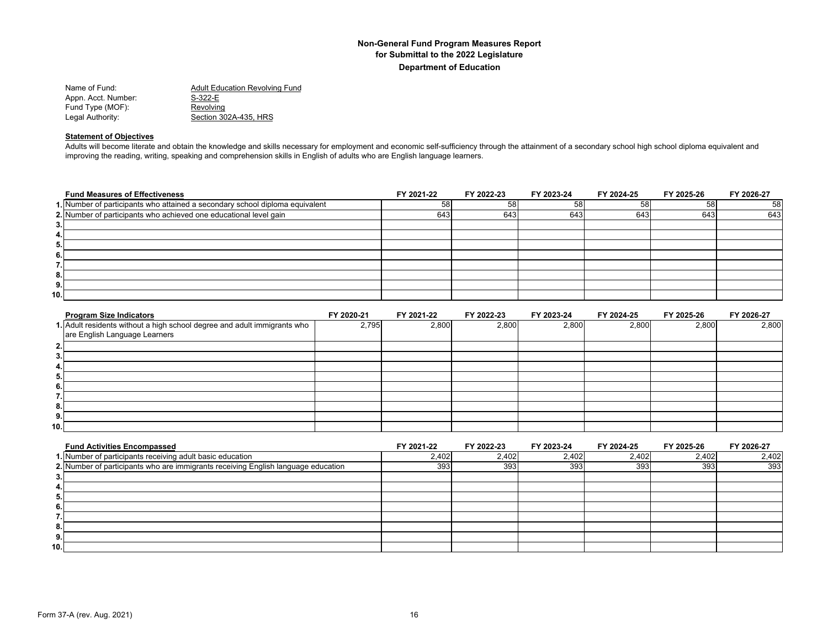| <b>Adult Education Revolving Fund</b> |
|---------------------------------------|
| S-322-E                               |
| Revolving                             |
| Section 302A-435. HRS                 |
|                                       |

#### **Statement of Objectives**

Adults will become literate and obtain the knowledge and skills necessary for employment and economic self-sufficiency through the attainment of a secondary school high school diploma equivalent and improving the reading, writing, speaking and comprehension skills in English of adults who are English language learners.

|      | <b>Fund Measures of Effectiveness</b>                                        | FY 2021-22 | FY 2022-23 | FY 2023-24 | FY 2024-25 | FY 2025-26 | FY 2026-27 |
|------|------------------------------------------------------------------------------|------------|------------|------------|------------|------------|------------|
|      | 1. Number of participants who attained a secondary school diploma equivalent | 58         | 58         | 58         | 58         | 58         | 58         |
|      | 2. Number of participants who achieved one educational level gain            | 643        | 643        | 643        | 643        | 643        | 643        |
| 3.1  |                                                                              |            |            |            |            |            |            |
| 4.   |                                                                              |            |            |            |            |            |            |
| 5.   |                                                                              |            |            |            |            |            |            |
| 6.   |                                                                              |            |            |            |            |            |            |
| 7.I  |                                                                              |            |            |            |            |            |            |
| 8.   |                                                                              |            |            |            |            |            |            |
| 9.1  |                                                                              |            |            |            |            |            |            |
| 10.I |                                                                              |            |            |            |            |            |            |

| <b>Program Size Indicators</b>                                           | FY 2020-21 | FY 2021-22 | FY 2022-23 | FY 2023-24 | FY 2024-25 | FY 2025-26 | FY 2026-27 |
|--------------------------------------------------------------------------|------------|------------|------------|------------|------------|------------|------------|
| 1. Adult residents without a high school degree and adult immigrants who | 2,795      | 2,800      | 2,800      | 2,800      | 2,800      | 2,800      | 2,800      |
| are English Language Learners                                            |            |            |            |            |            |            |            |
| 2.                                                                       |            |            |            |            |            |            |            |
| 3.                                                                       |            |            |            |            |            |            |            |
| 4.1                                                                      |            |            |            |            |            |            |            |
| 5.                                                                       |            |            |            |            |            |            |            |
| 6.                                                                       |            |            |            |            |            |            |            |
| $\overline{\phantom{a}}$<br>.                                            |            |            |            |            |            |            |            |
| 8.                                                                       |            |            |            |            |            |            |            |
| 9.                                                                       |            |            |            |            |            |            |            |
| 10.1                                                                     |            |            |            |            |            |            |            |

| <b>Fund Activities Encompassed</b>                                                | FY 2021-22 | FY 2022-23 | FY 2023-24 | FY 2024-25 | FY 2025-26 | FY 2026-27 |
|-----------------------------------------------------------------------------------|------------|------------|------------|------------|------------|------------|
| 1. Number of participants receiving adult basic education                         | 2,402      | 2,402      | 2,402      | 2,402      | 2,402      | 2,402      |
| 2. Number of participants who are immigrants receiving English language education | 393        | 393        | 393        | 393        | 393        | 393        |
| 3.                                                                                |            |            |            |            |            |            |
| 4.                                                                                |            |            |            |            |            |            |
| 5.                                                                                |            |            |            |            |            |            |
| - 6.                                                                              |            |            |            |            |            |            |
|                                                                                   |            |            |            |            |            |            |
| 8.                                                                                |            |            |            |            |            |            |
| 9.                                                                                |            |            |            |            |            |            |
| 10.                                                                               |            |            |            |            |            |            |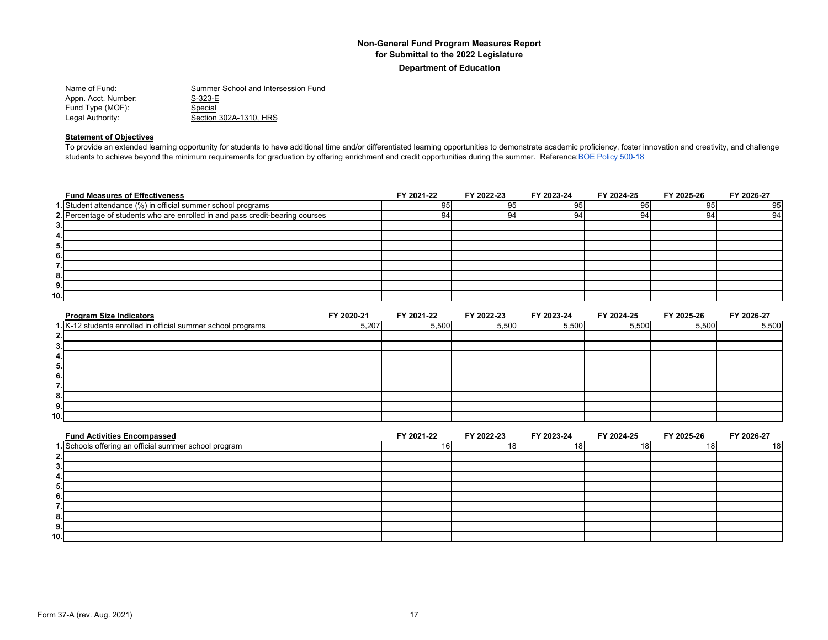| Summer School and Intersession Fund |
|-------------------------------------|
| $S-323-E$                           |
| Special                             |
| Section 302A-1310, HRS              |
|                                     |

#### **Statement of Objectives**

To provide an extended learning opportunity for students to have additional time and/or differentiated learning opportunities to demonstrate academic proficiency, foster innovation and creativity, and challenge students to achieve beyond the minimum requirements for graduation by offering enrichment and credit opportunities during the summer. Reference: BOE Policy 500-18

| <b>Fund Measures of Effectiveness</b>                                         | FY 2021-22 | FY 2022-23 | FY 2023-24 | FY 2024-25 | FY 2025-26 | FY 2026-27 |
|-------------------------------------------------------------------------------|------------|------------|------------|------------|------------|------------|
| 1. Student attendance (%) in official summer school programs                  | 95         | 95         | 95         | 95         | 95         | 95         |
| 2. Percentage of students who are enrolled in and pass credit-bearing courses | 94         | 94         | 94         | 94         | 94         | 94         |
| 3.1                                                                           |            |            |            |            |            |            |
| 4.I                                                                           |            |            |            |            |            |            |
| 5.                                                                            |            |            |            |            |            |            |
| 6.1                                                                           |            |            |            |            |            |            |
| .                                                                             |            |            |            |            |            |            |
| 8.                                                                            |            |            |            |            |            |            |
| 9.                                                                            |            |            |            |            |            |            |
| 10.I                                                                          |            |            |            |            |            |            |

| <b>Program Size Indicators</b>                               | FY 2020-21 | FY 2021-22 | FY 2022-23 | FY 2023-24 | FY 2024-25 | FY 2025-26 | FY 2026-27 |
|--------------------------------------------------------------|------------|------------|------------|------------|------------|------------|------------|
| 1. K-12 students enrolled in official summer school programs | 5,207      | 5,500      | 5,500      | 5,500      | 5,500      | 5,500      | 5,500      |
| 2.                                                           |            |            |            |            |            |            |            |
| 3.                                                           |            |            |            |            |            |            |            |
| 4.                                                           |            |            |            |            |            |            |            |
| 5.                                                           |            |            |            |            |            |            |            |
| 6.                                                           |            |            |            |            |            |            |            |
|                                                              |            |            |            |            |            |            |            |
| 8.                                                           |            |            |            |            |            |            |            |
| 9.                                                           |            |            |            |            |            |            |            |
| 10.1                                                         |            |            |            |            |            |            |            |

| <b>Fund Activities Encompassed</b>                    | FY 2021-22 | FY 2022-23 | FY 2023-24 | FY 2024-25 | FY 2025-26 | FY 2026-27 |
|-------------------------------------------------------|------------|------------|------------|------------|------------|------------|
| 1. Schools offering an official summer school program | 16         | 18         | 18         | 181        |            | 18 I       |
|                                                       |            |            |            |            |            |            |
|                                                       |            |            |            |            |            |            |
|                                                       |            |            |            |            |            |            |
|                                                       |            |            |            |            |            |            |
|                                                       |            |            |            |            |            |            |
|                                                       |            |            |            |            |            |            |
|                                                       |            |            |            |            |            |            |
|                                                       |            |            |            |            |            |            |
| 10.1                                                  |            |            |            |            |            |            |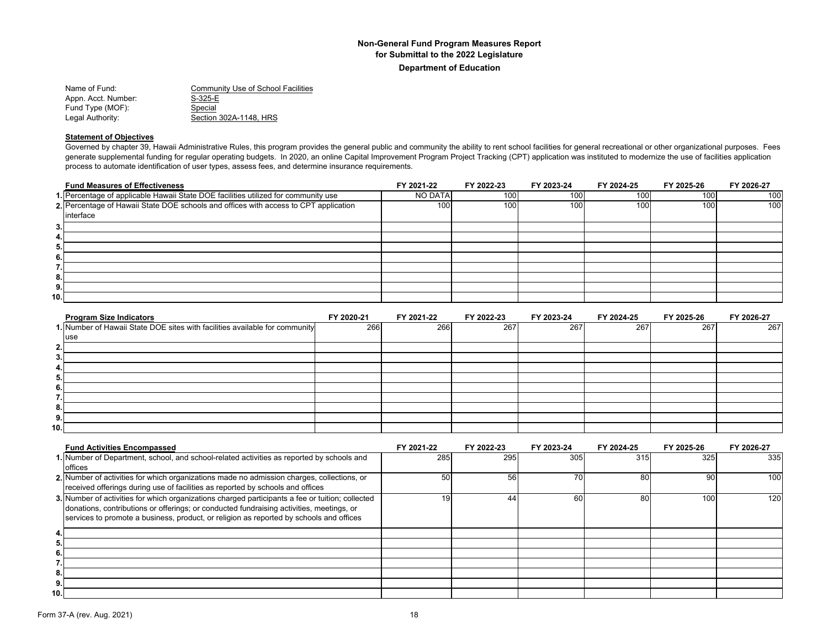Name of Fund: Community Use of School Facilities Appn. Acct. Number: S-325-E<br>Fund Type (MOF): Special Fund Type (MOF): Legal Authority: Section 302A-1148, HRS

#### **Statement of Objectives**

Governed by chapter 39, Hawaii Administrative Rules, this program provides the general public and community the ability to rent school facilities for general recreational or other organizational purposes. Fees generate supplemental funding for regular operating budgets. In 2020, an online Capital Improvement Program Project Tracking (CPT) application was instituted to modernize the use of facilities application process to automate identification of user types, assess fees, and determine insurance requirements.

| <b>Fund Measures of Effectiveness</b>                                                | FY 2021-22     | FY 2022-23 | FY 2023-24 | FY 2024-25 | FY 2025-26       | FY 2026-27 |
|--------------------------------------------------------------------------------------|----------------|------------|------------|------------|------------------|------------|
| 1. Percentage of applicable Hawaii State DOE facilities utilized for community use   | <b>NO DATA</b> | 100        | 100        | 100        | 100              | 100        |
| 2. Percentage of Hawaii State DOE schools and offices with access to CPT application | 100            | 100        | 100        | 100        | 100 <sub>1</sub> | 100        |
| interface                                                                            |                |            |            |            |                  |            |
| 3.                                                                                   |                |            |            |            |                  |            |
| 4.                                                                                   |                |            |            |            |                  |            |
| 5.                                                                                   |                |            |            |            |                  |            |
| 6.                                                                                   |                |            |            |            |                  |            |
| . .                                                                                  |                |            |            |            |                  |            |
| 8.                                                                                   |                |            |            |            |                  |            |
| 9.                                                                                   |                |            |            |            |                  |            |
| 10.                                                                                  |                |            |            |            |                  |            |

|      | <b>Program Size Indicators</b>                                              | FY 2020-21 | FY 2021-22 | FY 2022-23 | FY 2023-24 | FY 2024-25 | FY 2025-26 | FY 2026-27 |
|------|-----------------------------------------------------------------------------|------------|------------|------------|------------|------------|------------|------------|
|      | 1. Number of Hawaii State DOE sites with facilities available for community | 266        | 266        | 267        | 267        | 267        | 267        | 267        |
|      | use                                                                         |            |            |            |            |            |            |            |
| ຳ    |                                                                             |            |            |            |            |            |            |            |
| З.   |                                                                             |            |            |            |            |            |            |            |
| 4.   |                                                                             |            |            |            |            |            |            |            |
| 5.   |                                                                             |            |            |            |            |            |            |            |
| 6.   |                                                                             |            |            |            |            |            |            |            |
|      |                                                                             |            |            |            |            |            |            |            |
| 8.   |                                                                             |            |            |            |            |            |            |            |
| 9.   |                                                                             |            |            |            |            |            |            |            |
| 10.1 |                                                                             |            |            |            |            |            |            |            |

|     | <b>Fund Activities Encompassed</b>                                                               | FY 2021-22 | FY 2022-23 | FY 2023-24      | FY 2024-25 | FY 2025-26 | FY 2026-27 |
|-----|--------------------------------------------------------------------------------------------------|------------|------------|-----------------|------------|------------|------------|
|     | 1. Number of Department, school, and school-related activities as reported by schools and        | 285        | 295        | 305             | 315        | 325        | 335        |
|     | offices                                                                                          |            |            |                 |            |            |            |
|     | 2. Number of activities for which organizations made no admission charges, collections, or       | 50         | 56         | 70 <sub>1</sub> | 80         | 90         | 100        |
|     | received offerings during use of facilities as reported by schools and offices                   |            |            |                 |            |            |            |
|     | 3. Number of activities for which organizations charged participants a fee or tuition; collected | 19         | 44         | 60              | 80         | 100        | 120        |
|     | donations, contributions or offerings; or conducted fundraising activities, meetings, or         |            |            |                 |            |            |            |
|     | services to promote a business, product, or religion as reported by schools and offices          |            |            |                 |            |            |            |
| 4.  |                                                                                                  |            |            |                 |            |            |            |
| 5.  |                                                                                                  |            |            |                 |            |            |            |
| 6.  |                                                                                                  |            |            |                 |            |            |            |
|     |                                                                                                  |            |            |                 |            |            |            |
| 8.  |                                                                                                  |            |            |                 |            |            |            |
| 9.  |                                                                                                  |            |            |                 |            |            |            |
| 10. |                                                                                                  |            |            |                 |            |            |            |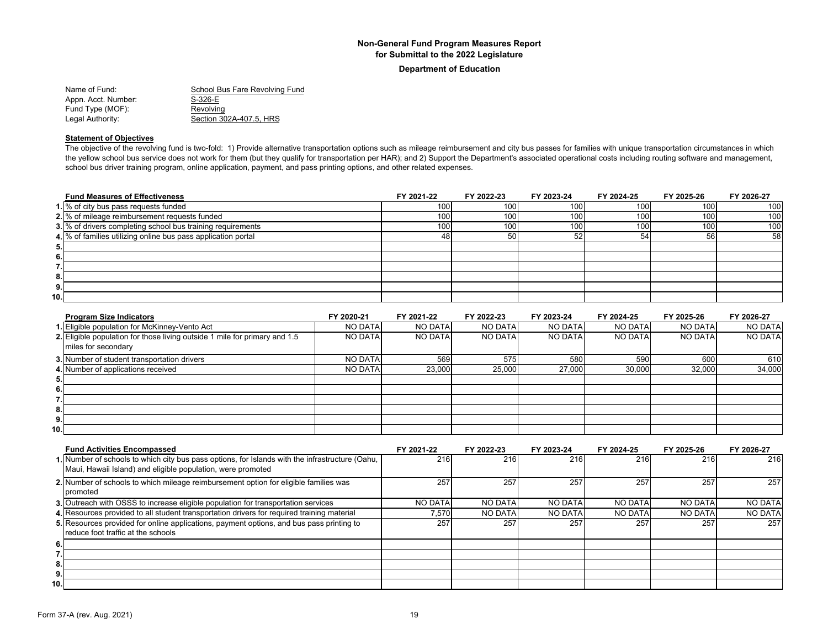#### **Department of Education**

Name of Fund: School Bus Fare Revolving Fund<br>
Appn. Acct. Number: S-326-E Appn. Acct. Number: Fund Type (MOF): Revolving Legal Authority: Section 302A-407.5, HRS

#### **Statement of Objectives**

The objective of the revolving fund is two-fold: 1) Provide alternative transportation options such as mileage reimbursement and city bus passes for families with unique transportation circumstances in which the yellow school bus service does not work for them (but they qualify for transportation per HAR); and 2) Support the Department's associated operational costs including routing software and management, school bus driver training program, online application, payment, and pass printing options, and other related expenses.

| <b>Fund Measures of Effectiveness</b>                         | FY 2021-22 | FY 2022-23 | FY 2023-24 | FY 2024-25 | FY 2025-26 | FY 2026-27 |
|---------------------------------------------------------------|------------|------------|------------|------------|------------|------------|
| 1. % of city bus pass requests funded                         | 100        | 100        | 100        | 100        | 100        | 100        |
| 2. % of mileage reimbursement requests funded                 | 100        | 1001       | 100        | 100        | 100        | 100        |
| 3. % of drivers completing school bus training requirements   | 100        | 100        | 100        | 100        | 100        | 100        |
| 4. % of families utilizing online bus pass application portal | 48         | 50         | 52         | 54         | 56         | 58         |
| 5.                                                            |            |            |            |            |            |            |
| 6.                                                            |            |            |            |            |            |            |
|                                                               |            |            |            |            |            |            |
| 8.                                                            |            |            |            |            |            |            |
| 9.                                                            |            |            |            |            |            |            |
| 10.                                                           |            |            |            |            |            |            |

| <b>Program Size Indicators</b>                                             | FY 2020-21     | FY 2021-22     | FY 2022-23     | FY 2023-24     | FY 2024-25     | FY 2025-26     | FY 2026-27     |
|----------------------------------------------------------------------------|----------------|----------------|----------------|----------------|----------------|----------------|----------------|
| 1. Eligible population for McKinney-Vento Act                              | <b>NO DATA</b> | <b>NO DATA</b> | <b>NO DATA</b> | <b>NO DATA</b> | <b>NO DATA</b> | <b>NO DATA</b> | <b>NO DATA</b> |
| 2. Eligible population for those living outside 1 mile for primary and 1.5 | NO DATA        | <b>NO DATA</b> | <b>NO DATA</b> | <b>NO DATA</b> | <b>NO DATA</b> | <b>NO DATA</b> | <b>NO DATA</b> |
| miles for secondary                                                        |                |                |                |                |                |                |                |
| 3. Number of student transportation drivers                                | <b>NO DATA</b> | 569            | 575            | 580            | 590            | 600            | 610            |
| 4. Number of applications received                                         | <b>NO DATA</b> | 23,000         | 25,000         | 27.000         | 30,000         | 32,000         | 34,000         |
| 5.                                                                         |                |                |                |                |                |                |                |
| 6.                                                                         |                |                |                |                |                |                |                |
|                                                                            |                |                |                |                |                |                |                |
| 8.                                                                         |                |                |                |                |                |                |                |
| 9.                                                                         |                |                |                |                |                |                |                |
| 10.                                                                        |                |                |                |                |                |                |                |

|      | <b>Fund Activities Encompassed</b>                                                                                                                             | FY 2021-22     | FY 2022-23     | FY 2023-24     | FY 2024-25     | FY 2025-26     | FY 2026-27     |
|------|----------------------------------------------------------------------------------------------------------------------------------------------------------------|----------------|----------------|----------------|----------------|----------------|----------------|
|      | 1. Number of schools to which city bus pass options, for Islands with the infrastructure (Oahu,<br>Maui, Hawaii Island) and eligible population, were promoted | 216            | 216            | 216            | 216            | 216            | 216            |
|      | 2. Number of schools to which mileage reimbursement option for eligible families was<br>promoted                                                               | 257            | 257            | 257            | 257            | 257            | 257            |
|      | 3. Outreach with OSSS to increase eligible population for transportation services                                                                              | <b>NO DATA</b> | <b>NO DATA</b> | <b>NO DATA</b> | <b>NO DATA</b> | <b>NO DATA</b> | <b>NO DATA</b> |
|      | 4. Resources provided to all student transportation drivers for required training material                                                                     | 7.570          | <b>NO DATA</b> | <b>NO DATA</b> | NO DATA        | <b>NO DATA</b> | <b>NO DATA</b> |
|      | 5. Resources provided for online applications, payment options, and bus pass printing to<br>reduce foot traffic at the schools                                 | 257            | 257            | 257            | 257            | 257            | 257            |
| 6.   |                                                                                                                                                                |                |                |                |                |                |                |
|      |                                                                                                                                                                |                |                |                |                |                |                |
| 8.   |                                                                                                                                                                |                |                |                |                |                |                |
| 9.   |                                                                                                                                                                |                |                |                |                |                |                |
| 10.1 |                                                                                                                                                                |                |                |                |                |                |                |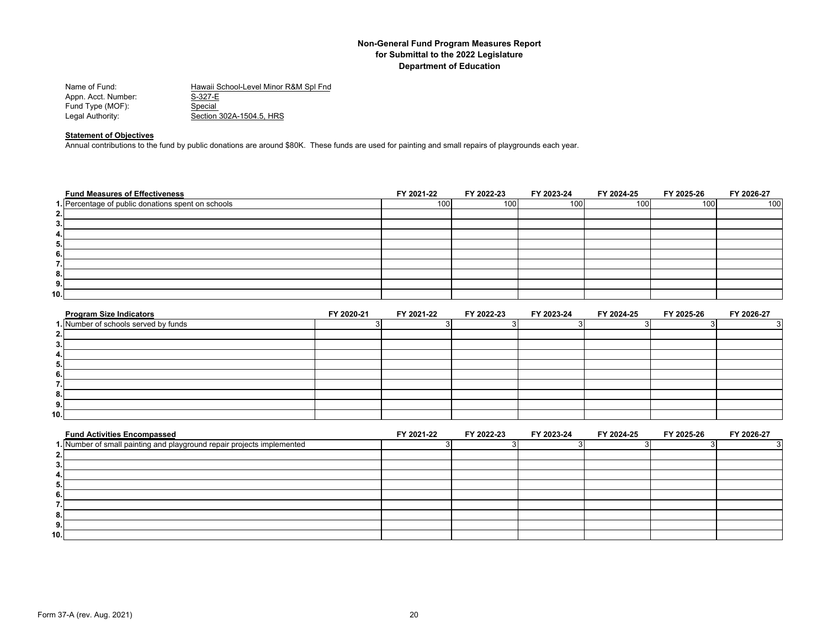| Name of Fund:       | Hawaii School-Level Minor R&M Spl Fnd |
|---------------------|---------------------------------------|
| Appn. Acct. Number: | S-327-E                               |
| Fund Type (MOF):    | Special                               |
| Legal Authority:    | Section 302A-1504.5. HRS              |

## **Statement of Objectives**

Annual contributions to the fund by public donations are around \$80K. These funds are used for painting and small repairs of playgrounds each year.

| <b>Fund Measures of Effectiveness</b>              | FY 2021-22 | FY 2022-23 | FY 2023-24 | FY 2024-25 | FY 2025-26 | FY 2026-27 |
|----------------------------------------------------|------------|------------|------------|------------|------------|------------|
| 1. Percentage of public donations spent on schools | 100        | 100        | 100        | 100        | 100        | 100        |
| 2.                                                 |            |            |            |            |            |            |
| 3.                                                 |            |            |            |            |            |            |
| 4.                                                 |            |            |            |            |            |            |
| 5.                                                 |            |            |            |            |            |            |
| 6.                                                 |            |            |            |            |            |            |
| $\overline{\phantom{a}}$<br>                       |            |            |            |            |            |            |
| 8.                                                 |            |            |            |            |            |            |
| 9.                                                 |            |            |            |            |            |            |
| 10.                                                |            |            |            |            |            |            |

| <b>Program Size Indicators</b>       | FY 2020-21 | FY 2021-22 | FY 2022-23 | FY 2023-24 | FY 2024-25 | FY 2025-26 | FY 2026-27 |
|--------------------------------------|------------|------------|------------|------------|------------|------------|------------|
| 1. Number of schools served by funds |            |            |            |            |            |            |            |
| ົ                                    |            |            |            |            |            |            |            |
| 3.                                   |            |            |            |            |            |            |            |
| 4.                                   |            |            |            |            |            |            |            |
| 5.                                   |            |            |            |            |            |            |            |
| 6.                                   |            |            |            |            |            |            |            |
|                                      |            |            |            |            |            |            |            |
| 8.                                   |            |            |            |            |            |            |            |
| 9.                                   |            |            |            |            |            |            |            |
| 10.1                                 |            |            |            |            |            |            |            |

| <b>Fund Activities Encompassed</b>                                     | FY 2021-22 | FY 2022-23 | FY 2023-24 | FY 2024-25 | FY 2025-26 | FY 2026-27 |
|------------------------------------------------------------------------|------------|------------|------------|------------|------------|------------|
| 1. Number of small painting and playground repair projects implemented |            |            |            |            |            |            |
|                                                                        |            |            |            |            |            |            |
|                                                                        |            |            |            |            |            |            |
|                                                                        |            |            |            |            |            |            |
|                                                                        |            |            |            |            |            |            |
|                                                                        |            |            |            |            |            |            |
|                                                                        |            |            |            |            |            |            |
|                                                                        |            |            |            |            |            |            |
| э.                                                                     |            |            |            |            |            |            |
| 10.1                                                                   |            |            |            |            |            |            |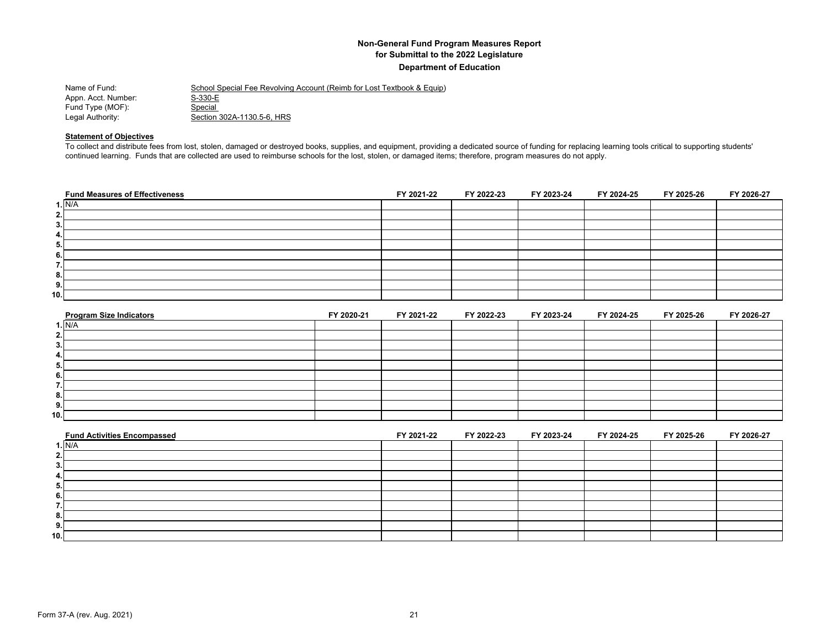| Name of Fund:       | School Special Fee Revolving Account (Reimb for Lost Textbook & Equip) |
|---------------------|------------------------------------------------------------------------|
| Appn. Acct. Number: | S-330-E                                                                |
| Fund Type (MOF):    | Special                                                                |
| Legal Authority:    | Section 302A-1130.5-6. HRS                                             |

#### **Statement of Objectives**

To collect and distribute fees from lost, stolen, damaged or destroyed books, supplies, and equipment, providing a dedicated source of funding for replacing learning tools critical to supporting students' continued learning. Funds that are collected are used to reimburse schools for the lost, stolen, or damaged items; therefore, program measures do not apply.

| <b>Fund Measures of Effectiveness</b> | FY 2021-22 | FY 2022-23 | FY 2023-24 | FY 2024-25 | FY 2025-26 | FY 2026-27 |
|---------------------------------------|------------|------------|------------|------------|------------|------------|
| 1. N/A                                |            |            |            |            |            |            |
| 2.1                                   |            |            |            |            |            |            |
| 3.                                    |            |            |            |            |            |            |
| 4.                                    |            |            |            |            |            |            |
| 5.                                    |            |            |            |            |            |            |
| 6.                                    |            |            |            |            |            |            |
| . .                                   |            |            |            |            |            |            |
| 8.                                    |            |            |            |            |            |            |
| 9.                                    |            |            |            |            |            |            |
| 10.                                   |            |            |            |            |            |            |

| <b>Program Size Indicators</b> | FY 2020-21 | FY 2021-22 | FY 2022-23 | FY 2023-24 | FY 2024-25 | FY 2025-26 | FY 2026-27 |
|--------------------------------|------------|------------|------------|------------|------------|------------|------------|
| 1. N/A                         |            |            |            |            |            |            |            |
| 2.                             |            |            |            |            |            |            |            |
| 3.                             |            |            |            |            |            |            |            |
| 4.                             |            |            |            |            |            |            |            |
| -5.                            |            |            |            |            |            |            |            |
| 6.                             |            |            |            |            |            |            |            |
|                                |            |            |            |            |            |            |            |
| 8.                             |            |            |            |            |            |            |            |
| 9.                             |            |            |            |            |            |            |            |
| 10.1                           |            |            |            |            |            |            |            |

| <b>Fund Activities Encompassed</b> | FY 2021-22 | FY 2022-23 | FY 2023-24 | FY 2024-25 | FY 2025-26 | FY 2026-27 |
|------------------------------------|------------|------------|------------|------------|------------|------------|
| ı. N/A                             |            |            |            |            |            |            |
|                                    |            |            |            |            |            |            |
|                                    |            |            |            |            |            |            |
|                                    |            |            |            |            |            |            |
| Ð                                  |            |            |            |            |            |            |
|                                    |            |            |            |            |            |            |
|                                    |            |            |            |            |            |            |
|                                    |            |            |            |            |            |            |
| э.                                 |            |            |            |            |            |            |
| 10.                                |            |            |            |            |            |            |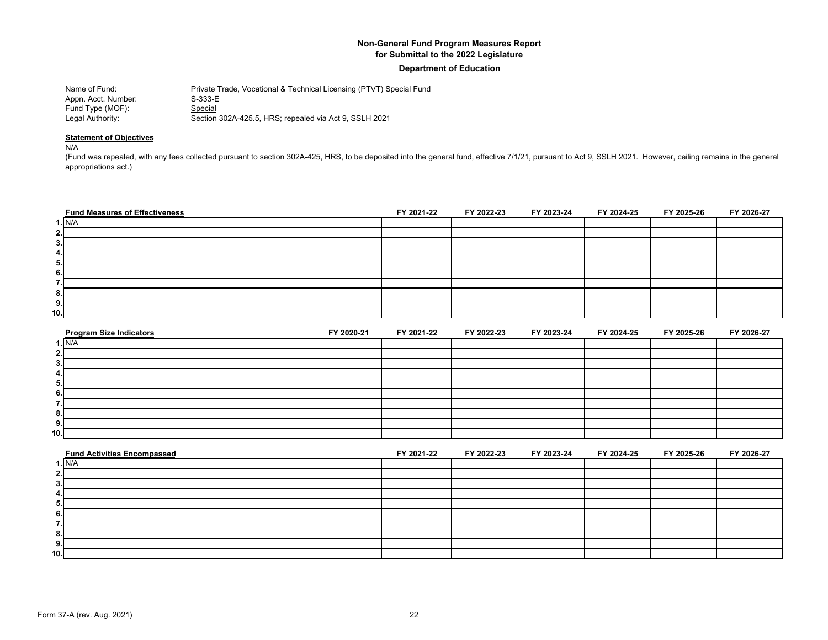#### **Department of Education**

| Name of Fund:       | Private Trade, Vocational & Technical Licensing (PTVT) Special Fund |
|---------------------|---------------------------------------------------------------------|
| Appn. Acct. Number: | S-333-E                                                             |
| Fund Type (MOF):    | Special                                                             |
| Legal Authority:    | Section 302A-425.5, HRS; repealed via Act 9, SSLH 2021              |

#### **Statement of Objectives**

N/A

(Fund was repealed, with any fees collected pursuant to section 302A-425, HRS, to be deposited into the general fund, effective 7/1/21, pursuant to Act 9, SSLH 2021. However, ceiling remains in the general appropriations act.)

| <b>Fund Measures of Effectiveness</b> | FY 2021-22 | FY 2022-23 | FY 2023-24 | FY 2024-25 | FY 2025-26 | FY 2026-27 |
|---------------------------------------|------------|------------|------------|------------|------------|------------|
| 1. N/A                                |            |            |            |            |            |            |
| 2.                                    |            |            |            |            |            |            |
| 3.                                    |            |            |            |            |            |            |
| 4.                                    |            |            |            |            |            |            |
| 5.                                    |            |            |            |            |            |            |
| 6.                                    |            |            |            |            |            |            |
| $\overline{\phantom{a}}$<br>.,        |            |            |            |            |            |            |
| 8.                                    |            |            |            |            |            |            |
| 9.                                    |            |            |            |            |            |            |
| 10.                                   |            |            |            |            |            |            |

| <b>Program Size Indicators</b> | FY 2020-21 | FY 2021-22 | FY 2022-23 | FY 2023-24 | FY 2024-25 | FY 2025-26 | FY 2026-27 |
|--------------------------------|------------|------------|------------|------------|------------|------------|------------|
| I.N/A                          |            |            |            |            |            |            |            |
|                                |            |            |            |            |            |            |            |
|                                |            |            |            |            |            |            |            |
|                                |            |            |            |            |            |            |            |
|                                |            |            |            |            |            |            |            |
|                                |            |            |            |            |            |            |            |
|                                |            |            |            |            |            |            |            |
|                                |            |            |            |            |            |            |            |
|                                |            |            |            |            |            |            |            |
| 10.                            |            |            |            |            |            |            |            |

| <b>Fund Activities Encompassed</b> | FY 2021-22 | FY 2022-23 | FY 2023-24 | FY 2024-25 | FY 2025-26 | FY 2026-27 |
|------------------------------------|------------|------------|------------|------------|------------|------------|
| 1. N/A                             |            |            |            |            |            |            |
| ٠.                                 |            |            |            |            |            |            |
|                                    |            |            |            |            |            |            |
|                                    |            |            |            |            |            |            |
|                                    |            |            |            |            |            |            |
|                                    |            |            |            |            |            |            |
|                                    |            |            |            |            |            |            |
|                                    |            |            |            |            |            |            |
| э.                                 |            |            |            |            |            |            |
| 10.1                               |            |            |            |            |            |            |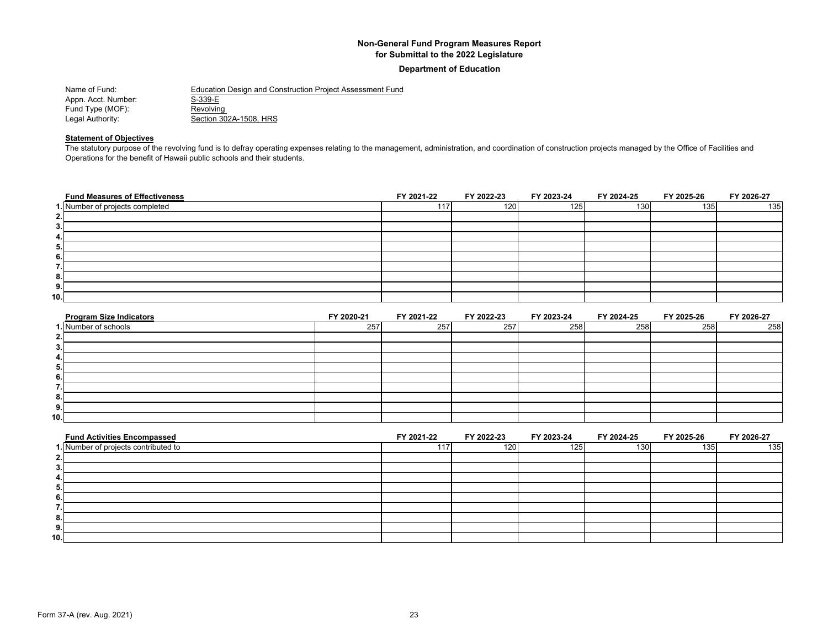#### **Department of Education**

| Name of Fund:       | Education Design and Construction Project Assessment Fund |
|---------------------|-----------------------------------------------------------|
| Appn. Acct. Number: | S-339-E                                                   |
| Fund Type (MOF):    | Revolving                                                 |
| Legal Authority:    | Section 302A-1508, HRS                                    |

#### **Statement of Objectives**

The statutory purpose of the revolving fund is to defray operating expenses relating to the management, administration, and coordination of construction projects managed by the Office of Facilities and Operations for the benefit of Hawaii public schools and their students.

| <b>Fund Measures of Effectiveness</b> | FY 2021-22 | FY 2022-23 | FY 2023-24 | FY 2024-25 | FY 2025-26 | FY 2026-27 |
|---------------------------------------|------------|------------|------------|------------|------------|------------|
| 1. Number of projects completed       | 117.       | 120        | 125        | 130        | 135        | 135        |
| 2.                                    |            |            |            |            |            |            |
| 3.                                    |            |            |            |            |            |            |
| 4.                                    |            |            |            |            |            |            |
| 5.                                    |            |            |            |            |            |            |
| 6.                                    |            |            |            |            |            |            |
| ۰,<br>. .                             |            |            |            |            |            |            |
| 8.                                    |            |            |            |            |            |            |
| 9.                                    |            |            |            |            |            |            |
| 10.                                   |            |            |            |            |            |            |

| <b>Program Size Indicators</b> | FY 2020-21 | FY 2021-22 | FY 2022-23 | FY 2023-24 | FY 2024-25 | FY 2025-26 | FY 2026-27 |
|--------------------------------|------------|------------|------------|------------|------------|------------|------------|
| I. Number of schools           | 257        | 257        | 257        | 258        | 258        | 258        | 258        |
|                                |            |            |            |            |            |            |            |
|                                |            |            |            |            |            |            |            |
|                                |            |            |            |            |            |            |            |
|                                |            |            |            |            |            |            |            |
|                                |            |            |            |            |            |            |            |
|                                |            |            |            |            |            |            |            |
|                                |            |            |            |            |            |            |            |
|                                |            |            |            |            |            |            |            |
| 10.1                           |            |            |            |            |            |            |            |

| <b>Fund Activities Encompassed</b>   | FY 2021-22 | FY 2022-23 | FY 2023-24       | FY 2024-25       | FY 2025-26 | FY 2026-27 |
|--------------------------------------|------------|------------|------------------|------------------|------------|------------|
| 1. Number of projects contributed to | 117        | 120        | 125 <sub>1</sub> | 130 <sup>1</sup> | 1351       | 135        |
|                                      |            |            |                  |                  |            |            |
|                                      |            |            |                  |                  |            |            |
|                                      |            |            |                  |                  |            |            |
|                                      |            |            |                  |                  |            |            |
|                                      |            |            |                  |                  |            |            |
|                                      |            |            |                  |                  |            |            |
|                                      |            |            |                  |                  |            |            |
| 9.                                   |            |            |                  |                  |            |            |
| 10.1                                 |            |            |                  |                  |            |            |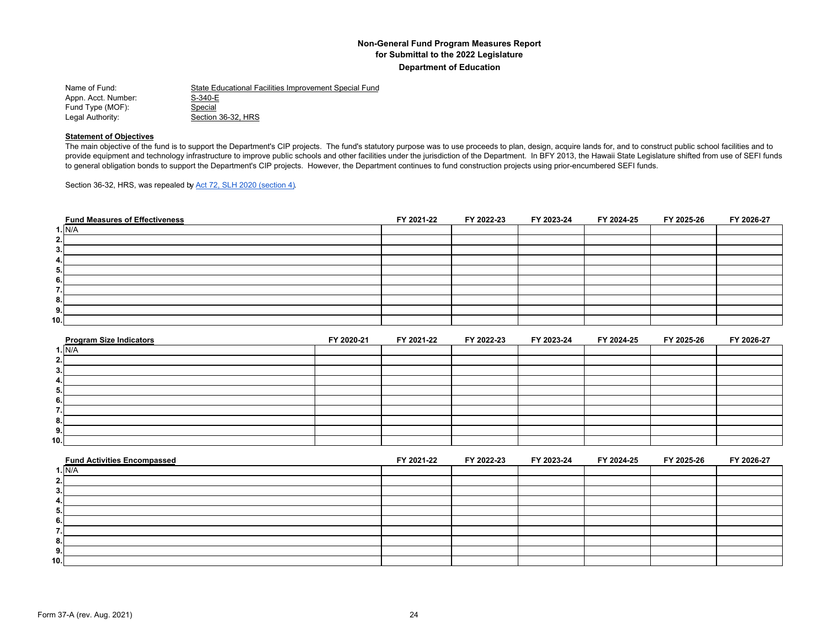| Name of Fund:       | State Educational Facilities Improvement Special Fund |
|---------------------|-------------------------------------------------------|
| Appn. Acct. Number: | S-340-E                                               |
| Fund Type (MOF):    | Special                                               |
| Legal Authority:    | Section 36-32, HRS                                    |

#### **Statement of Objectives**

The main objective of the fund is to support the Department's CIP projects. The fund's statutory purpose was to use proceeds to plan, design, acquire lands for, and to construct public school facilities and to provide equipment and technology infrastructure to improve public schools and other facilities under the jurisdiction of the Department. In BFY 2013, the Hawaii State Legislature shifted from use of SEFI funds to general obligation bonds to support the Department's CIP projects. However, the Department continues to fund construction projects using prior-encumbered SEFI funds.

Section 36-32, HRS, was repealed by Act 72, SLH 2020 (section 4).

| <b>Fund Measures of Effectiveness</b> | FY 2021-22 | FY 2022-23 | FY 2023-24 | FY 2024-25 | FY 2025-26 | FY 2026-27 |
|---------------------------------------|------------|------------|------------|------------|------------|------------|
| 1. N/A                                |            |            |            |            |            |            |
| 2.                                    |            |            |            |            |            |            |
| 3.                                    |            |            |            |            |            |            |
| 4.                                    |            |            |            |            |            |            |
| 5.                                    |            |            |            |            |            |            |
| 6.                                    |            |            |            |            |            |            |
| $\overline{\phantom{a}}$<br>.,        |            |            |            |            |            |            |
| 8.                                    |            |            |            |            |            |            |
| 9.                                    |            |            |            |            |            |            |
| 10.                                   |            |            |            |            |            |            |

| <b>Program Size Indicators</b> | FY 2020-21 | FY 2021-22 | FY 2022-23 | FY 2023-24 | FY 2024-25 | FY 2025-26 | FY 2026-27 |
|--------------------------------|------------|------------|------------|------------|------------|------------|------------|
| 1. N/A                         |            |            |            |            |            |            |            |
| 2.                             |            |            |            |            |            |            |            |
| 3.                             |            |            |            |            |            |            |            |
| 4.                             |            |            |            |            |            |            |            |
| 5.                             |            |            |            |            |            |            |            |
| 6.                             |            |            |            |            |            |            |            |
|                                |            |            |            |            |            |            |            |
| 8.                             |            |            |            |            |            |            |            |
| 9.                             |            |            |            |            |            |            |            |
| 10.1                           |            |            |            |            |            |            |            |

| <b>Fund Activities Encompassed</b> | FY 2021-22 | FY 2022-23 | FY 2023-24 | FY 2024-25 | FY 2025-26 | FY 2026-27 |
|------------------------------------|------------|------------|------------|------------|------------|------------|
| 1. N/A                             |            |            |            |            |            |            |
| ຳ<br>Ζ.                            |            |            |            |            |            |            |
| 3.                                 |            |            |            |            |            |            |
| 4.                                 |            |            |            |            |            |            |
| э.                                 |            |            |            |            |            |            |
| 6.                                 |            |            |            |            |            |            |
|                                    |            |            |            |            |            |            |
| 8.                                 |            |            |            |            |            |            |
| 9.                                 |            |            |            |            |            |            |
| 10.                                |            |            |            |            |            |            |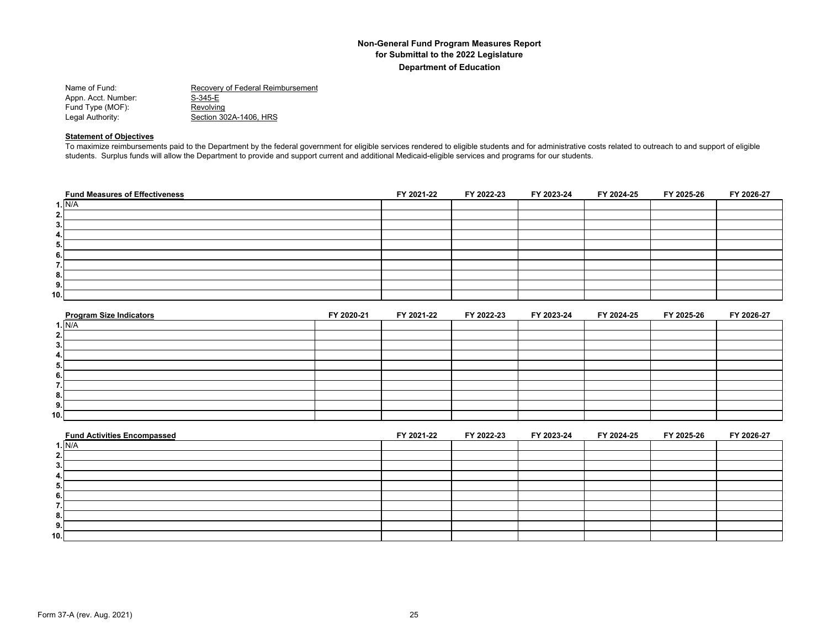| Name of Fund:       | Recovery of Federal Reimbursement |
|---------------------|-----------------------------------|
| Appn. Acct. Number: | S-345-E                           |
| Fund Type (MOF):    | Revolving                         |
| Legal Authority:    | Section 302A-1406. HRS            |
|                     |                                   |

#### **Statement of Objectives**

To maximize reimbursements paid to the Department by the federal government for eligible services rendered to eligible students and for administrative costs related to outreach to and support of eligible students. Surplus funds will allow the Department to provide and support current and additional Medicaid-eligible services and programs for our students.

| <b>Fund Measures of Effectiveness</b> | FY 2021-22 | FY 2022-23 | FY 2023-24 | FY 2024-25 | FY 2025-26 | FY 2026-27 |
|---------------------------------------|------------|------------|------------|------------|------------|------------|
| 1. N/A                                |            |            |            |            |            |            |
| 2.1                                   |            |            |            |            |            |            |
| 3.                                    |            |            |            |            |            |            |
| 4.                                    |            |            |            |            |            |            |
| 5.                                    |            |            |            |            |            |            |
| 6.                                    |            |            |            |            |            |            |
| ۰.<br>ι.                              |            |            |            |            |            |            |
| 8.                                    |            |            |            |            |            |            |
| 9.                                    |            |            |            |            |            |            |
| 10.                                   |            |            |            |            |            |            |

| <b>Program Size Indicators</b> | FY 2020-21 | FY 2021-22 | FY 2022-23 | FY 2023-24 | FY 2024-25 | FY 2025-26 | FY 2026-27 |
|--------------------------------|------------|------------|------------|------------|------------|------------|------------|
| 1. N/A                         |            |            |            |            |            |            |            |
| 2.                             |            |            |            |            |            |            |            |
| 3.                             |            |            |            |            |            |            |            |
| 4.                             |            |            |            |            |            |            |            |
| 5.                             |            |            |            |            |            |            |            |
| 6.                             |            |            |            |            |            |            |            |
|                                |            |            |            |            |            |            |            |
| 8.                             |            |            |            |            |            |            |            |
| 9.                             |            |            |            |            |            |            |            |
| 10.1                           |            |            |            |            |            |            |            |

| <b>Fund Activities Encompassed</b> | FY 2021-22 | FY 2022-23 | FY 2023-24 | FY 2024-25 | FY 2025-26 | FY 2026-27 |
|------------------------------------|------------|------------|------------|------------|------------|------------|
| ı. N/A                             |            |            |            |            |            |            |
|                                    |            |            |            |            |            |            |
|                                    |            |            |            |            |            |            |
|                                    |            |            |            |            |            |            |
| Ð                                  |            |            |            |            |            |            |
|                                    |            |            |            |            |            |            |
|                                    |            |            |            |            |            |            |
|                                    |            |            |            |            |            |            |
| э.                                 |            |            |            |            |            |            |
| 10.                                |            |            |            |            |            |            |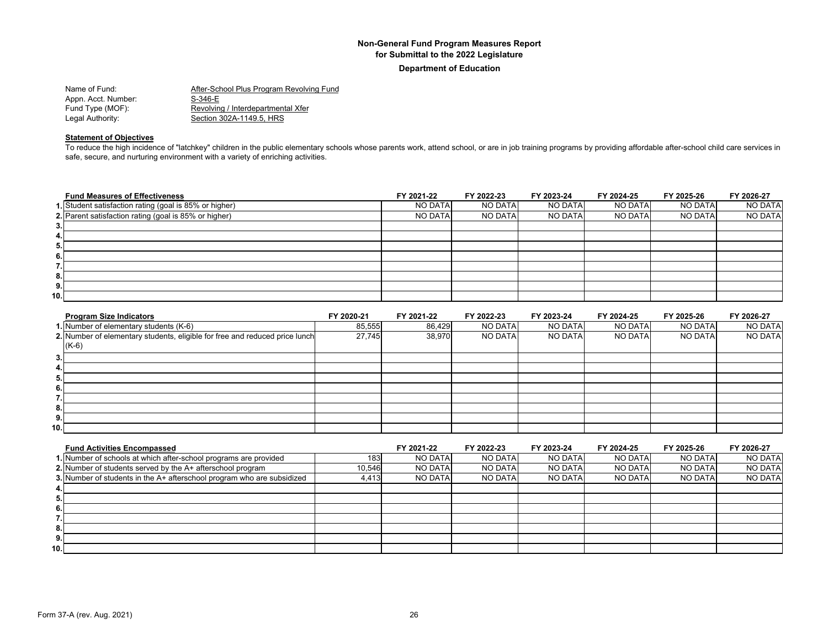**Department of Education**

| Name of Fund:       | After-School Plus Program Revolving Fund |
|---------------------|------------------------------------------|
| Appn. Acct. Number: | S-346-E                                  |
| Fund Type (MOF):    | Revolving / Interdepartmental Xfer       |
| Legal Authority:    | Section 302A-1149.5. HRS                 |
|                     |                                          |

## **Statement of Objectives**

To reduce the high incidence of "latchkey" children in the public elementary schools whose parents work, attend school, or are in job training programs by providing affordable after-school child care services in safe, secure, and nurturing environment with a variety of enriching activities.

| <b>Fund Measures of Effectiveness</b>                  | FY 2021-22     | FY 2022-23     | FY 2023-24     | FY 2024-25     | FY 2025-26     | FY 2026-27 |
|--------------------------------------------------------|----------------|----------------|----------------|----------------|----------------|------------|
| 1. Student satisfaction rating (goal is 85% or higher) | NO DATA        | <b>NO DATA</b> | <b>NO DATA</b> | NO DATA        | NO DATA        | NO DATA    |
| 2. Parent satisfaction rating (goal is 85% or higher)  | <b>NO DATA</b> | <b>NO DATA</b> | NO DATA        | <b>NO DATA</b> | <b>NO DATA</b> | NO DATA    |
| 3.                                                     |                |                |                |                |                |            |
| 4.                                                     |                |                |                |                |                |            |
| 5.                                                     |                |                |                |                |                |            |
| 6.                                                     |                |                |                |                |                |            |
| 7.                                                     |                |                |                |                |                |            |
| 8.                                                     |                |                |                |                |                |            |
| 9.                                                     |                |                |                |                |                |            |
| 10.                                                    |                |                |                |                |                |            |

| <b>Program Size Indicators</b>                                              | FY 2020-21 | FY 2021-22 | FY 2022-23     | FY 2023-24     | FY 2024-25 | FY 2025-26 | FY 2026-27     |
|-----------------------------------------------------------------------------|------------|------------|----------------|----------------|------------|------------|----------------|
| 1. Number of elementary students (K-6)                                      | 85,555     | 86.429     | <b>NO DATA</b> | <b>NO DATA</b> | NO DATA    | NO DATA    | NO DATA        |
| 2. Number of elementary students, eligible for free and reduced price lunch | 27,745     | 38.970     | <b>NO DATA</b> | <b>NO DATA</b> | NO DATA    | NO DATA    | <b>NO DATA</b> |
| $(K-6)$                                                                     |            |            |                |                |            |            |                |
| 3.                                                                          |            |            |                |                |            |            |                |
| 4.                                                                          |            |            |                |                |            |            |                |
| 5.                                                                          |            |            |                |                |            |            |                |
| 6.                                                                          |            |            |                |                |            |            |                |
|                                                                             |            |            |                |                |            |            |                |
| 8.                                                                          |            |            |                |                |            |            |                |
| 9.                                                                          |            |            |                |                |            |            |                |
| 10.1                                                                        |            |            |                |                |            |            |                |

| <b>Fund Activities Encompassed</b>                                     |        | FY 2021-22     | FY 2022-23     | FY 2023-24     | FY 2024-25     | FY 2025-26     | FY 2026-27     |
|------------------------------------------------------------------------|--------|----------------|----------------|----------------|----------------|----------------|----------------|
| 1. Number of schools at which after-school programs are provided       | 183    | NO DATA        | <b>NO DATA</b> | <b>NO DATA</b> | NO DATAL       | <b>NO DATA</b> | <b>NO DATA</b> |
| 2. Number of students served by the A+ afterschool program             | 10.546 | <b>NO DATA</b> | <b>NO DATA</b> | <b>NO DATA</b> | <b>NO DATA</b> | <b>NO DATA</b> | <b>NO DATA</b> |
| 3. Number of students in the A+ afterschool program who are subsidized | 4.413  | <b>NO DATA</b> | <b>NO DATA</b> | <b>NO DATA</b> | <b>NO DATA</b> | <b>NO DATA</b> | <b>NO DATA</b> |
|                                                                        |        |                |                |                |                |                |                |
|                                                                        |        |                |                |                |                |                |                |
|                                                                        |        |                |                |                |                |                |                |
|                                                                        |        |                |                |                |                |                |                |
|                                                                        |        |                |                |                |                |                |                |
|                                                                        |        |                |                |                |                |                |                |
| 10.                                                                    |        |                |                |                |                |                |                |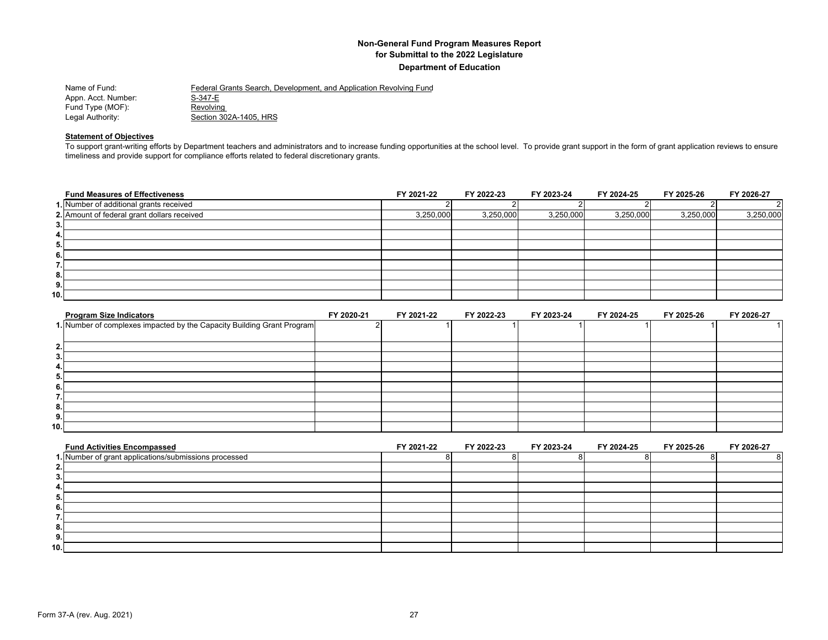| Name of Fund:       | Federal Grants Search, Development, and Application Revolving Fund |
|---------------------|--------------------------------------------------------------------|
| Appn. Acct. Number: | S-347-E                                                            |
| Fund Type (MOF):    | Revolving                                                          |
| Legal Authority:    | Section 302A-1405, HRS                                             |

#### **Statement of Objectives**

To support grant-writing efforts by Department teachers and administrators and to increase funding opportunities at the school level. To provide grant support in the form of grant application reviews to ensure timeliness and provide support for compliance efforts related to federal discretionary grants.

| <b>Fund Measures of Effectiveness</b>       | FY 2021-22 | FY 2022-23 | FY 2023-24 | FY 2024-25 | FY 2025-26 | FY 2026-27 |
|---------------------------------------------|------------|------------|------------|------------|------------|------------|
| 1. Number of additional grants received     |            |            |            |            |            |            |
| 2. Amount of federal grant dollars received | 3,250,000  | 3,250,000  | 3,250,000  | 3,250,000  | 3,250,000  | 3,250,000  |
| 3.1                                         |            |            |            |            |            |            |
| 4.                                          |            |            |            |            |            |            |
| 5.                                          |            |            |            |            |            |            |
| 6.1                                         |            |            |            |            |            |            |
| 7.I                                         |            |            |            |            |            |            |
| 8.                                          |            |            |            |            |            |            |
| 9.1                                         |            |            |            |            |            |            |
| 10.I                                        |            |            |            |            |            |            |

| <b>Program Size Indicators</b>                                         | FY 2020-21 | FY 2021-22 | FY 2022-23 | FY 2023-24 | FY 2024-25 | FY 2025-26 | FY 2026-27 |
|------------------------------------------------------------------------|------------|------------|------------|------------|------------|------------|------------|
| 1. Number of complexes impacted by the Capacity Building Grant Program |            |            |            |            |            |            |            |
|                                                                        |            |            |            |            |            |            |            |
| 2.                                                                     |            |            |            |            |            |            |            |
| 3.                                                                     |            |            |            |            |            |            |            |
| 4.                                                                     |            |            |            |            |            |            |            |
| 5.                                                                     |            |            |            |            |            |            |            |
| 6.                                                                     |            |            |            |            |            |            |            |
|                                                                        |            |            |            |            |            |            |            |
| 8.                                                                     |            |            |            |            |            |            |            |
| 9.                                                                     |            |            |            |            |            |            |            |
| 10.1                                                                   |            |            |            |            |            |            |            |

| <b>Fund Activities Encompassed</b>                    | FY 2021-22 | FY 2022-23 | FY 2023-24 | FY 2024-25 | FY 2025-26 | FY 2026-27 |
|-------------------------------------------------------|------------|------------|------------|------------|------------|------------|
| 1. Number of grant applications/submissions processed |            |            |            |            |            |            |
|                                                       |            |            |            |            |            |            |
|                                                       |            |            |            |            |            |            |
|                                                       |            |            |            |            |            |            |
|                                                       |            |            |            |            |            |            |
|                                                       |            |            |            |            |            |            |
|                                                       |            |            |            |            |            |            |
|                                                       |            |            |            |            |            |            |
|                                                       |            |            |            |            |            |            |
| 10.                                                   |            |            |            |            |            |            |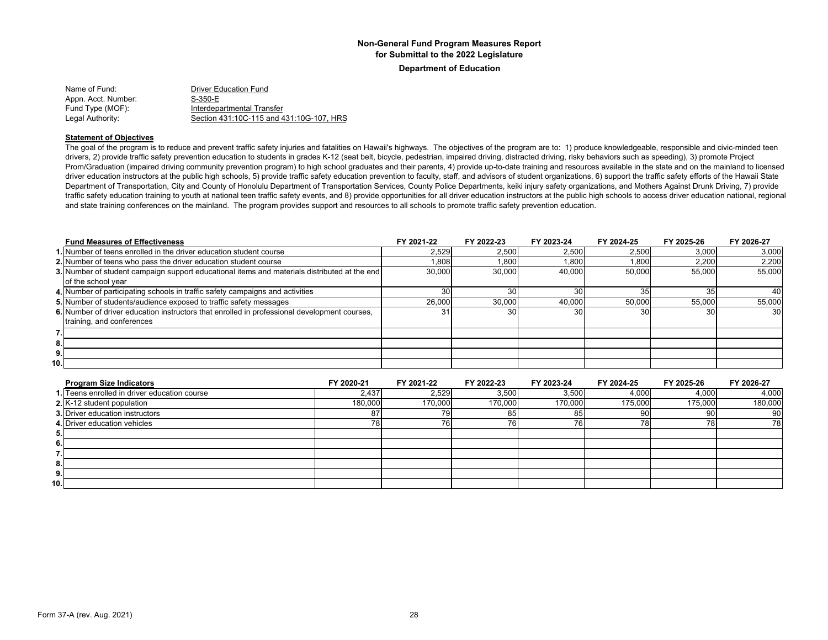**Department of Education**

| Name of Fund:       | <b>Driver Education Fund</b>             |
|---------------------|------------------------------------------|
| Appn. Acct. Number: | S-350-E                                  |
| Fund Type (MOF):    | Interdepartmental Transfer               |
| Legal Authority:    | Section 431:10C-115 and 431:10G-107, HRS |

#### **Statement of Objectives**

The goal of the program is to reduce and prevent traffic safety injuries and fatalities on Hawaii's highways. The objectives of the program are to: 1) produce knowledgeable, responsible and civic-minded teen drivers, 2) provide traffic safety prevention education to students in grades K-12 (seat belt, bicycle, pedestrian, impaired driving, distracted driving, risky behaviors such as speeding), 3) promote Project Prom/Graduation (impaired driving community prevention program) to high school graduates and their parents, 4) provide up-to-date training and resources available in the state and on the mainland to licensed driver education instructors at the public high schools, 5) provide traffic safety education prevention to faculty, staff, and advisors of student organizations, 6) support the traffic safety efforts of the Hawaii State Department of Transportation, City and County of Honolulu Department of Transportation Services, County Police Departments, keiki injury safety organizations, and Mothers Against Drunk Driving, 7) provide traffic safety education training to youth at national teen traffic safety events, and 8) provide opportunities for all driver education instructors at the public high schools to access driver education national, regional and state training conferences on the mainland. The program provides support and resources to all schools to promote traffic safety prevention education.

|     | <b>Fund Measures of Effectiveness</b>                                                        | FY 2021-22 | FY 2022-23 | FY 2023-24      | FY 2024-25 | FY 2025-26 | FY 2026-27      |
|-----|----------------------------------------------------------------------------------------------|------------|------------|-----------------|------------|------------|-----------------|
|     | 1. Number of teens enrolled in the driver education student course                           | 2.529      | 2,500      | 2,500           | 2,500      | 3,000      | 3,000           |
|     | 2. Number of teens who pass the driver education student course                              | 0.808      | 1,800      | 1.800           | 1.800      | 2,200      | 2,200           |
|     | 3. Number of student campaign support educational items and materials distributed at the end | 30,000     | 30,000     | 40.000          | 50,000     | 55,000     | 55,000          |
|     | of the school year                                                                           |            |            |                 |            |            |                 |
|     | 4. Number of participating schools in traffic safety campaigns and activities                | 30         |            | 30              | 35         |            | 401             |
|     | 5. Number of students/audience exposed to traffic safety messages                            | 26,000     | 30,000     | 40.000          | 50.000     | 55.000     | 55,000          |
|     | 6. Number of driver education instructors that enrolled in professional development courses, | 31         | 30         | 30 <sup>I</sup> | 30         | 30         | 30 <sup>1</sup> |
|     | training, and conferences                                                                    |            |            |                 |            |            |                 |
|     |                                                                                              |            |            |                 |            |            |                 |
| 8.  |                                                                                              |            |            |                 |            |            |                 |
| 9.  |                                                                                              |            |            |                 |            |            |                 |
| 10. |                                                                                              |            |            |                 |            |            |                 |

| <b>Program Size Indicators</b>               | FY 2020-21 | FY 2021-22 | FY 2022-23 | FY 2023-24 | FY 2024-25 | FY 2025-26 | FY 2026-27 |
|----------------------------------------------|------------|------------|------------|------------|------------|------------|------------|
| 1. Teens enrolled in driver education course | 2,437      | 2,529      | 3,500      | 3,500      | 4,000      | 4,000      | 4,000      |
| 2. K-12 student population                   | 180.000    | 170.000    | 170,000    | 170,000    | 175,000    | 175,000    | 180,000    |
| <b>3. Driver education instructors</b>       | 87         | 79         | 85         | 85         | 90         | 90         | 90         |
| 4. Driver education vehicles                 | 78         | 761        | 76.        |            | 70         |            | 78         |
| 5.                                           |            |            |            |            |            |            |            |
| 6.                                           |            |            |            |            |            |            |            |
| $\overline{\phantom{a}}$<br>.                |            |            |            |            |            |            |            |
| 8.1                                          |            |            |            |            |            |            |            |
| 9.                                           |            |            |            |            |            |            |            |
| 10.1                                         |            |            |            |            |            |            |            |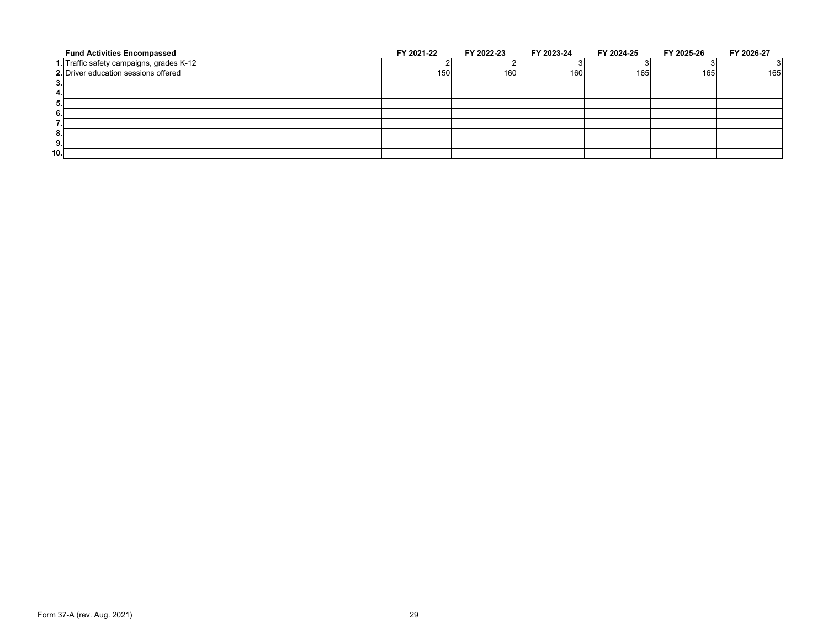| <b>Fund Activities Encompassed</b>       | FY 2021-22 | FY 2022-23 | FY 2023-24 | FY 2024-25 | FY 2025-26 | FY 2026-27 |
|------------------------------------------|------------|------------|------------|------------|------------|------------|
| 1. Traffic safety campaigns, grades K-12 |            |            |            |            |            |            |
| 2. Driver education sessions offered     | 150        | 160        | 160        | 165        | 165        | 165        |
| 3.                                       |            |            |            |            |            |            |
| 4.                                       |            |            |            |            |            |            |
| 5.                                       |            |            |            |            |            |            |
| 6.                                       |            |            |            |            |            |            |
| ۰.<br>                                   |            |            |            |            |            |            |
| 8.                                       |            |            |            |            |            |            |
| 9.                                       |            |            |            |            |            |            |
| 10.                                      |            |            |            |            |            |            |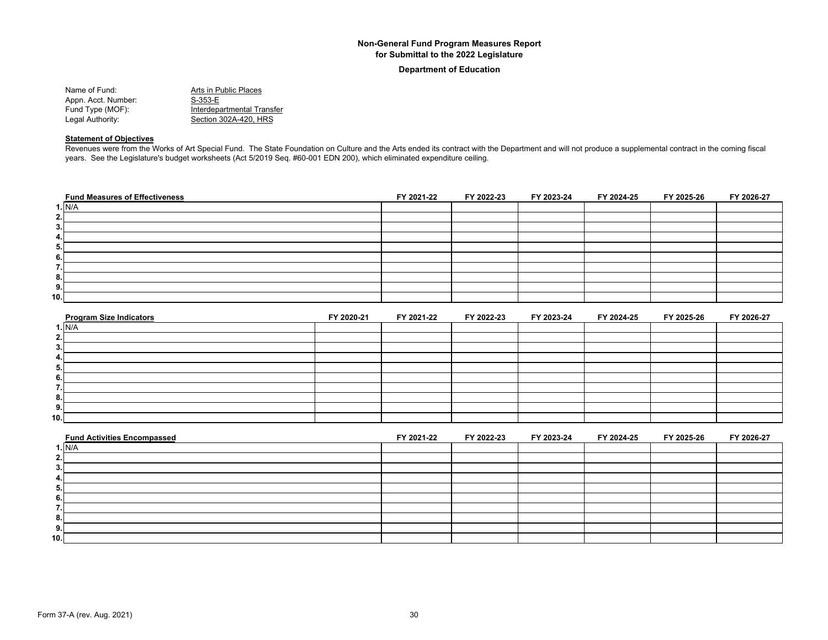#### **Department of Education**

| Name of Fund:       | Arts in Public Places      |
|---------------------|----------------------------|
| Appn. Acct. Number: | S-353-E                    |
| Fund Type (MOF):    | Interdepartmental Transfer |
| Legal Authority:    | Section 302A-420, HRS      |

#### **Statement of Objectives**

Revenues were from the Works of Art Special Fund. The State Foundation on Culture and the Arts ended its contract with the Department and will not produce a supplemental contract in the coming fiscal years. See the Legislature's budget worksheets (Act 5/2019 Seq. #60-001 EDN 200), which eliminated expenditure ceiling.

| <b>Fund Measures of Effectiveness</b> | FY 2021-22 | FY 2022-23 | FY 2023-24 | FY 2024-25 | FY 2025-26 | FY 2026-27 |
|---------------------------------------|------------|------------|------------|------------|------------|------------|
| 1. N/A                                |            |            |            |            |            |            |
| 2.                                    |            |            |            |            |            |            |
| 3.                                    |            |            |            |            |            |            |
| 4.                                    |            |            |            |            |            |            |
| 5.                                    |            |            |            |            |            |            |
| 6.                                    |            |            |            |            |            |            |
| -<br>                                 |            |            |            |            |            |            |
| 8.                                    |            |            |            |            |            |            |
| 9.                                    |            |            |            |            |            |            |
| 10.                                   |            |            |            |            |            |            |

| <b>Program Size Indicators</b> | FY 2020-21 | FY 2021-22 | FY 2022-23 | FY 2023-24 | FY 2024-25 | FY 2025-26 | FY 2026-27 |
|--------------------------------|------------|------------|------------|------------|------------|------------|------------|
| 1. N/A                         |            |            |            |            |            |            |            |
| 2.                             |            |            |            |            |            |            |            |
| 3.                             |            |            |            |            |            |            |            |
| 4.                             |            |            |            |            |            |            |            |
| 5.                             |            |            |            |            |            |            |            |
| 6.                             |            |            |            |            |            |            |            |
|                                |            |            |            |            |            |            |            |
| 8.                             |            |            |            |            |            |            |            |
| 9.                             |            |            |            |            |            |            |            |
| 10.                            |            |            |            |            |            |            |            |

| <b>Fund Activities Encompassed</b> | FY 2021-22 | FY 2022-23 | FY 2023-24 | FY 2024-25 | FY 2025-26 | FY 2026-27 |
|------------------------------------|------------|------------|------------|------------|------------|------------|
| N/A                                |            |            |            |            |            |            |
|                                    |            |            |            |            |            |            |
|                                    |            |            |            |            |            |            |
|                                    |            |            |            |            |            |            |
|                                    |            |            |            |            |            |            |
|                                    |            |            |            |            |            |            |
|                                    |            |            |            |            |            |            |
|                                    |            |            |            |            |            |            |
|                                    |            |            |            |            |            |            |
| 10.                                |            |            |            |            |            |            |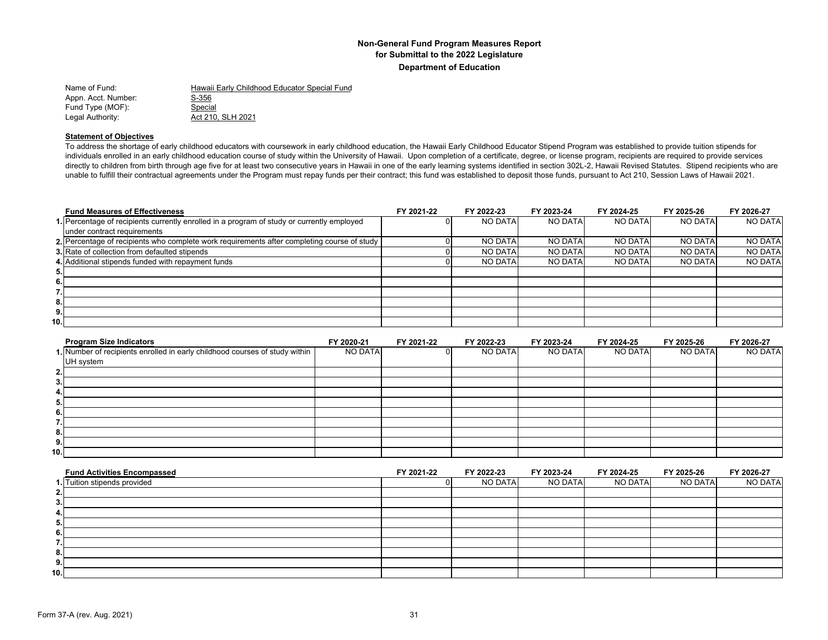| Name of Fund:       | Hawaii Early Childhood Educator Special Fund |
|---------------------|----------------------------------------------|
| Appn. Acct. Number: | S-356                                        |
| Fund Type (MOF):    | Special                                      |
| Legal Authority:    | Act 210, SLH 2021                            |

#### **Statement of Objectives**

To address the shortage of early childhood educators with coursework in early childhood education, the Hawaii Early Childhood Educator Stipend Program was established to provide tuition stipends for individuals enrolled in an early childhood education course of study within the University of Hawaii. Upon completion of a certificate, degree, or license program, recipients are required to provide services directly to children from birth through age five for at least two consecutive years in Hawaii in one of the early learning systems identified in section 302L-2, Hawaii Revised Statutes. Stipend recipients who are unable to fulfill their contractual agreements under the Program must repay funds per their contract; this fund was established to deposit those funds, pursuant to Act 210, Session Laws of Hawaii 2021.

| <b>Fund Measures of Effectiveness</b>                                                       | FY 2021-22 | FY 2022-23     | FY 2023-24     | FY 2024-25     | FY 2025-26     | FY 2026-27     |
|---------------------------------------------------------------------------------------------|------------|----------------|----------------|----------------|----------------|----------------|
| 1. Percentage of recipients currently enrolled in a program of study or currently employed  |            | <b>NO DATA</b> | NO DATA        | NO DATA        | NO DATA        | NO DATA        |
| under contract requirements                                                                 |            |                |                |                |                |                |
| 2. Percentage of recipients who complete work requirements after completing course of study |            | <b>NO DATA</b> | <b>NO DATA</b> | <b>NO DATA</b> | <b>NO DATA</b> | <b>NO DATA</b> |
| 3. Rate of collection from defaulted stipends                                               |            | <b>NO DATA</b> | NO DATA        | <b>NO DATA</b> | NO DATA        | <b>NO DATA</b> |
| 4. Additional stipends funded with repayment funds                                          |            | <b>NO DATA</b> | NO DATA        | <b>NO DATA</b> | <b>NO DATA</b> | <b>NO DATA</b> |
| 5.                                                                                          |            |                |                |                |                |                |
| 6.                                                                                          |            |                |                |                |                |                |
|                                                                                             |            |                |                |                |                |                |
| 8.                                                                                          |            |                |                |                |                |                |
| 9.                                                                                          |            |                |                |                |                |                |
| 10.I                                                                                        |            |                |                |                |                |                |

| <b>Program Size Indicators</b>                                              | FY 2020-21 | FY 2021-22 | FY 2022-23 | FY 2023-24 | FY 2024-25 | FY 2025-26 | FY 2026-27 |
|-----------------------------------------------------------------------------|------------|------------|------------|------------|------------|------------|------------|
| 1. Number of recipients enrolled in early childhood courses of study within | NO DATA    |            | NO DATA    | NO DATA    | NO DATA    | NO DATA    | NO DATA    |
| UH system                                                                   |            |            |            |            |            |            |            |
|                                                                             |            |            |            |            |            |            |            |
| 3.                                                                          |            |            |            |            |            |            |            |
| 4.                                                                          |            |            |            |            |            |            |            |
| ื่อ.                                                                        |            |            |            |            |            |            |            |
| - 6.                                                                        |            |            |            |            |            |            |            |
|                                                                             |            |            |            |            |            |            |            |
| 8.                                                                          |            |            |            |            |            |            |            |
| 9.                                                                          |            |            |            |            |            |            |            |
| 10.                                                                         |            |            |            |            |            |            |            |

| <b>Fund Activities Encompassed</b> | FY 2021-22 | FY 2022-23     | FY 2023-24     | FY 2024-25 | FY 2025-26 | FY 2026-27 |
|------------------------------------|------------|----------------|----------------|------------|------------|------------|
| 1. Tuition stipends provided       |            | <b>NO DATA</b> | <b>NO DATA</b> | NO DATA    | NO DATA    | NO DATA    |
| 2.                                 |            |                |                |            |            |            |
| 3.                                 |            |                |                |            |            |            |
| 4.                                 |            |                |                |            |            |            |
| 5.                                 |            |                |                |            |            |            |
| 6.                                 |            |                |                |            |            |            |
|                                    |            |                |                |            |            |            |
| 8.                                 |            |                |                |            |            |            |
| 9.                                 |            |                |                |            |            |            |
| 10.                                |            |                |                |            |            |            |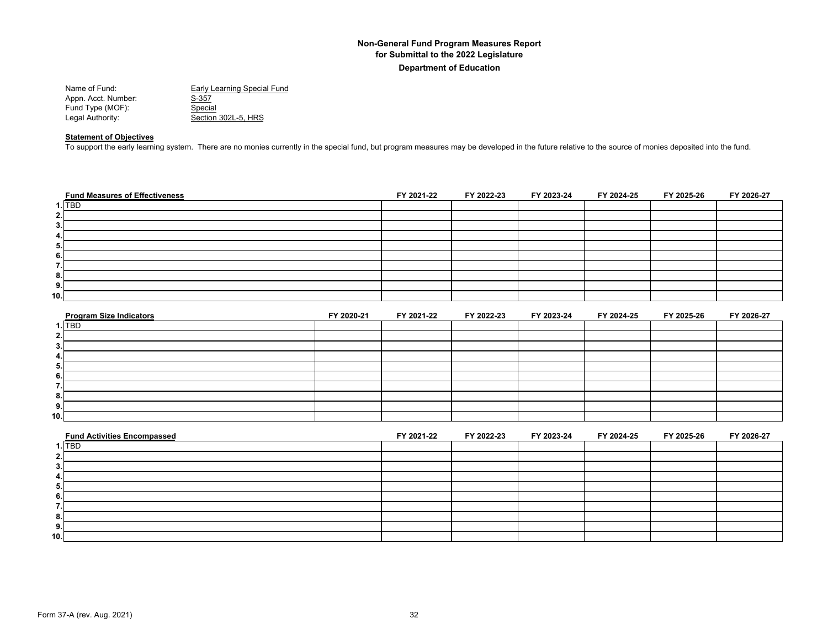Name of Fund:<br>
Appn. Acct. Number: <u>S-357</u><br>
S-357 Appn. Acct. Number: S-357<br>Fund Type (MOF): Special Fund Type (MOF):<br>Legal Authority: Section 302L-5, HRS

#### **Statement of Objectives**

To support the early learning system. There are no monies currently in the special fund, but program measures may be developed in the future relative to the source of monies deposited into the fund.

| <b>Fund Measures of Effectiveness</b> | FY 2021-22 | FY 2022-23 | FY 2023-24 | FY 2024-25 | FY 2025-26 | FY 2026-27 |
|---------------------------------------|------------|------------|------------|------------|------------|------------|
| $1.$ TBD                              |            |            |            |            |            |            |
| 2.1                                   |            |            |            |            |            |            |
| 3.                                    |            |            |            |            |            |            |
| 4.                                    |            |            |            |            |            |            |
| 5.                                    |            |            |            |            |            |            |
| 6.                                    |            |            |            |            |            |            |
|                                       |            |            |            |            |            |            |
| 8.                                    |            |            |            |            |            |            |
| 9.                                    |            |            |            |            |            |            |
| 10.                                   |            |            |            |            |            |            |

| <b>Program Size Indicators</b> | FY 2020-21 | FY 2021-22 | FY 2022-23 | FY 2023-24 | FY 2024-25 | FY 2025-26 | FY 2026-27 |
|--------------------------------|------------|------------|------------|------------|------------|------------|------------|
| $1.\overline{TBD}$             |            |            |            |            |            |            |            |
| Ζ.                             |            |            |            |            |            |            |            |
| 3.                             |            |            |            |            |            |            |            |
| 4.                             |            |            |            |            |            |            |            |
| -5.                            |            |            |            |            |            |            |            |
| 6.                             |            |            |            |            |            |            |            |
|                                |            |            |            |            |            |            |            |
| 8.                             |            |            |            |            |            |            |            |
| 9.                             |            |            |            |            |            |            |            |
| 10.                            |            |            |            |            |            |            |            |

| <b>Fund Activities Encompassed</b> | FY 2021-22 | FY 2022-23 | FY 2023-24 | FY 2024-25 | FY 2025-26 | FY 2026-27 |
|------------------------------------|------------|------------|------------|------------|------------|------------|
| 1. TBD                             |            |            |            |            |            |            |
|                                    |            |            |            |            |            |            |
|                                    |            |            |            |            |            |            |
|                                    |            |            |            |            |            |            |
| Ð.                                 |            |            |            |            |            |            |
|                                    |            |            |            |            |            |            |
|                                    |            |            |            |            |            |            |
|                                    |            |            |            |            |            |            |
| - 33.                              |            |            |            |            |            |            |
| 10.                                |            |            |            |            |            |            |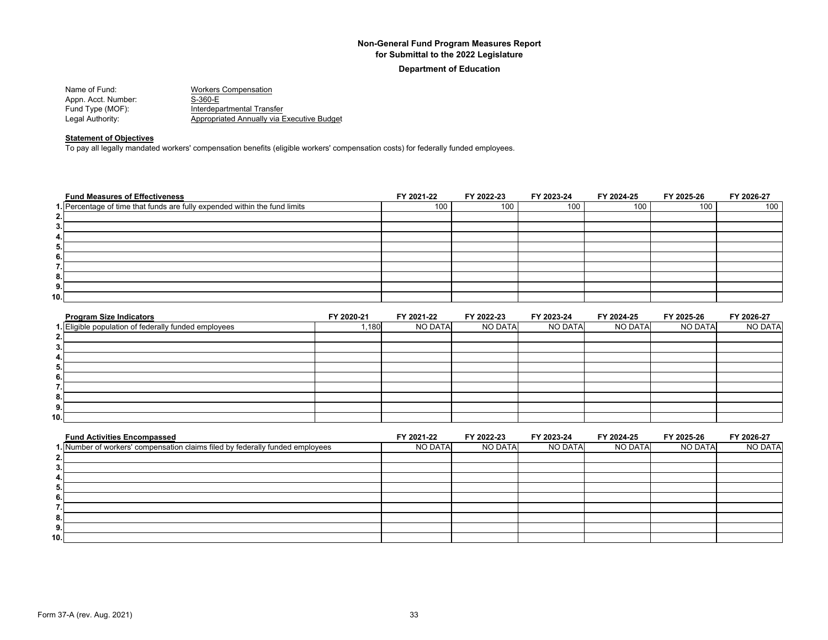#### **Department of Education**

| Name of Fund:       | <b>Workers Compensation</b>                |
|---------------------|--------------------------------------------|
| Appn. Acct. Number: | S-360-E                                    |
| Fund Type (MOF):    | Interdepartmental Transfer                 |
| Legal Authority:    | Appropriated Annually via Executive Budget |

## **Statement of Objectives**

To pay all legally mandated workers' compensation benefits (eligible workers' compensation costs) for federally funded employees.

| <b>Fund Measures of Effectiveness</b>                                      | FY 2021-22 | FY 2022-23 | FY 2023-24 | FY 2024-25 | FY 2025-26 | FY 2026-27 |
|----------------------------------------------------------------------------|------------|------------|------------|------------|------------|------------|
| 1. Percentage of time that funds are fully expended within the fund limits | 100        | 100        | 100        | 100        | 100        | 100        |
| 2.                                                                         |            |            |            |            |            |            |
| 3.                                                                         |            |            |            |            |            |            |
| 4.                                                                         |            |            |            |            |            |            |
| 5.                                                                         |            |            |            |            |            |            |
| 6.                                                                         |            |            |            |            |            |            |
| . .                                                                        |            |            |            |            |            |            |
| 8.                                                                         |            |            |            |            |            |            |
| 9.                                                                         |            |            |            |            |            |            |
| 10.                                                                        |            |            |            |            |            |            |

| <b>Program Size Indicators</b>                       | FY 2020-21 | FY 2021-22 | FY 2022-23 | FY 2023-24 | FY 2024-25 | FY 2025-26 | FY 2026-27     |
|------------------------------------------------------|------------|------------|------------|------------|------------|------------|----------------|
| 1. Eligible population of federally funded employees | ,180       | NO DATA    | NO DATA    | NO DATA    | NO DATA    | NO DATA    | <b>NO DATA</b> |
| 2.                                                   |            |            |            |            |            |            |                |
| 3.                                                   |            |            |            |            |            |            |                |
| 4.                                                   |            |            |            |            |            |            |                |
| 5.                                                   |            |            |            |            |            |            |                |
| 6.                                                   |            |            |            |            |            |            |                |
|                                                      |            |            |            |            |            |            |                |
| 8.                                                   |            |            |            |            |            |            |                |
| 9.                                                   |            |            |            |            |            |            |                |
| 10.1                                                 |            |            |            |            |            |            |                |

| <b>Fund Activities Encompassed</b>                                            | FY 2021-22 | FY 2022-23 | FY 2023-24 | FY 2024-25 | FY 2025-26 | FY 2026-27     |
|-------------------------------------------------------------------------------|------------|------------|------------|------------|------------|----------------|
| I. Number of workers' compensation claims filed by federally funded employees | NO DATA    | NO DATA    | NO DATA    | NO DATA    | NO DATA    | <b>NO DATA</b> |
|                                                                               |            |            |            |            |            |                |
|                                                                               |            |            |            |            |            |                |
|                                                                               |            |            |            |            |            |                |
|                                                                               |            |            |            |            |            |                |
|                                                                               |            |            |            |            |            |                |
|                                                                               |            |            |            |            |            |                |
| ō.                                                                            |            |            |            |            |            |                |
| 9.                                                                            |            |            |            |            |            |                |
| 10.1                                                                          |            |            |            |            |            |                |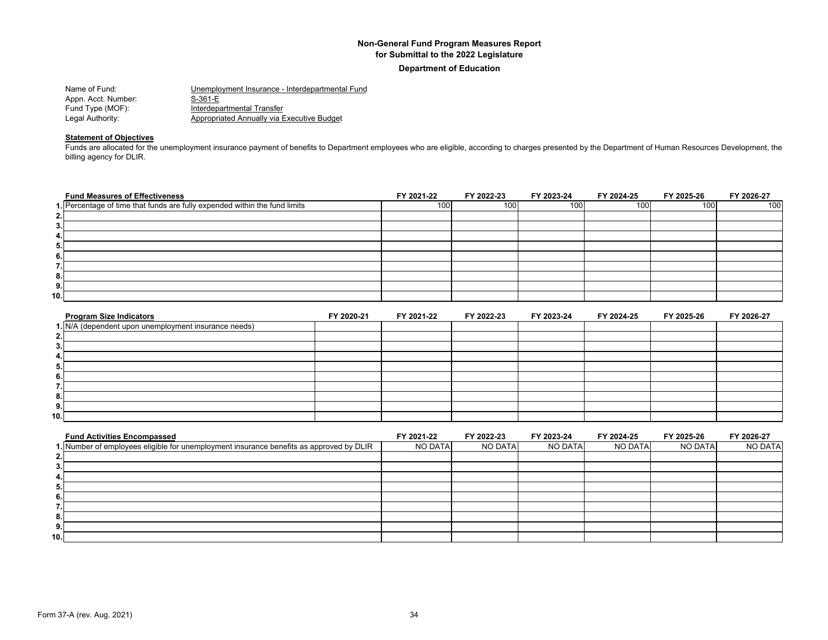**Department of Education**

| Name of Fund:       | Unemployment Insurance - Interdepartmental Fund |
|---------------------|-------------------------------------------------|
| Appn. Acct. Number: | S-361-E                                         |
| Fund Type (MOF):    | Interdepartmental Transfer                      |
| Legal Authority:    | Appropriated Annually via Executive Budget      |

#### **Statement of Objectives**

Funds are allocated for the unemployment insurance payment of benefits to Department employees who are eligible, according to charges presented by the Department of Human Resources Development, the billing agency for DLIR.

| <b>Fund Measures of Effectiveness</b>                                      | FY 2021-22       | FY 2022-23 | FY 2023-24 | FY 2024-25 | FY 2025-26 | FY 2026-27 |
|----------------------------------------------------------------------------|------------------|------------|------------|------------|------------|------------|
| 1. Percentage of time that funds are fully expended within the fund limits | 100 <sup>1</sup> | 100        | 100        | 100        | 100        | 100        |
| 2.                                                                         |                  |            |            |            |            |            |
| 3.                                                                         |                  |            |            |            |            |            |
| 4.                                                                         |                  |            |            |            |            |            |
| 5.                                                                         |                  |            |            |            |            |            |
| 6.                                                                         |                  |            |            |            |            |            |
| . .                                                                        |                  |            |            |            |            |            |
| 8.                                                                         |                  |            |            |            |            |            |
| 9.                                                                         |                  |            |            |            |            |            |
| 10.                                                                        |                  |            |            |            |            |            |

| <b>Program Size Indicators</b>                       | FY 2020-21 | FY 2021-22 | FY 2022-23 | FY 2023-24 | FY 2024-25 | FY 2025-26 | FY 2026-27 |
|------------------------------------------------------|------------|------------|------------|------------|------------|------------|------------|
| 1. N/A (dependent upon unemployment insurance needs) |            |            |            |            |            |            |            |
| 2.                                                   |            |            |            |            |            |            |            |
| 3.                                                   |            |            |            |            |            |            |            |
| 4.                                                   |            |            |            |            |            |            |            |
| 5.                                                   |            |            |            |            |            |            |            |
| 6.                                                   |            |            |            |            |            |            |            |
| –                                                    |            |            |            |            |            |            |            |
| 8.                                                   |            |            |            |            |            |            |            |
| 9.                                                   |            |            |            |            |            |            |            |
| 10.1                                                 |            |            |            |            |            |            |            |

| <b>Fund Activities Encompassed</b>                                                      | FY 2021-22     | FY 2022-23 | FY 2023-24 | FY 2024-25 | FY 2025-26     | FY 2026-27 |
|-----------------------------------------------------------------------------------------|----------------|------------|------------|------------|----------------|------------|
| 1. Number of employees eligible for unemployment insurance benefits as approved by DLIR | <b>NO DATA</b> | NO DATA    | NO DATA    | NO DATA    | <b>NO DATA</b> | NO DATA    |
|                                                                                         |                |            |            |            |                |            |
|                                                                                         |                |            |            |            |                |            |
|                                                                                         |                |            |            |            |                |            |
|                                                                                         |                |            |            |            |                |            |
|                                                                                         |                |            |            |            |                |            |
|                                                                                         |                |            |            |            |                |            |
|                                                                                         |                |            |            |            |                |            |
|                                                                                         |                |            |            |            |                |            |
| 10.1                                                                                    |                |            |            |            |                |            |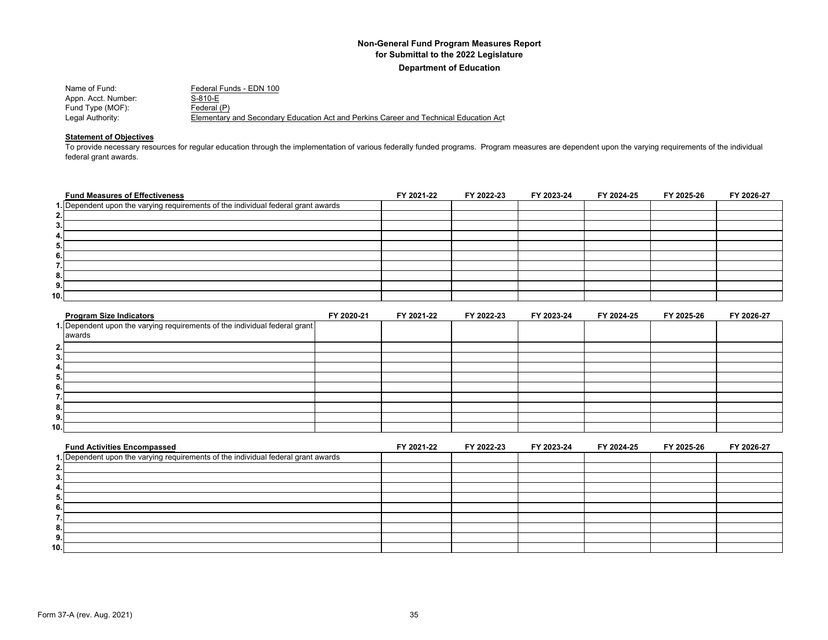| Name of Fund:       | Federal Funds - EDN 100                                                               |
|---------------------|---------------------------------------------------------------------------------------|
| Appn. Acct. Number: | S-810-E                                                                               |
| Fund Type (MOF):    | Federal (P)                                                                           |
| Legal Authority:    | Elementary and Secondary Education Act and Perkins Career and Technical Education Act |

## **Statement of Objectives**

To provide necessary resources for regular education through the implementation of various federally funded programs. Program measures are dependent upon the varying requirements of the individual federal grant awards.

| <b>Fund Measures of Effectiveness</b>                                             | FY 2021-22 | FY 2022-23 | FY 2023-24 | FY 2024-25 | FY 2025-26 | FY 2026-27 |
|-----------------------------------------------------------------------------------|------------|------------|------------|------------|------------|------------|
| 1. Dependent upon the varying requirements of the individual federal grant awards |            |            |            |            |            |            |
| 2.                                                                                |            |            |            |            |            |            |
| 3.                                                                                |            |            |            |            |            |            |
| 4.                                                                                |            |            |            |            |            |            |
| 5.                                                                                |            |            |            |            |            |            |
| 6.                                                                                |            |            |            |            |            |            |
| . .                                                                               |            |            |            |            |            |            |
| 8.                                                                                |            |            |            |            |            |            |
| 9.                                                                                |            |            |            |            |            |            |
| 10.                                                                               |            |            |            |            |            |            |

| <b>Program Size Indicators</b>                                             | FY 2020-21 | FY 2021-22 | FY 2022-23 | FY 2023-24 | FY 2024-25 | FY 2025-26 | FY 2026-27 |
|----------------------------------------------------------------------------|------------|------------|------------|------------|------------|------------|------------|
| 1. Dependent upon the varying requirements of the individual federal grant |            |            |            |            |            |            |            |
| awards                                                                     |            |            |            |            |            |            |            |
| 2.                                                                         |            |            |            |            |            |            |            |
| .ა.                                                                        |            |            |            |            |            |            |            |
| 4.                                                                         |            |            |            |            |            |            |            |
| ื่อ.                                                                       |            |            |            |            |            |            |            |
| 6.                                                                         |            |            |            |            |            |            |            |
|                                                                            |            |            |            |            |            |            |            |
| 8.                                                                         |            |            |            |            |            |            |            |
| 9.                                                                         |            |            |            |            |            |            |            |
| 10.                                                                        |            |            |            |            |            |            |            |

| <b>Fund Activities Encompassed</b>                                                | FY 2021-22 | FY 2022-23 | FY 2023-24 | FY 2024-25 | FY 2025-26 | FY 2026-27 |
|-----------------------------------------------------------------------------------|------------|------------|------------|------------|------------|------------|
| 1. Dependent upon the varying requirements of the individual federal grant awards |            |            |            |            |            |            |
|                                                                                   |            |            |            |            |            |            |
|                                                                                   |            |            |            |            |            |            |
|                                                                                   |            |            |            |            |            |            |
|                                                                                   |            |            |            |            |            |            |
| o.                                                                                |            |            |            |            |            |            |
|                                                                                   |            |            |            |            |            |            |
| о.                                                                                |            |            |            |            |            |            |
| 9                                                                                 |            |            |            |            |            |            |
| 10.1                                                                              |            |            |            |            |            |            |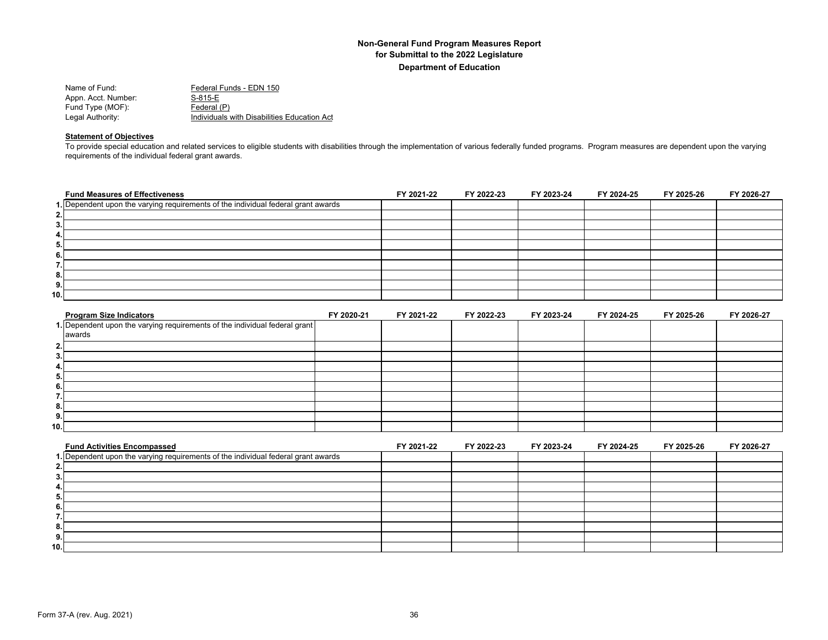| Name of Fund:       | Federal Funds - EDN 150                     |
|---------------------|---------------------------------------------|
| Appn. Acct. Number: | S-815-E                                     |
| Fund Type (MOF):    | Federal (P)                                 |
| Legal Authority:    | Individuals with Disabilities Education Act |

#### **Statement of Objectives**

To provide special education and related services to eligible students with disabilities through the implementation of various federally funded programs. Program measures are dependent upon the varying requirements of the individual federal grant awards.

| <b>Fund Measures of Effectiveness</b>                                             | FY 2021-22 | FY 2022-23 | FY 2023-24 | FY 2024-25 | FY 2025-26 | FY 2026-27 |
|-----------------------------------------------------------------------------------|------------|------------|------------|------------|------------|------------|
| 1. Dependent upon the varying requirements of the individual federal grant awards |            |            |            |            |            |            |
| 2.                                                                                |            |            |            |            |            |            |
| 3.                                                                                |            |            |            |            |            |            |
| 4.                                                                                |            |            |            |            |            |            |
| 5.                                                                                |            |            |            |            |            |            |
| 6.                                                                                |            |            |            |            |            |            |
| . .                                                                               |            |            |            |            |            |            |
| 8.                                                                                |            |            |            |            |            |            |
| 9.                                                                                |            |            |            |            |            |            |
| 10.                                                                               |            |            |            |            |            |            |

| <b>Program Size Indicators</b>                                             | FY 2020-21 | FY 2021-22 | FY 2022-23 | FY 2023-24 | FY 2024-25 | FY 2025-26 | FY 2026-27 |
|----------------------------------------------------------------------------|------------|------------|------------|------------|------------|------------|------------|
| 1. Dependent upon the varying requirements of the individual federal grant |            |            |            |            |            |            |            |
| awards                                                                     |            |            |            |            |            |            |            |
| 2.                                                                         |            |            |            |            |            |            |            |
| 3.                                                                         |            |            |            |            |            |            |            |
| 4.                                                                         |            |            |            |            |            |            |            |
| 5.                                                                         |            |            |            |            |            |            |            |
| 6.                                                                         |            |            |            |            |            |            |            |
|                                                                            |            |            |            |            |            |            |            |
| 8.                                                                         |            |            |            |            |            |            |            |
| 9.                                                                         |            |            |            |            |            |            |            |
| 10.                                                                        |            |            |            |            |            |            |            |

| <b>Fund Activities Encompassed</b>                                                | FY 2021-22 | FY 2022-23 | FY 2023-24 | FY 2024-25 | FY 2025-26 | FY 2026-27 |
|-----------------------------------------------------------------------------------|------------|------------|------------|------------|------------|------------|
| 1. Dependent upon the varying requirements of the individual federal grant awards |            |            |            |            |            |            |
| <b>.</b>                                                                          |            |            |            |            |            |            |
| 3.                                                                                |            |            |            |            |            |            |
| 4.                                                                                |            |            |            |            |            |            |
| 5.,                                                                               |            |            |            |            |            |            |
| 6.                                                                                |            |            |            |            |            |            |
|                                                                                   |            |            |            |            |            |            |
| 8.                                                                                |            |            |            |            |            |            |
| 9.                                                                                |            |            |            |            |            |            |
| 10.                                                                               |            |            |            |            |            |            |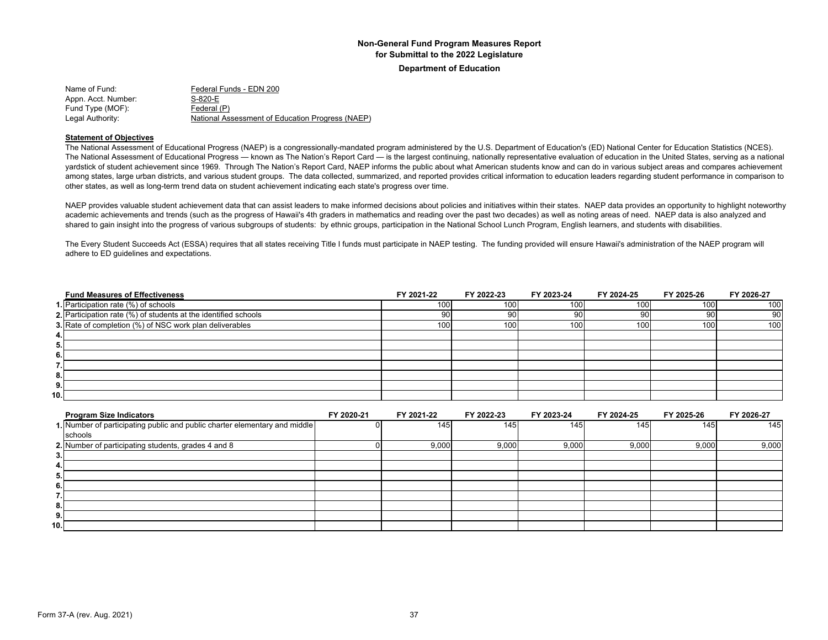**Department of Education**

| Name of Fund:       | Federal Funds - EDN 200                          |
|---------------------|--------------------------------------------------|
| Appn. Acct. Number: | S-820-E                                          |
| Fund Type (MOF):    | Federal (P)                                      |
| Legal Authority:    | National Assessment of Education Progress (NAEP) |

#### **Statement of Objectives**

The National Assessment of Educational Progress (NAEP) is a congressionally-mandated program administered by the U.S. Department of Education's (ED) National Center for Education Statistics (NCES). The National Assessment of Educational Progress — known as The Nation's Report Card — is the largest continuing, nationally representative evaluation of education in the United States, serving as a national yardstick of student achievement since 1969. Through The Nation's Report Card, NAEP informs the public about what American students know and can do in various subject areas and compares achievement among states, large urban districts, and various student groups. The data collected, summarized, and reported provides critical information to education leaders regarding student performance in comparison to other states, as well as long-term trend data on student achievement indicating each state's progress over time.

NAEP provides valuable student achievement data that can assist leaders to make informed decisions about policies and initiatives within their states. NAEP data provides an opportunity to highlight noteworthy academic achievements and trends (such as the progress of Hawaii's 4th graders in mathematics and reading over the past two decades) as well as noting areas of need. NAEP data is also analyzed and shared to gain insight into the progress of various subgroups of students: by ethnic groups, participation in the National School Lunch Program, English learners, and students with disabilities.

The Every Student Succeeds Act (ESSA) requires that all states receiving Title I funds must participate in NAEP testing. The funding provided will ensure Hawaii's administration of the NAEP program will adhere to ED guidelines and expectations.

|      | <b>Fund Measures of Effectiveness</b>                           | FY 2021-22 | FY 2022-23 | FY 2023-24 | FY 2024-25 | FY 2025-26 | FY 2026-27 |
|------|-----------------------------------------------------------------|------------|------------|------------|------------|------------|------------|
|      | 1. Participation rate (%) of schools                            | 100        | 100        | 100        | 100        | 100        | 100        |
|      | 2. Participation rate (%) of students at the identified schools | 90         | 90         | 90         | 90         | 901        | 90         |
|      | 3. Rate of completion (%) of NSC work plan deliverables         | 100        | 100        | 100        | 100        | 100        | 100        |
| 4.   |                                                                 |            |            |            |            |            |            |
| 5.   |                                                                 |            |            |            |            |            |            |
| 6.1  |                                                                 |            |            |            |            |            |            |
| 7.I  |                                                                 |            |            |            |            |            |            |
| 8.   |                                                                 |            |            |            |            |            |            |
| 9.   |                                                                 |            |            |            |            |            |            |
| 10.I |                                                                 |            |            |            |            |            |            |

| <b>Program Size Indicators</b>                                             | FY 2020-21 | FY 2021-22 | FY 2022-23 | FY 2023-24 | FY 2024-25 | FY 2025-26 | FY 2026-27 |
|----------------------------------------------------------------------------|------------|------------|------------|------------|------------|------------|------------|
| 1. Number of participating public and public charter elementary and middle |            | 145        | 1451       | 145        | 145        | 145        | 145        |
| schools                                                                    |            |            |            |            |            |            |            |
| 2. Number of participating students, grades 4 and 8                        |            | 9,000      | 9,000      | 9,000      | 9,000      | 9,000      | 9,000      |
| 3.                                                                         |            |            |            |            |            |            |            |
|                                                                            |            |            |            |            |            |            |            |
| 5.                                                                         |            |            |            |            |            |            |            |
| 6.                                                                         |            |            |            |            |            |            |            |
|                                                                            |            |            |            |            |            |            |            |
| 8.                                                                         |            |            |            |            |            |            |            |
| 9.                                                                         |            |            |            |            |            |            |            |
| 10.1                                                                       |            |            |            |            |            |            |            |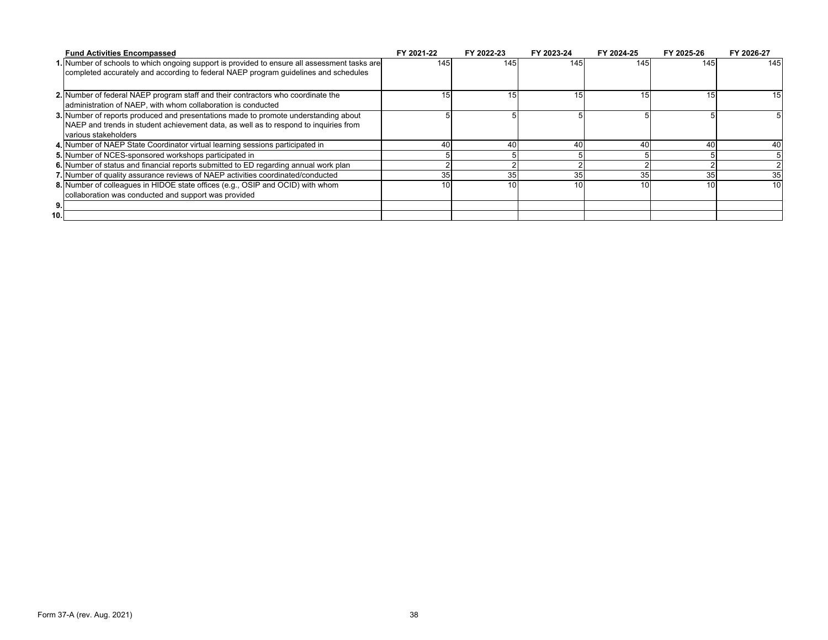|     | <b>Fund Activities Encompassed</b>                                                           | FY 2021-22 | FY 2022-23 | FY 2023-24      | FY 2024-25 | FY 2025-26 | FY 2026-27      |
|-----|----------------------------------------------------------------------------------------------|------------|------------|-----------------|------------|------------|-----------------|
|     | 1. Number of schools to which ongoing support is provided to ensure all assessment tasks are | 145        | 145        | 145             | 145        | 145        | 145             |
|     | completed accurately and according to federal NAEP program guidelines and schedules          |            |            |                 |            |            |                 |
|     | 2. Number of federal NAEP program staff and their contractors who coordinate the             | 15         | 15         | 15 <sub>1</sub> | 15         | 15         | 15              |
|     | administration of NAEP, with whom collaboration is conducted                                 |            |            |                 |            |            |                 |
|     | 3. Number of reports produced and presentations made to promote understanding about          |            |            |                 |            |            |                 |
|     | NAEP and trends in student achievement data, as well as to respond to inquiries from         |            |            |                 |            |            |                 |
|     | various stakeholders                                                                         |            |            |                 |            |            |                 |
|     | 4. Number of NAEP State Coordinator virtual learning sessions participated in                | 40         |            | 40              | 40         | 40         | 40              |
|     | 5. Number of NCES-sponsored workshops participated in                                        |            |            |                 |            |            |                 |
|     | 6. Number of status and financial reports submitted to ED regarding annual work plan         |            |            |                 |            |            |                 |
|     | 7. Number of quality assurance reviews of NAEP activities coordinated/conducted              | 35         | 35         | 35              | 35         | 35         | 35              |
|     | 8. Number of colleagues in HIDOE state offices (e.g., OSIP and OCID) with whom               | 10         | 10         | 10              | 10         | 10         | 10 <sup>1</sup> |
|     | collaboration was conducted and support was provided                                         |            |            |                 |            |            |                 |
| 9.  |                                                                                              |            |            |                 |            |            |                 |
| 10. |                                                                                              |            |            |                 |            |            |                 |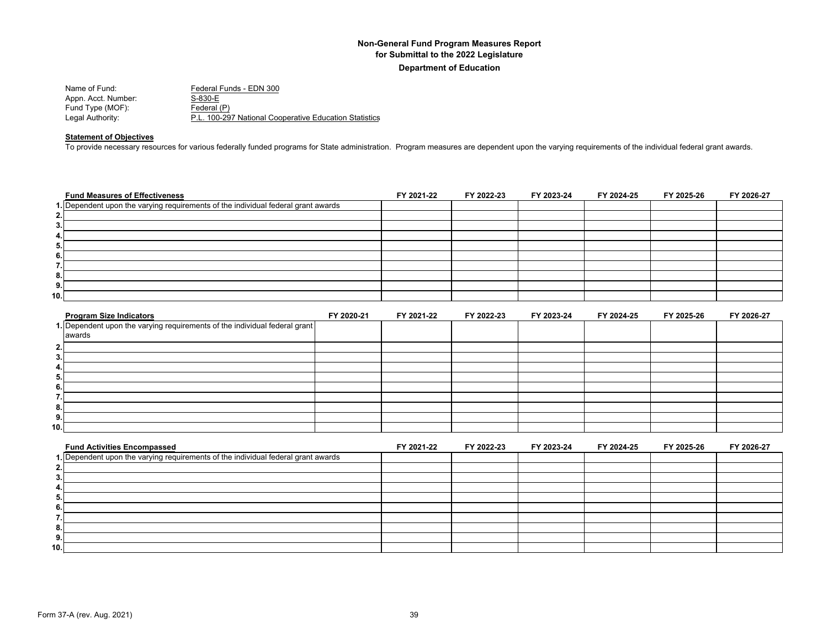| Name of Fund:       | Federal Funds - EDN 300                                |
|---------------------|--------------------------------------------------------|
| Appn. Acct. Number: | S-830-E                                                |
| Fund Type (MOF):    | Federal (P)                                            |
| Legal Authority:    | P.L. 100-297 National Cooperative Education Statistics |

#### **Statement of Objectives**

To provide necessary resources for various federally funded programs for State administration. Program measures are dependent upon the varying requirements of the individual federal grant awards.

| <b>Fund Measures of Effectiveness</b>                                             | FY 2021-22 | FY 2022-23 | FY 2023-24 | FY 2024-25 | FY 2025-26 | FY 2026-27 |
|-----------------------------------------------------------------------------------|------------|------------|------------|------------|------------|------------|
| 1. Dependent upon the varying requirements of the individual federal grant awards |            |            |            |            |            |            |
| 2.                                                                                |            |            |            |            |            |            |
| 3.                                                                                |            |            |            |            |            |            |
| 4.                                                                                |            |            |            |            |            |            |
| 5.                                                                                |            |            |            |            |            |            |
| 6.                                                                                |            |            |            |            |            |            |
|                                                                                   |            |            |            |            |            |            |
| 8.                                                                                |            |            |            |            |            |            |
| 9.                                                                                |            |            |            |            |            |            |
| 10.                                                                               |            |            |            |            |            |            |

| <b>Program Size Indicators</b>                                             | FY 2020-21 | FY 2021-22 | FY 2022-23 | FY 2023-24 | FY 2024-25 | FY 2025-26 | FY 2026-27 |
|----------------------------------------------------------------------------|------------|------------|------------|------------|------------|------------|------------|
| 1. Dependent upon the varying requirements of the individual federal grant |            |            |            |            |            |            |            |
| awards                                                                     |            |            |            |            |            |            |            |
| 2.                                                                         |            |            |            |            |            |            |            |
| - 3.                                                                       |            |            |            |            |            |            |            |
| 4.                                                                         |            |            |            |            |            |            |            |
| 5.                                                                         |            |            |            |            |            |            |            |
| 6.                                                                         |            |            |            |            |            |            |            |
|                                                                            |            |            |            |            |            |            |            |
| 8.                                                                         |            |            |            |            |            |            |            |
| 9.                                                                         |            |            |            |            |            |            |            |
| 10.1                                                                       |            |            |            |            |            |            |            |

| <b>Fund Activities Encompassed</b>                                                | FY 2021-22 | FY 2022-23 | FY 2023-24 | FY 2024-25 | FY 2025-26 | FY 2026-27 |
|-----------------------------------------------------------------------------------|------------|------------|------------|------------|------------|------------|
| 1. Dependent upon the varying requirements of the individual federal grant awards |            |            |            |            |            |            |
|                                                                                   |            |            |            |            |            |            |
|                                                                                   |            |            |            |            |            |            |
|                                                                                   |            |            |            |            |            |            |
|                                                                                   |            |            |            |            |            |            |
|                                                                                   |            |            |            |            |            |            |
|                                                                                   |            |            |            |            |            |            |
| о.                                                                                |            |            |            |            |            |            |
| 9                                                                                 |            |            |            |            |            |            |
| 10.1                                                                              |            |            |            |            |            |            |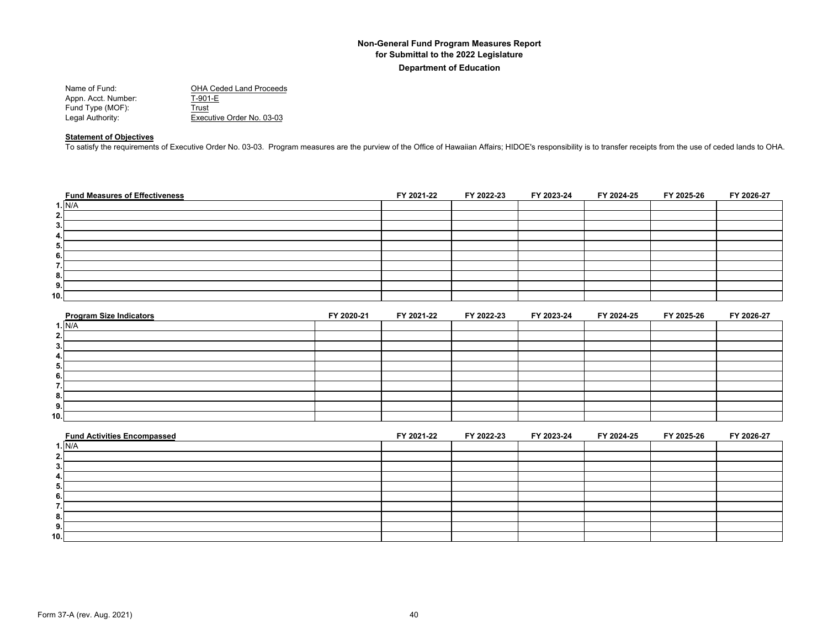| <b>OHA Ceded Land Proceeds</b> |
|--------------------------------|
| T-901-E                        |
| Trust                          |
| Executive Order No. 03-03      |
|                                |

## **Statement of Objectives**

To satisfy the requirements of Executive Order No. 03-03. Program measures are the purview of the Office of Hawaiian Affairs; HIDOE's responsibility is to transfer receipts from the use of ceded lands to OHA.

| <b>Fund Measures of Effectiveness</b> | FY 2021-22 | FY 2022-23 | FY 2023-24 | FY 2024-25 | FY 2025-26 | FY 2026-27 |
|---------------------------------------|------------|------------|------------|------------|------------|------------|
| 1. N/A                                |            |            |            |            |            |            |
| 2.1                                   |            |            |            |            |            |            |
| 3.                                    |            |            |            |            |            |            |
| 4.                                    |            |            |            |            |            |            |
| 5.                                    |            |            |            |            |            |            |
| 6.                                    |            |            |            |            |            |            |
|                                       |            |            |            |            |            |            |
| 8.                                    |            |            |            |            |            |            |
| 9.                                    |            |            |            |            |            |            |
| 10.                                   |            |            |            |            |            |            |

| <b>Program Size Indicators</b> | FY 2020-21 | FY 2021-22 | FY 2022-23 | FY 2023-24 | FY 2024-25 | FY 2025-26 | FY 2026-27 |
|--------------------------------|------------|------------|------------|------------|------------|------------|------------|
| 1. N/A                         |            |            |            |            |            |            |            |
| 2.                             |            |            |            |            |            |            |            |
| 3.                             |            |            |            |            |            |            |            |
| 4.                             |            |            |            |            |            |            |            |
| 5.                             |            |            |            |            |            |            |            |
| 6.                             |            |            |            |            |            |            |            |
|                                |            |            |            |            |            |            |            |
| 8.                             |            |            |            |            |            |            |            |
| 9.                             |            |            |            |            |            |            |            |
| 10.                            |            |            |            |            |            |            |            |

| <b>Fund Activities Encompassed</b> | FY 2021-22 | FY 2022-23 | FY 2023-24 | FY 2024-25 | FY 2025-26 | FY 2026-27 |
|------------------------------------|------------|------------|------------|------------|------------|------------|
| I. N/A                             |            |            |            |            |            |            |
|                                    |            |            |            |            |            |            |
|                                    |            |            |            |            |            |            |
|                                    |            |            |            |            |            |            |
| Ð.                                 |            |            |            |            |            |            |
|                                    |            |            |            |            |            |            |
|                                    |            |            |            |            |            |            |
|                                    |            |            |            |            |            |            |
| Ð                                  |            |            |            |            |            |            |
| 10.                                |            |            |            |            |            |            |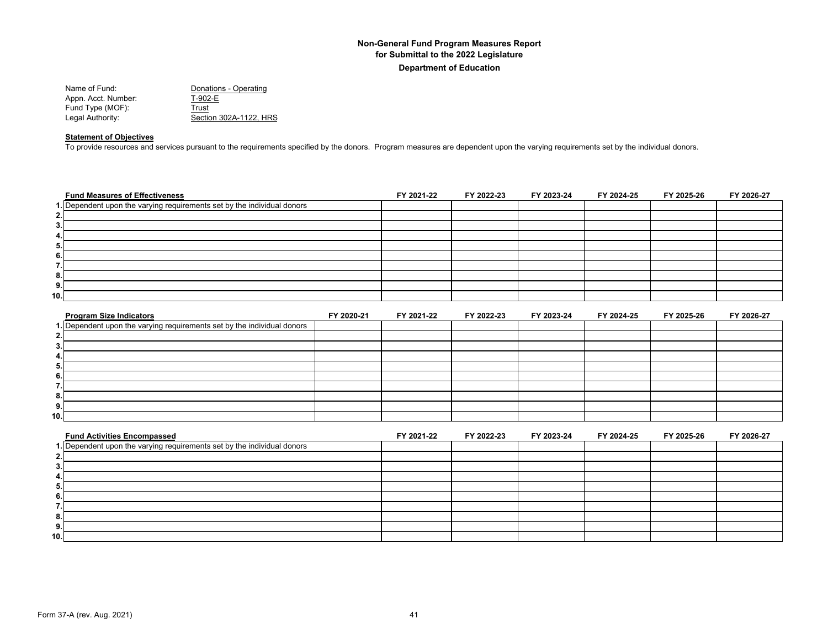| Name of Fund:       | Donations - Operating  |
|---------------------|------------------------|
| Appn. Acct. Number: | T-902-E                |
| Fund Type (MOF):    | Trust                  |
| Legal Authority:    | Section 302A-1122. HRS |
|                     |                        |

## **Statement of Objectives**

To provide resources and services pursuant to the requirements specified by the donors. Program measures are dependent upon the varying requirements set by the individual donors.

| <b>Fund Measures of Effectiveness</b>                                   | FY 2021-22 | FY 2022-23 | FY 2023-24 | FY 2024-25 | FY 2025-26 | FY 2026-27 |
|-------------------------------------------------------------------------|------------|------------|------------|------------|------------|------------|
| 1. Dependent upon the varying requirements set by the individual donors |            |            |            |            |            |            |
| 2.                                                                      |            |            |            |            |            |            |
| 3.                                                                      |            |            |            |            |            |            |
| 4.                                                                      |            |            |            |            |            |            |
| 5.                                                                      |            |            |            |            |            |            |
| 6.                                                                      |            |            |            |            |            |            |
| . .                                                                     |            |            |            |            |            |            |
| 8.                                                                      |            |            |            |            |            |            |
| 9.                                                                      |            |            |            |            |            |            |
| 10.                                                                     |            |            |            |            |            |            |

| <b>Program Size Indicators</b>                                          | FY 2020-21 | FY 2021-22 | FY 2022-23 | FY 2023-24 | FY 2024-25 | FY 2025-26 | FY 2026-27 |
|-------------------------------------------------------------------------|------------|------------|------------|------------|------------|------------|------------|
| 1. Dependent upon the varying requirements set by the individual donors |            |            |            |            |            |            |            |
| 2.                                                                      |            |            |            |            |            |            |            |
| 3.                                                                      |            |            |            |            |            |            |            |
| 4.                                                                      |            |            |            |            |            |            |            |
| 5.                                                                      |            |            |            |            |            |            |            |
| 6.                                                                      |            |            |            |            |            |            |            |
|                                                                         |            |            |            |            |            |            |            |
| 8.                                                                      |            |            |            |            |            |            |            |
| 9.                                                                      |            |            |            |            |            |            |            |
| 10.1                                                                    |            |            |            |            |            |            |            |

| <b>Fund Activities Encompassed</b>                                      | FY 2021-22 | FY 2022-23 | FY 2023-24 | FY 2024-25 | FY 2025-26 | FY 2026-27 |
|-------------------------------------------------------------------------|------------|------------|------------|------------|------------|------------|
| 1. Dependent upon the varying requirements set by the individual donors |            |            |            |            |            |            |
|                                                                         |            |            |            |            |            |            |
|                                                                         |            |            |            |            |            |            |
|                                                                         |            |            |            |            |            |            |
|                                                                         |            |            |            |            |            |            |
|                                                                         |            |            |            |            |            |            |
|                                                                         |            |            |            |            |            |            |
|                                                                         |            |            |            |            |            |            |
|                                                                         |            |            |            |            |            |            |
| 10.1                                                                    |            |            |            |            |            |            |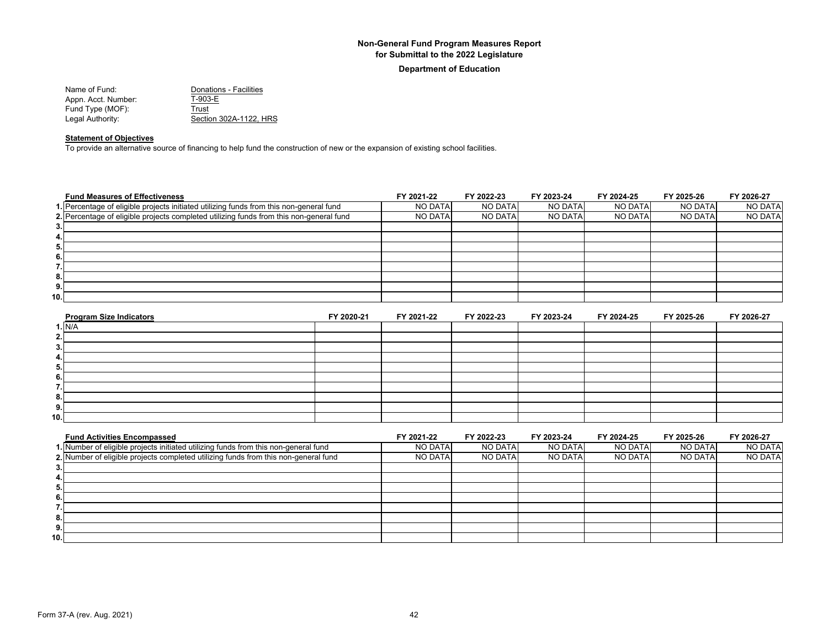#### **Department of Education**

| Name of Fund:       | Donations - Facilities |
|---------------------|------------------------|
| Appn. Acct. Number: | T-903-E                |
| Fund Type (MOF):    | Trust                  |
| Legal Authority:    | Section 302A-1122. HRS |

## **Statement of Objectives**

To provide an alternative source of financing to help fund the construction of new or the expansion of existing school facilities.

| <b>Fund Measures of Effectiveness</b>                                                   | FY 2021-22     | FY 2022-23 | FY 2023-24     | FY 2024-25     | FY 2025-26     | FY 2026-27     |
|-----------------------------------------------------------------------------------------|----------------|------------|----------------|----------------|----------------|----------------|
| 1. Percentage of eligible projects initiated utilizing funds from this non-general fund | <b>NO DATA</b> | NO DATA    | <b>NO DATA</b> | <b>NO DATA</b> | <b>NO DATA</b> | NO DATA        |
| 2. Percentage of eligible projects completed utilizing funds from this non-general fund | <b>NO DATA</b> | NO DATA    | <b>NO DATA</b> | NO DATA        | <b>NO DATA</b> | <b>NO DATA</b> |
| 3.                                                                                      |                |            |                |                |                |                |
| 4.                                                                                      |                |            |                |                |                |                |
| 5.                                                                                      |                |            |                |                |                |                |
| 6.                                                                                      |                |            |                |                |                |                |
| . .                                                                                     |                |            |                |                |                |                |
| 8.                                                                                      |                |            |                |                |                |                |
| 9.                                                                                      |                |            |                |                |                |                |
| 10.                                                                                     |                |            |                |                |                |                |

| <b>Program Size Indicators</b> | FY 2020-21 | FY 2021-22 | FY 2022-23 | FY 2023-24 | FY 2024-25 | FY 2025-26 | FY 2026-27 |
|--------------------------------|------------|------------|------------|------------|------------|------------|------------|
| 1. N/A                         |            |            |            |            |            |            |            |
|                                |            |            |            |            |            |            |            |
| 3.                             |            |            |            |            |            |            |            |
| 4.                             |            |            |            |            |            |            |            |
| 5.                             |            |            |            |            |            |            |            |
| 6.                             |            |            |            |            |            |            |            |
|                                |            |            |            |            |            |            |            |
| 8.                             |            |            |            |            |            |            |            |
| 9.                             |            |            |            |            |            |            |            |
| 10.1                           |            |            |            |            |            |            |            |

| <b>Fund Activities Encompassed</b>                                                  | FY 2021-22 | FY 2022-23 | FY 2023-24     | FY 2024-25 | FY 2025-26 | FY 2026-27     |
|-------------------------------------------------------------------------------------|------------|------------|----------------|------------|------------|----------------|
| 1. Number of eligible projects initiated utilizing funds from this non-general fund | NO DATA    | NO DATA    | <b>NO DATA</b> | NO DATA    | NO DATA    | <b>NO DATA</b> |
| 2. Number of eligible projects completed utilizing funds from this non-general fund | NO DATA    | NO DATA    | NO DATA        | NO DATA    | NO DATA    | <b>NO DATA</b> |
|                                                                                     |            |            |                |            |            |                |
|                                                                                     |            |            |                |            |            |                |
|                                                                                     |            |            |                |            |            |                |
|                                                                                     |            |            |                |            |            |                |
|                                                                                     |            |            |                |            |            |                |
|                                                                                     |            |            |                |            |            |                |
|                                                                                     |            |            |                |            |            |                |
| 10.                                                                                 |            |            |                |            |            |                |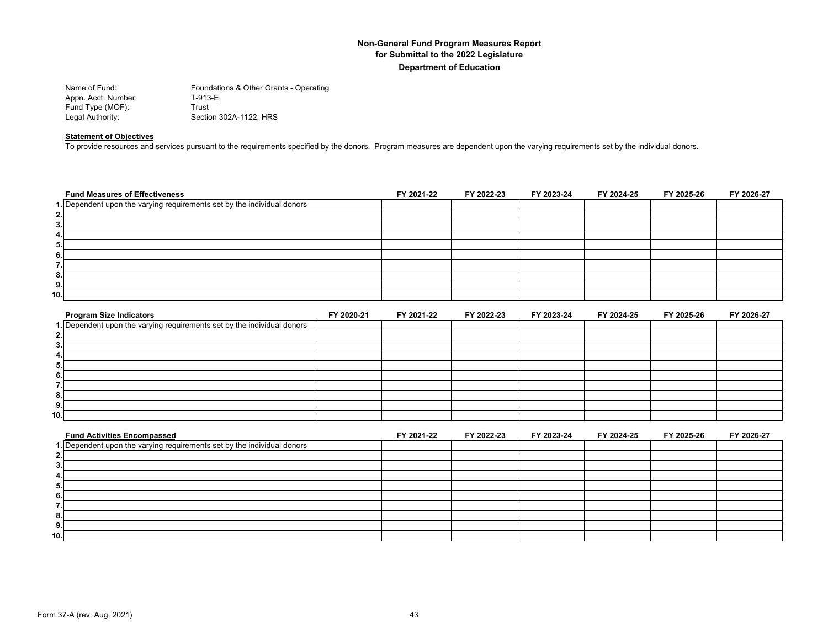| Name of Fund:       | Foundations & Other Grants - Operating |
|---------------------|----------------------------------------|
| Appn. Acct. Number: | T-913-E                                |
| Fund Type (MOF):    | Trust                                  |
| Legal Authority:    | Section 302A-1122, HRS                 |

#### **Statement of Objectives**

To provide resources and services pursuant to the requirements specified by the donors. Program measures are dependent upon the varying requirements set by the individual donors.

| <b>Fund Measures of Effectiveness</b>                                   | FY 2021-22 | FY 2022-23 | FY 2023-24 | FY 2024-25 | FY 2025-26 | FY 2026-27 |
|-------------------------------------------------------------------------|------------|------------|------------|------------|------------|------------|
| 1. Dependent upon the varying requirements set by the individual donors |            |            |            |            |            |            |
| 2.                                                                      |            |            |            |            |            |            |
| 3.                                                                      |            |            |            |            |            |            |
| 4.                                                                      |            |            |            |            |            |            |
| 5.                                                                      |            |            |            |            |            |            |
| 6.                                                                      |            |            |            |            |            |            |
| ⇁<br>                                                                   |            |            |            |            |            |            |
| 8.                                                                      |            |            |            |            |            |            |
| 9.                                                                      |            |            |            |            |            |            |
| 10.                                                                     |            |            |            |            |            |            |
|                                                                         |            |            |            |            |            |            |

| <b>Program Size Indicators</b>                                          | FY 2020-21 | FY 2021-22 | FY 2022-23 | FY 2023-24 | FY 2024-25 | FY 2025-26 | FY 2026-27 |
|-------------------------------------------------------------------------|------------|------------|------------|------------|------------|------------|------------|
| 1. Dependent upon the varying requirements set by the individual donors |            |            |            |            |            |            |            |
| 2.                                                                      |            |            |            |            |            |            |            |
| 3.                                                                      |            |            |            |            |            |            |            |
| 4.                                                                      |            |            |            |            |            |            |            |
| 5.                                                                      |            |            |            |            |            |            |            |
| 6.                                                                      |            |            |            |            |            |            |            |
|                                                                         |            |            |            |            |            |            |            |
| 8.                                                                      |            |            |            |            |            |            |            |
| 9.                                                                      |            |            |            |            |            |            |            |
| 10.1                                                                    |            |            |            |            |            |            |            |

| <b>Fund Activities Encompassed</b>                                      | FY 2021-22 | FY 2022-23 | FY 2023-24 | FY 2024-25 | FY 2025-26 | FY 2026-27 |
|-------------------------------------------------------------------------|------------|------------|------------|------------|------------|------------|
| 1. Dependent upon the varying requirements set by the individual donors |            |            |            |            |            |            |
|                                                                         |            |            |            |            |            |            |
|                                                                         |            |            |            |            |            |            |
|                                                                         |            |            |            |            |            |            |
| Ð.                                                                      |            |            |            |            |            |            |
|                                                                         |            |            |            |            |            |            |
|                                                                         |            |            |            |            |            |            |
| о.                                                                      |            |            |            |            |            |            |
| 9                                                                       |            |            |            |            |            |            |
| 10.1                                                                    |            |            |            |            |            |            |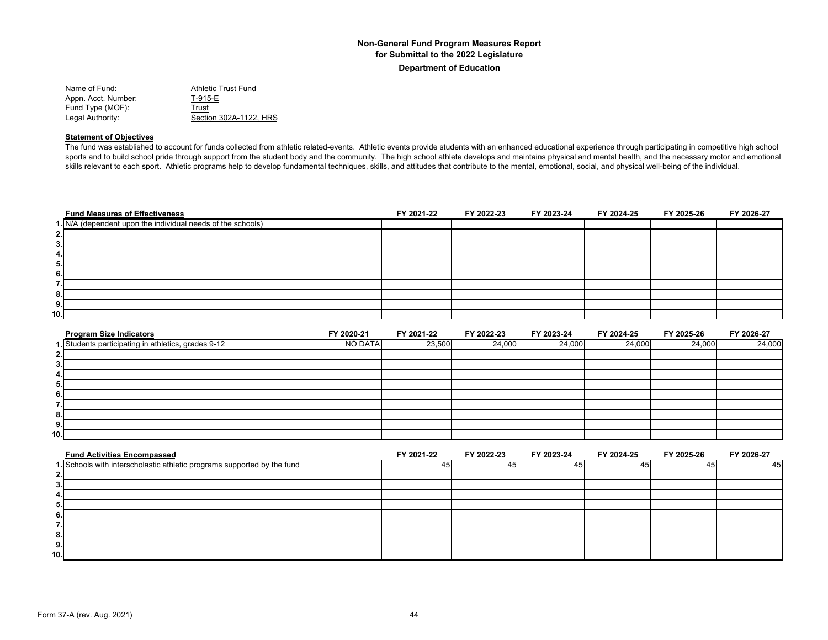| Name of Fund:       | Athletic Trust Fund    |
|---------------------|------------------------|
| Appn. Acct. Number: | T-915-E                |
| Fund Type (MOF):    | Trust                  |
| Legal Authority:    | Section 302A-1122. HRS |

#### **Statement of Objectives**

The fund was established to account for funds collected from athletic related-events. Athletic events provide students with an enhanced educational experience through participating in competitive high school sports and to build school pride through support from the student body and the community. The high school athlete develops and maintains physical and mental health, and the necessary motor and emotional skills relevant to each sport. Athletic programs help to develop fundamental techniques, skills, and attitudes that contribute to the mental, emotional, social, and physical well-being of the individual.

| <b>Fund Measures of Effectiveness</b>                       | FY 2021-22 | FY 2022-23 | FY 2023-24 | FY 2024-25 | FY 2025-26 | FY 2026-27 |
|-------------------------------------------------------------|------------|------------|------------|------------|------------|------------|
| 1. N/A (dependent upon the individual needs of the schools) |            |            |            |            |            |            |
| 2.                                                          |            |            |            |            |            |            |
| 3.                                                          |            |            |            |            |            |            |
| 4.                                                          |            |            |            |            |            |            |
| 5.                                                          |            |            |            |            |            |            |
| 6.                                                          |            |            |            |            |            |            |
| . .                                                         |            |            |            |            |            |            |
| 8.                                                          |            |            |            |            |            |            |
| 9.                                                          |            |            |            |            |            |            |
| 10.I                                                        |            |            |            |            |            |            |

| <b>Program Size Indicators</b>                      | FY 2020-21 | FY 2021-22 | FY 2022-23 | FY 2023-24 | FY 2024-25 | FY 2025-26 | FY 2026-27 |
|-----------------------------------------------------|------------|------------|------------|------------|------------|------------|------------|
| 1. Students participating in athletics, grades 9-12 | NO DATA    | 23,500     | 24,000     | 24,000     | 24,000     | 24,000     | 24,000     |
| 2.                                                  |            |            |            |            |            |            |            |
| 3.                                                  |            |            |            |            |            |            |            |
| 4.                                                  |            |            |            |            |            |            |            |
| 5.                                                  |            |            |            |            |            |            |            |
| 6                                                   |            |            |            |            |            |            |            |
|                                                     |            |            |            |            |            |            |            |
| 8.                                                  |            |            |            |            |            |            |            |
| 9.                                                  |            |            |            |            |            |            |            |
| 10.                                                 |            |            |            |            |            |            |            |

| <b>Fund Activities Encompassed</b>                                      | FY 2021-22 | FY 2022-23 | FY 2023-24 | FY 2024-25 | FY 2025-26 | FY 2026-27 |
|-------------------------------------------------------------------------|------------|------------|------------|------------|------------|------------|
| 1. Schools with interscholastic athletic programs supported by the fund |            |            |            |            |            | 45         |
|                                                                         |            |            |            |            |            |            |
|                                                                         |            |            |            |            |            |            |
|                                                                         |            |            |            |            |            |            |
|                                                                         |            |            |            |            |            |            |
|                                                                         |            |            |            |            |            |            |
|                                                                         |            |            |            |            |            |            |
| o.                                                                      |            |            |            |            |            |            |
|                                                                         |            |            |            |            |            |            |
| 10.                                                                     |            |            |            |            |            |            |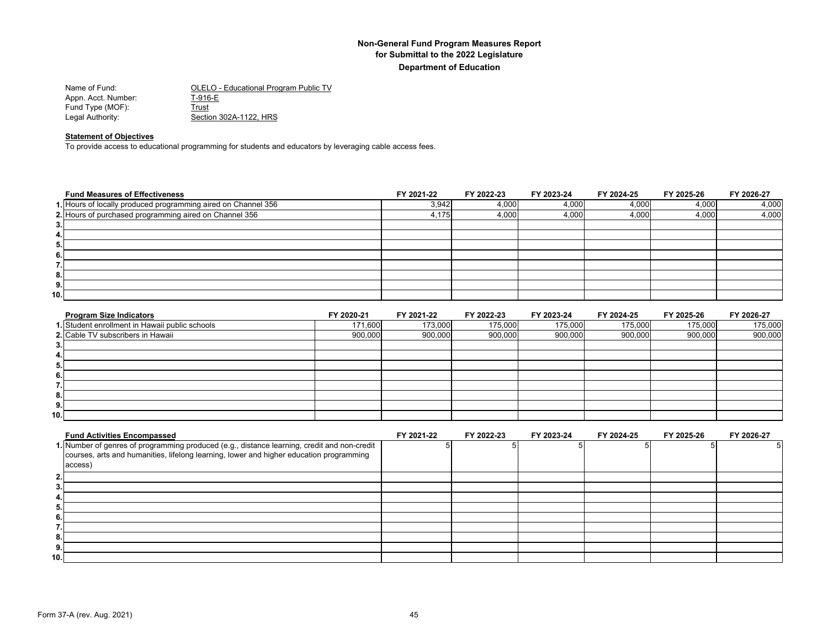| Name of Fund:       | OLELO - Educational Program Public TV |
|---------------------|---------------------------------------|
| Appn. Acct. Number: | T-916-E                               |
| Fund Type (MOF):    | Trust                                 |
| Legal Authority:    | Section 302A-1122, HRS                |

#### **Statement of Objectives**

To provide access to educational programming for students and educators by leveraging cable access fees.

|       | <b>Fund Measures of Effectiveness</b>                         | FY 2021-22 | FY 2022-23 | FY 2023-24 | FY 2024-25 | FY 2025-26 | FY 2026-27 |
|-------|---------------------------------------------------------------|------------|------------|------------|------------|------------|------------|
|       | 1. Hours of locally produced programming aired on Channel 356 | 3,942      | 4,000      | 4,000      | 4,000      | 4,000      | 4,000      |
|       | 2. Hours of purchased programming aired on Channel 356        | 4,175      | 4,000      | 4,000      | 4,000      | 4,000      | 4,000      |
| 3.    |                                                               |            |            |            |            |            |            |
| 4.    |                                                               |            |            |            |            |            |            |
| 5.    |                                                               |            |            |            |            |            |            |
| 6.    |                                                               |            |            |            |            |            |            |
| 7<br> |                                                               |            |            |            |            |            |            |
| 8.    |                                                               |            |            |            |            |            |            |
| 9.    |                                                               |            |            |            |            |            |            |
| 10.   |                                                               |            |            |            |            |            |            |

| <b>Program Size Indicators</b>                 | FY 2020-21 | FY 2021-22 | FY 2022-23 | FY 2023-24 | FY 2024-25 | FY 2025-26 | FY 2026-27 |
|------------------------------------------------|------------|------------|------------|------------|------------|------------|------------|
| 1. Student enrollment in Hawaii public schools | 171,600    | 173,000    | 175,000    | 175,000    | 175,000    | 175.000    | 175,000    |
| 2. Cable TV subscribers in Hawaii              | 900,000    | 900,000    | 900,000    | 900,000    | 900,000    | 900,000    | 900,000    |
| 3.                                             |            |            |            |            |            |            |            |
| 4.                                             |            |            |            |            |            |            |            |
| 5.                                             |            |            |            |            |            |            |            |
| 6.                                             |            |            |            |            |            |            |            |
| $\overline{\phantom{a}}$<br>.                  |            |            |            |            |            |            |            |
| 8.                                             |            |            |            |            |            |            |            |
| 9.                                             |            |            |            |            |            |            |            |
| 10.1                                           |            |            |            |            |            |            |            |

|     | <b>Fund Activities Encompassed</b>                                                          | FY 2021-22 | FY 2022-23 | FY 2023-24 | FY 2024-25 | FY 2025-26 | FY 2026-27 |
|-----|---------------------------------------------------------------------------------------------|------------|------------|------------|------------|------------|------------|
|     | 1. Number of genres of programming produced (e.g., distance learning, credit and non-credit |            |            |            |            |            |            |
|     | courses, arts and humanities, lifelong learning, lower and higher education programming     |            |            |            |            |            |            |
|     | access)                                                                                     |            |            |            |            |            |            |
|     |                                                                                             |            |            |            |            |            |            |
|     |                                                                                             |            |            |            |            |            |            |
|     |                                                                                             |            |            |            |            |            |            |
| Ð.  |                                                                                             |            |            |            |            |            |            |
| o.  |                                                                                             |            |            |            |            |            |            |
|     |                                                                                             |            |            |            |            |            |            |
| ō.  |                                                                                             |            |            |            |            |            |            |
| 9   |                                                                                             |            |            |            |            |            |            |
| 10. |                                                                                             |            |            |            |            |            |            |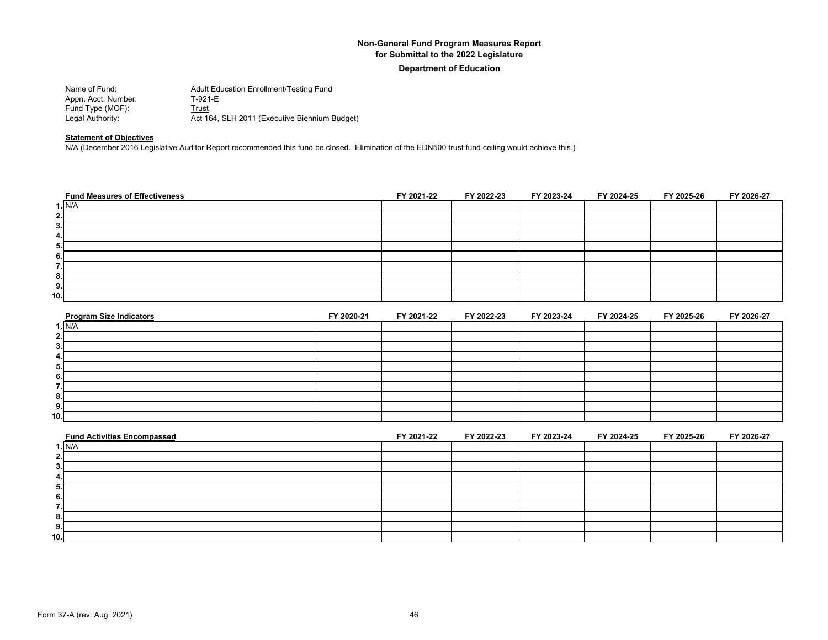**Department of Education**

| Name of Fund:       | Adult Education Enrollment/Testing Fund       |
|---------------------|-----------------------------------------------|
| Appn. Acct. Number: | T-921-E                                       |
| Fund Type (MOF):    | Trust                                         |
| Legal Authority:    | Act 164, SLH 2011 (Executive Biennium Budget) |

#### **Statement of Objectives**

N/A (December 2016 Legislative Auditor Report recommended this fund be closed. Elimination of the EDN500 trust fund ceiling would achieve this.)

| <b>Fund Measures of Effectiveness</b> | FY 2021-22 | FY 2022-23 | FY 2023-24 | FY 2024-25 | FY 2025-26 | FY 2026-27 |
|---------------------------------------|------------|------------|------------|------------|------------|------------|
| 1. N/A                                |            |            |            |            |            |            |
| 2.                                    |            |            |            |            |            |            |
| 3.                                    |            |            |            |            |            |            |
| 4.                                    |            |            |            |            |            |            |
| 5.                                    |            |            |            |            |            |            |
| 6.                                    |            |            |            |            |            |            |
| 7.                                    |            |            |            |            |            |            |
| 8.                                    |            |            |            |            |            |            |
| 9.                                    |            |            |            |            |            |            |
| 10.                                   |            |            |            |            |            |            |

| <b>Program Size Indicators</b> | FY 2020-21 | FY 2021-22 | FY 2022-23 | FY 2023-24 | FY 2024-25 | FY 2025-26 | FY 2026-27 |
|--------------------------------|------------|------------|------------|------------|------------|------------|------------|
| I. N/A                         |            |            |            |            |            |            |            |
| 2.                             |            |            |            |            |            |            |            |
| 3.                             |            |            |            |            |            |            |            |
| 4.                             |            |            |            |            |            |            |            |
| 5.                             |            |            |            |            |            |            |            |
| 6.                             |            |            |            |            |            |            |            |
|                                |            |            |            |            |            |            |            |
| 8.                             |            |            |            |            |            |            |            |
| 9.                             |            |            |            |            |            |            |            |
| 10.                            |            |            |            |            |            |            |            |

| <b>Fund Activities Encompassed</b> | FY 2021-22 | FY 2022-23 | FY 2023-24 | FY 2024-25 | FY 2025-26 | FY 2026-27 |
|------------------------------------|------------|------------|------------|------------|------------|------------|
| 1. N/A                             |            |            |            |            |            |            |
|                                    |            |            |            |            |            |            |
|                                    |            |            |            |            |            |            |
|                                    |            |            |            |            |            |            |
|                                    |            |            |            |            |            |            |
|                                    |            |            |            |            |            |            |
|                                    |            |            |            |            |            |            |
|                                    |            |            |            |            |            |            |
|                                    |            |            |            |            |            |            |
| 10.                                |            |            |            |            |            |            |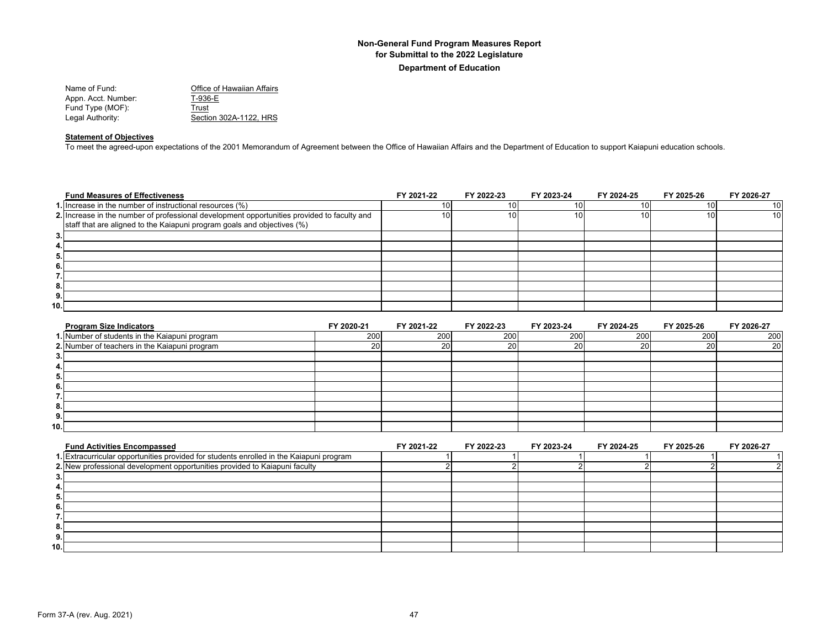| Name of Fund:       | Office of Hawaiian Affairs |
|---------------------|----------------------------|
| Appn. Acct. Number: | T-936-E                    |
| Fund Type (MOF):    | Trust                      |
| Legal Authority:    | Section 302A-1122. HRS     |
|                     |                            |

## **Statement of Objectives**

To meet the agreed-upon expectations of the 2001 Memorandum of Agreement between the Office of Hawaiian Affairs and the Department of Education to support Kaiapuni education schools.

|     | <b>Fund Measures of Effectiveness</b>                                                       | FY 2021-22 | FY 2022-23 | FY 2023-24 | FY 2024-25 | FY 2025-26 | FY 2026-27      |
|-----|---------------------------------------------------------------------------------------------|------------|------------|------------|------------|------------|-----------------|
|     | 1. Increase in the number of instructional resources (%)                                    |            |            |            |            | 10 I       | 10 <sup>1</sup> |
|     | 2. Increase in the number of professional development opportunities provided to faculty and | 10         | 10۱        |            | 10 I       | 10I        | 10 <sup>1</sup> |
|     | staff that are aligned to the Kaiapuni program goals and objectives (%)                     |            |            |            |            |            |                 |
| 3.  |                                                                                             |            |            |            |            |            |                 |
| 4.  |                                                                                             |            |            |            |            |            |                 |
| 5.  |                                                                                             |            |            |            |            |            |                 |
| 6.  |                                                                                             |            |            |            |            |            |                 |
| . . |                                                                                             |            |            |            |            |            |                 |
| 8.  |                                                                                             |            |            |            |            |            |                 |
| 9.  |                                                                                             |            |            |            |            |            |                 |
| 10. |                                                                                             |            |            |            |            |            |                 |

| <b>Program Size Indicators</b>                | FY 2020-21 | FY 2021-22 | FY 2022-23 | FY 2023-24 | FY 2024-25 | FY 2025-26 | FY 2026-27      |
|-----------------------------------------------|------------|------------|------------|------------|------------|------------|-----------------|
| 1. Number of students in the Kaiapuni program | 200        | 200        | 200        | 200        | 200        | 200        | 200             |
| 2. Number of teachers in the Kaiapuni program | <b>20</b>  | 20         | 20         | 20         | 20         | <b>20</b>  | 20 <sub>l</sub> |
| З.                                            |            |            |            |            |            |            |                 |
| 4.                                            |            |            |            |            |            |            |                 |
| 5.                                            |            |            |            |            |            |            |                 |
| 6.                                            |            |            |            |            |            |            |                 |
| -                                             |            |            |            |            |            |            |                 |
| 8.                                            |            |            |            |            |            |            |                 |
| 9.                                            |            |            |            |            |            |            |                 |
| 10.1                                          |            |            |            |            |            |            |                 |

| <b>Fund Activities Encompassed</b>                                                      | FY 2021-22 | FY 2022-23 | FY 2023-24 | FY 2024-25 | FY 2025-26 | FY 2026-27 |
|-----------------------------------------------------------------------------------------|------------|------------|------------|------------|------------|------------|
| 1. Extracurricular opportunities provided for students enrolled in the Kaiapuni program |            |            |            |            |            |            |
| 2. New professional development opportunities provided to Kaiapuni faculty              |            |            |            |            |            |            |
|                                                                                         |            |            |            |            |            |            |
|                                                                                         |            |            |            |            |            |            |
|                                                                                         |            |            |            |            |            |            |
|                                                                                         |            |            |            |            |            |            |
|                                                                                         |            |            |            |            |            |            |
|                                                                                         |            |            |            |            |            |            |
|                                                                                         |            |            |            |            |            |            |
| 10.                                                                                     |            |            |            |            |            |            |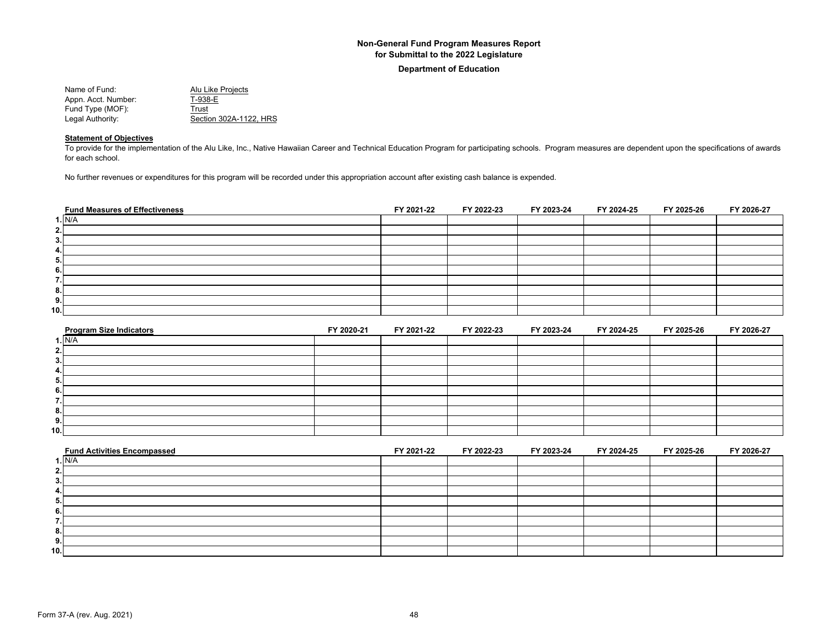**Department of Education**

| Name of Fund:       | Alu Like Projects      |
|---------------------|------------------------|
| Appn. Acct. Number: | T-938-E                |
| Fund Type (MOF):    | Trust                  |
| Legal Authority:    | Section 302A-1122. HRS |

## **Statement of Objectives**

To provide for the implementation of the Alu Like, Inc., Native Hawaiian Career and Technical Education Program for participating schools. Program measures are dependent upon the specifications of awards for each school.

No further revenues or expenditures for this program will be recorded under this appropriation account after existing cash balance is expended.

| <b>Fund Measures of Effectiveness</b> | FY 2021-22 | FY 2022-23 | FY 2023-24 | FY 2024-25 | FY 2025-26 | FY 2026-27 |
|---------------------------------------|------------|------------|------------|------------|------------|------------|
| 1. N/A                                |            |            |            |            |            |            |
| 2.                                    |            |            |            |            |            |            |
| 3.                                    |            |            |            |            |            |            |
| 4.                                    |            |            |            |            |            |            |
| 5.                                    |            |            |            |            |            |            |
| 6.                                    |            |            |            |            |            |            |
| ۰,<br>. .                             |            |            |            |            |            |            |
| 8.                                    |            |            |            |            |            |            |
| 9.                                    |            |            |            |            |            |            |
| 10.                                   |            |            |            |            |            |            |

| <b>Program Size Indicators</b> | FY 2020-21 | FY 2021-22 | FY 2022-23 | FY 2023-24 | FY 2024-25 | FY 2025-26 | FY 2026-27 |
|--------------------------------|------------|------------|------------|------------|------------|------------|------------|
| <b>1. N/A</b>                  |            |            |            |            |            |            |            |
| 2.                             |            |            |            |            |            |            |            |
| 3.                             |            |            |            |            |            |            |            |
| 4.                             |            |            |            |            |            |            |            |
| Ð.                             |            |            |            |            |            |            |            |
| 6.                             |            |            |            |            |            |            |            |
|                                |            |            |            |            |            |            |            |
| 8.                             |            |            |            |            |            |            |            |
| 9.                             |            |            |            |            |            |            |            |
| 10.1                           |            |            |            |            |            |            |            |

| <b>Fund Activities Encompassed</b> | FY 2021-22 | FY 2022-23 | FY 2023-24 | FY 2024-25 | FY 2025-26 | FY 2026-27 |
|------------------------------------|------------|------------|------------|------------|------------|------------|
| 1. N/A                             |            |            |            |            |            |            |
| <b>.</b>                           |            |            |            |            |            |            |
|                                    |            |            |            |            |            |            |
| --                                 |            |            |            |            |            |            |
|                                    |            |            |            |            |            |            |
|                                    |            |            |            |            |            |            |
|                                    |            |            |            |            |            |            |
| o.                                 |            |            |            |            |            |            |
| 9.                                 |            |            |            |            |            |            |
| 10.1                               |            |            |            |            |            |            |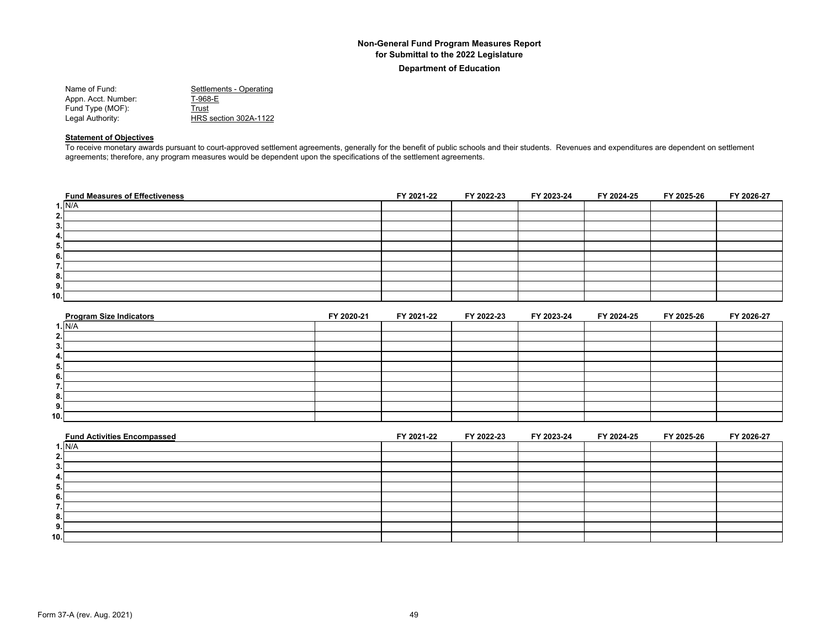#### **Department of Education**

| Settlements - Operating |
|-------------------------|
| T-968-E                 |
| Trust                   |
| HRS section 302A-1122   |
|                         |

#### **Statement of Objectives**

To receive monetary awards pursuant to court-approved settlement agreements, generally for the benefit of public schools and their students. Revenues and expenditures are dependent on settlement agreements; therefore, any program measures would be dependent upon the specifications of the settlement agreements.

| <b>Fund Measures of Effectiveness</b> | FY 2021-22 | FY 2022-23 | FY 2023-24 | FY 2024-25 | FY 2025-26 | FY 2026-27 |
|---------------------------------------|------------|------------|------------|------------|------------|------------|
| 1. N/A                                |            |            |            |            |            |            |
| 2.                                    |            |            |            |            |            |            |
| 3.                                    |            |            |            |            |            |            |
| 4.                                    |            |            |            |            |            |            |
| 5.                                    |            |            |            |            |            |            |
| 6.                                    |            |            |            |            |            |            |
| -<br>. .                              |            |            |            |            |            |            |
| 8.                                    |            |            |            |            |            |            |
| 9.                                    |            |            |            |            |            |            |
| 10.                                   |            |            |            |            |            |            |

| <b>Program Size Indicators</b> | FY 2020-21 | FY 2021-22 | FY 2022-23 | FY 2023-24 | FY 2024-25 | FY 2025-26 | FY 2026-27 |
|--------------------------------|------------|------------|------------|------------|------------|------------|------------|
| 1. N/A                         |            |            |            |            |            |            |            |
| 2.                             |            |            |            |            |            |            |            |
| 3.                             |            |            |            |            |            |            |            |
| 4.                             |            |            |            |            |            |            |            |
|                                |            |            |            |            |            |            |            |
| 6.                             |            |            |            |            |            |            |            |
|                                |            |            |            |            |            |            |            |
| 8.                             |            |            |            |            |            |            |            |
| 9.                             |            |            |            |            |            |            |            |
| 10.1                           |            |            |            |            |            |            |            |

| <b>Fund Activities Encompassed</b> | FY 2021-22 | FY 2022-23 | FY 2023-24 | FY 2024-25 | FY 2025-26 | FY 2026-27 |
|------------------------------------|------------|------------|------------|------------|------------|------------|
| 1. N/A                             |            |            |            |            |            |            |
|                                    |            |            |            |            |            |            |
|                                    |            |            |            |            |            |            |
|                                    |            |            |            |            |            |            |
|                                    |            |            |            |            |            |            |
|                                    |            |            |            |            |            |            |
|                                    |            |            |            |            |            |            |
|                                    |            |            |            |            |            |            |
| э.                                 |            |            |            |            |            |            |
| 10.                                |            |            |            |            |            |            |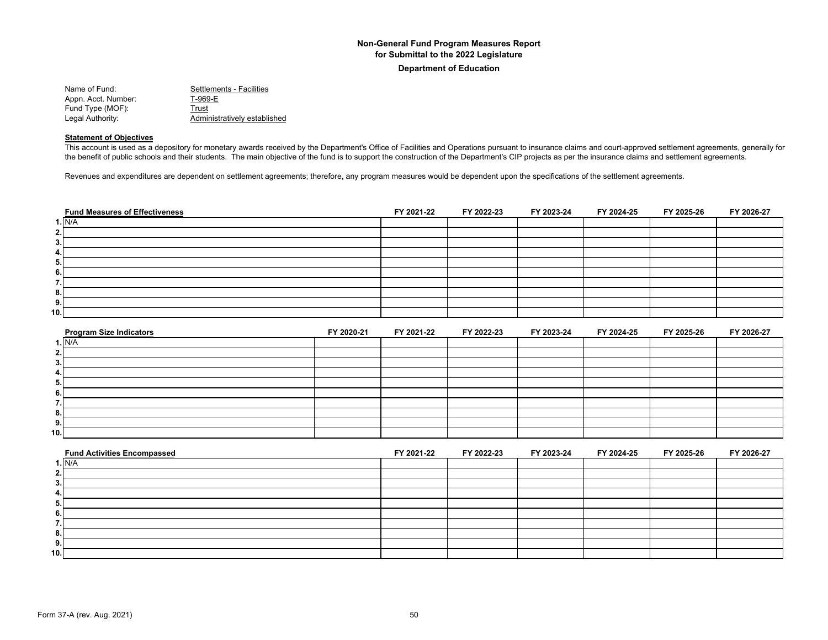**Department of Education**

| Name of Fund:       | Settlements - Facilities     |
|---------------------|------------------------------|
| Appn. Acct. Number: | T-969-E                      |
| Fund Type (MOF):    | Trust                        |
| Legal Authority:    | Administratively established |

#### **Statement of Objectives**

This account is used as a depository for monetary awards received by the Department's Office of Facilities and Operations pursuant to insurance claims and court-approved settlement agreements, generally for the benefit of public schools and their students. The main objective of the fund is to support the construction of the Department's CIP projects as per the insurance claims and settlement agreements.

Revenues and expenditures are dependent on settlement agreements; therefore, any program measures would be dependent upon the specifications of the settlement agreements.

| <b>Fund Measures of Effectiveness</b> | FY 2021-22 | FY 2022-23 | FY 2023-24 | FY 2024-25 | FY 2025-26 | FY 2026-27 |
|---------------------------------------|------------|------------|------------|------------|------------|------------|
| 1. N/A                                |            |            |            |            |            |            |
| 2.                                    |            |            |            |            |            |            |
| 3.                                    |            |            |            |            |            |            |
| 4.                                    |            |            |            |            |            |            |
| 5.                                    |            |            |            |            |            |            |
| 6.                                    |            |            |            |            |            |            |
| ۰,<br>                                |            |            |            |            |            |            |
| 8.                                    |            |            |            |            |            |            |
| 9.                                    |            |            |            |            |            |            |
| 10.1                                  |            |            |            |            |            |            |

| <b>Program Size Indicators</b> | FY 2020-21 | FY 2021-22 | FY 2022-23 | FY 2023-24 | FY 2024-25 | FY 2025-26 | FY 2026-27 |
|--------------------------------|------------|------------|------------|------------|------------|------------|------------|
| 1. N/A                         |            |            |            |            |            |            |            |
|                                |            |            |            |            |            |            |            |
|                                |            |            |            |            |            |            |            |
| 4.                             |            |            |            |            |            |            |            |
| o.                             |            |            |            |            |            |            |            |
|                                |            |            |            |            |            |            |            |
|                                |            |            |            |            |            |            |            |
|                                |            |            |            |            |            |            |            |
| э.                             |            |            |            |            |            |            |            |
| 10.1                           |            |            |            |            |            |            |            |

|        | <b>Fund Activities Encompassed</b> | FY 2021-22 | FY 2022-23 | FY 2023-24 | FY 2024-25 | FY 2025-26 | FY 2026-27 |
|--------|------------------------------------|------------|------------|------------|------------|------------|------------|
| I. N/A |                                    |            |            |            |            |            |            |
|        |                                    |            |            |            |            |            |            |
|        |                                    |            |            |            |            |            |            |
|        |                                    |            |            |            |            |            |            |
|        |                                    |            |            |            |            |            |            |
|        |                                    |            |            |            |            |            |            |
|        |                                    |            |            |            |            |            |            |
|        |                                    |            |            |            |            |            |            |
| э.     |                                    |            |            |            |            |            |            |
| 10.1   |                                    |            |            |            |            |            |            |